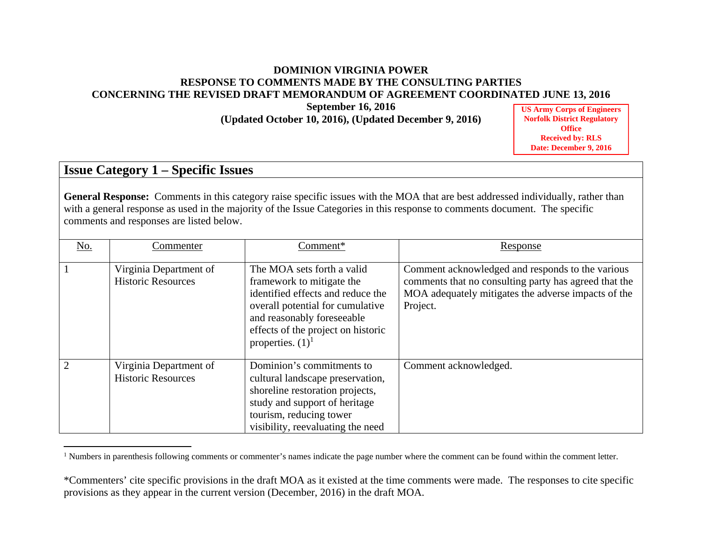### **DOMINION VIRGINIA POWER RESPONSE TO COMMENTS MADE BY THE CONSULTING PARTIES CONCERNING THE REVISED DRAFT MEMORANDUM OF AGREEMENT COORDINATED JUNE 13, 2016**

**September 16, 2016** 

**(Updated October 10, 2016), (Updated December 9, 2016)** 

**US Army Corps of Engineers Norfolk District Regulatory Office Received by: RLS Date: December 9, 2016** 

### **Issue Category 1 – Specific Issues**

**General Response:** Comments in this category raise specific issues with the MOA that are best addressed individually, rather than with a general response as used in the majority of the Issue Categories in this response to comments document. The specific comments and responses are listed below.

| No. | Commenter                                           | Comment*                                                                                                                                                                                                                    | <b>Response</b>                                                                                                                                                              |
|-----|-----------------------------------------------------|-----------------------------------------------------------------------------------------------------------------------------------------------------------------------------------------------------------------------------|------------------------------------------------------------------------------------------------------------------------------------------------------------------------------|
|     | Virginia Department of<br><b>Historic Resources</b> | The MOA sets forth a valid<br>framework to mitigate the<br>identified effects and reduce the<br>overall potential for cumulative<br>and reasonably foreseeable<br>effects of the project on historic<br>properties. $(1)^1$ | Comment acknowledged and responds to the various<br>comments that no consulting party has agreed that the<br>MOA adequately mitigates the adverse impacts of the<br>Project. |
| 2   | Virginia Department of<br><b>Historic Resources</b> | Dominion's commitments to<br>cultural landscape preservation,<br>shoreline restoration projects,<br>study and support of heritage<br>tourism, reducing tower<br>visibility, reevaluating the need                           | Comment acknowledged.                                                                                                                                                        |

<sup>&</sup>lt;sup>1</sup> Numbers in parenthesis following comments or commenter's names indicate the page number where the comment can be found within the comment letter.

<sup>\*</sup>Commenters' cite specific provisions in the draft MOA as it existed at the time comments were made. The responses to cite specific provisions as they appear in the current version (December, 2016) in the draft MOA.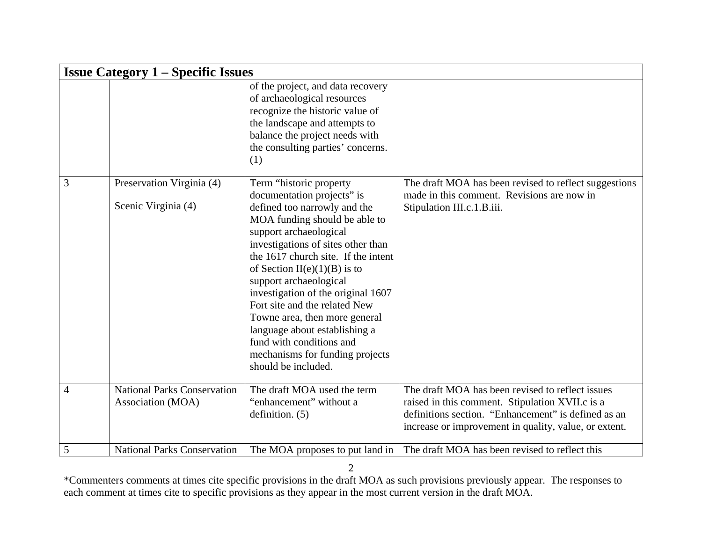|                | <b>Issue Category 1 – Specific Issues</b>               |                                                                                                                                                                                                                                                                                                                                                                                                                                                                                                                        |                                                                                                                                                                                                                     |  |
|----------------|---------------------------------------------------------|------------------------------------------------------------------------------------------------------------------------------------------------------------------------------------------------------------------------------------------------------------------------------------------------------------------------------------------------------------------------------------------------------------------------------------------------------------------------------------------------------------------------|---------------------------------------------------------------------------------------------------------------------------------------------------------------------------------------------------------------------|--|
|                |                                                         | of the project, and data recovery<br>of archaeological resources<br>recognize the historic value of<br>the landscape and attempts to<br>balance the project needs with<br>the consulting parties' concerns.<br>(1)                                                                                                                                                                                                                                                                                                     |                                                                                                                                                                                                                     |  |
| 3              | Preservation Virginia (4)<br>Scenic Virginia (4)        | Term "historic property<br>documentation projects" is<br>defined too narrowly and the<br>MOA funding should be able to<br>support archaeological<br>investigations of sites other than<br>the 1617 church site. If the intent<br>of Section II(e)(1)(B) is to<br>support archaeological<br>investigation of the original 1607<br>Fort site and the related New<br>Towne area, then more general<br>language about establishing a<br>fund with conditions and<br>mechanisms for funding projects<br>should be included. | The draft MOA has been revised to reflect suggestions<br>made in this comment. Revisions are now in<br>Stipulation III.c.1.B.iii.                                                                                   |  |
| $\overline{4}$ | <b>National Parks Conservation</b><br>Association (MOA) | The draft MOA used the term<br>"enhancement" without a<br>definition. $(5)$                                                                                                                                                                                                                                                                                                                                                                                                                                            | The draft MOA has been revised to reflect issues<br>raised in this comment. Stipulation XVII.c is a<br>definitions section. "Enhancement" is defined as an<br>increase or improvement in quality, value, or extent. |  |
| 5              | <b>National Parks Conservation</b>                      | The MOA proposes to put land in                                                                                                                                                                                                                                                                                                                                                                                                                                                                                        | The draft MOA has been revised to reflect this                                                                                                                                                                      |  |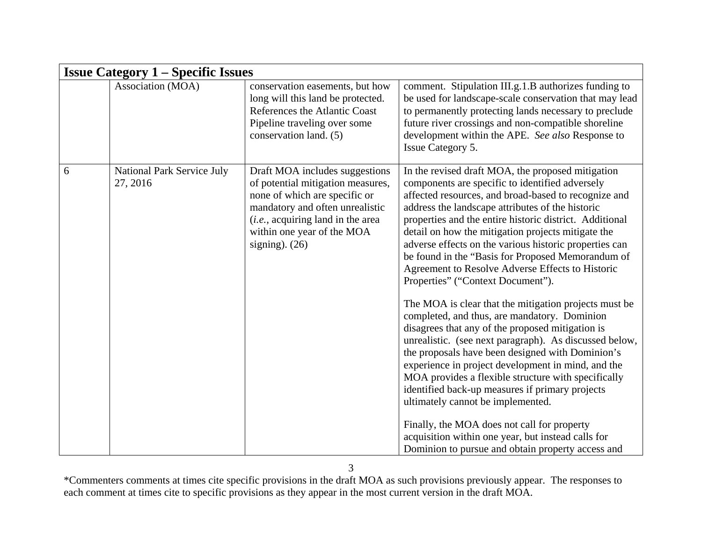| <b>Issue Category 1 – Specific Issues</b> |                                               |                                                                                                                                                                                                                                 |                                                                                                                                                                                                                                                                                                                                                                                                                                                                                                                                                                                                                                                                                                                                                                                                                                                                                                                                                                                                                                                                                                                                                                                     |
|-------------------------------------------|-----------------------------------------------|---------------------------------------------------------------------------------------------------------------------------------------------------------------------------------------------------------------------------------|-------------------------------------------------------------------------------------------------------------------------------------------------------------------------------------------------------------------------------------------------------------------------------------------------------------------------------------------------------------------------------------------------------------------------------------------------------------------------------------------------------------------------------------------------------------------------------------------------------------------------------------------------------------------------------------------------------------------------------------------------------------------------------------------------------------------------------------------------------------------------------------------------------------------------------------------------------------------------------------------------------------------------------------------------------------------------------------------------------------------------------------------------------------------------------------|
|                                           | Association (MOA)                             | conservation easements, but how<br>long will this land be protected.<br>References the Atlantic Coast<br>Pipeline traveling over some<br>conservation land. (5)                                                                 | comment. Stipulation III.g.1.B authorizes funding to<br>be used for landscape-scale conservation that may lead<br>to permanently protecting lands necessary to preclude<br>future river crossings and non-compatible shoreline<br>development within the APE. See also Response to<br><b>Issue Category 5.</b>                                                                                                                                                                                                                                                                                                                                                                                                                                                                                                                                                                                                                                                                                                                                                                                                                                                                      |
| 6                                         | <b>National Park Service July</b><br>27, 2016 | Draft MOA includes suggestions<br>of potential mitigation measures,<br>none of which are specific or<br>mandatory and often unrealistic<br>(i.e., acquiring land in the area)<br>within one year of the MOA<br>signing). $(26)$ | In the revised draft MOA, the proposed mitigation<br>components are specific to identified adversely<br>affected resources, and broad-based to recognize and<br>address the landscape attributes of the historic<br>properties and the entire historic district. Additional<br>detail on how the mitigation projects mitigate the<br>adverse effects on the various historic properties can<br>be found in the "Basis for Proposed Memorandum of<br>Agreement to Resolve Adverse Effects to Historic<br>Properties" ("Context Document").<br>The MOA is clear that the mitigation projects must be<br>completed, and thus, are mandatory. Dominion<br>disagrees that any of the proposed mitigation is<br>unrealistic. (see next paragraph). As discussed below,<br>the proposals have been designed with Dominion's<br>experience in project development in mind, and the<br>MOA provides a flexible structure with specifically<br>identified back-up measures if primary projects<br>ultimately cannot be implemented.<br>Finally, the MOA does not call for property<br>acquisition within one year, but instead calls for<br>Dominion to pursue and obtain property access and |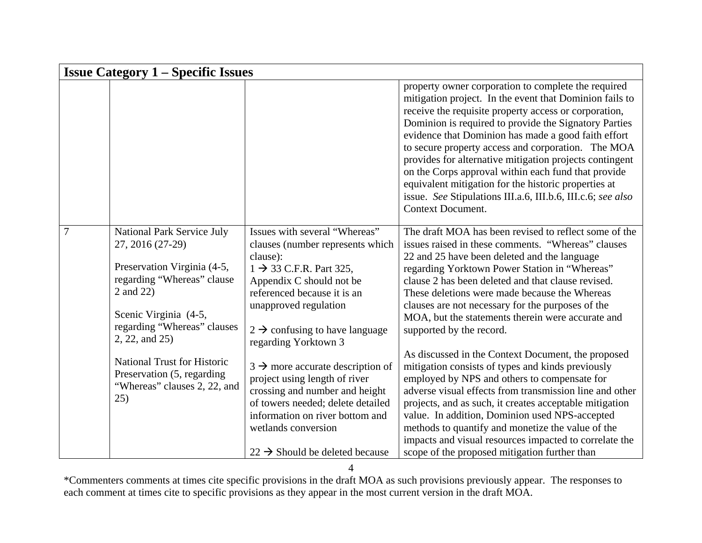| <b>Issue Category 1 – Specific Issues</b> |                                                                                                                                                                                                                                                                                                                      |                                                                                                                                                                                                                                                                                                                                                                                                                                                                                                                                                |                                                                                                                                                                                                                                                                                                                                                                                                                                                                                                                                                                                                                                                                                                                                                                                                                                                                                                                                                              |
|-------------------------------------------|----------------------------------------------------------------------------------------------------------------------------------------------------------------------------------------------------------------------------------------------------------------------------------------------------------------------|------------------------------------------------------------------------------------------------------------------------------------------------------------------------------------------------------------------------------------------------------------------------------------------------------------------------------------------------------------------------------------------------------------------------------------------------------------------------------------------------------------------------------------------------|--------------------------------------------------------------------------------------------------------------------------------------------------------------------------------------------------------------------------------------------------------------------------------------------------------------------------------------------------------------------------------------------------------------------------------------------------------------------------------------------------------------------------------------------------------------------------------------------------------------------------------------------------------------------------------------------------------------------------------------------------------------------------------------------------------------------------------------------------------------------------------------------------------------------------------------------------------------|
|                                           |                                                                                                                                                                                                                                                                                                                      |                                                                                                                                                                                                                                                                                                                                                                                                                                                                                                                                                | property owner corporation to complete the required<br>mitigation project. In the event that Dominion fails to<br>receive the requisite property access or corporation,<br>Dominion is required to provide the Signatory Parties<br>evidence that Dominion has made a good faith effort<br>to secure property access and corporation. The MOA<br>provides for alternative mitigation projects contingent<br>on the Corps approval within each fund that provide<br>equivalent mitigation for the historic properties at<br>issue. See Stipulations III.a.6, III.b.6, III.c.6; see also<br><b>Context Document.</b>                                                                                                                                                                                                                                                                                                                                           |
| $\overline{7}$                            | <b>National Park Service July</b><br>27, 2016 (27-29)<br>Preservation Virginia (4-5,<br>regarding "Whereas" clause<br>2 and 22)<br>Scenic Virginia (4-5,<br>regarding "Whereas" clauses<br>2, 22, and 25)<br><b>National Trust for Historic</b><br>Preservation (5, regarding<br>"Whereas" clauses 2, 22, and<br>25) | Issues with several "Whereas"<br>clauses (number represents which<br>clause):<br>$1 \rightarrow 33$ C.F.R. Part 325,<br>Appendix C should not be<br>referenced because it is an<br>unapproved regulation<br>$2 \rightarrow$ confusing to have language<br>regarding Yorktown 3<br>$3 \rightarrow$ more accurate description of<br>project using length of river<br>crossing and number and height<br>of towers needed; delete detailed<br>information on river bottom and<br>wetlands conversion<br>$22 \rightarrow$ Should be deleted because | The draft MOA has been revised to reflect some of the<br>issues raised in these comments. "Whereas" clauses<br>22 and 25 have been deleted and the language<br>regarding Yorktown Power Station in "Whereas"<br>clause 2 has been deleted and that clause revised.<br>These deletions were made because the Whereas<br>clauses are not necessary for the purposes of the<br>MOA, but the statements therein were accurate and<br>supported by the record.<br>As discussed in the Context Document, the proposed<br>mitigation consists of types and kinds previously<br>employed by NPS and others to compensate for<br>adverse visual effects from transmission line and other<br>projects, and as such, it creates acceptable mitigation<br>value. In addition, Dominion used NPS-accepted<br>methods to quantify and monetize the value of the<br>impacts and visual resources impacted to correlate the<br>scope of the proposed mitigation further than |

4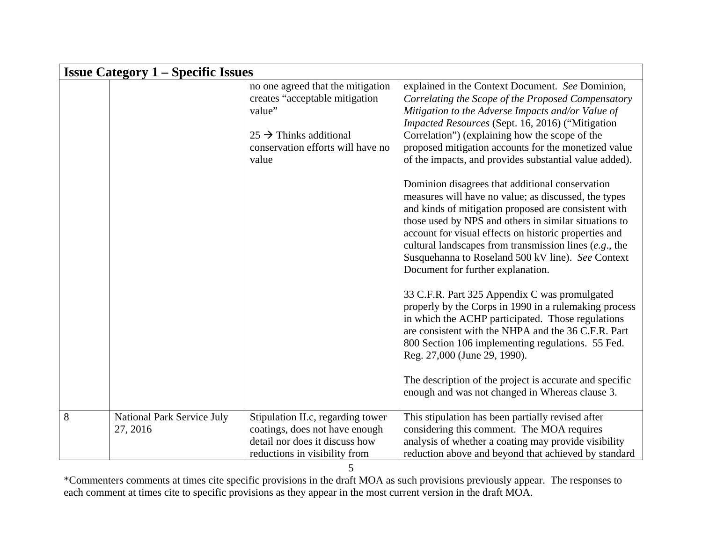| <b>Issue Category 1 – Specific Issues</b> |                                               |                                                                                                                                                                    |                                                                                                                                                                                                                                                                                                                                                                                                                                                                                                                                                                                                                                                                                                                                                                                                                                                                                                                                                                                                                                                                                                                                                                                                                                                          |
|-------------------------------------------|-----------------------------------------------|--------------------------------------------------------------------------------------------------------------------------------------------------------------------|----------------------------------------------------------------------------------------------------------------------------------------------------------------------------------------------------------------------------------------------------------------------------------------------------------------------------------------------------------------------------------------------------------------------------------------------------------------------------------------------------------------------------------------------------------------------------------------------------------------------------------------------------------------------------------------------------------------------------------------------------------------------------------------------------------------------------------------------------------------------------------------------------------------------------------------------------------------------------------------------------------------------------------------------------------------------------------------------------------------------------------------------------------------------------------------------------------------------------------------------------------|
|                                           |                                               | no one agreed that the mitigation<br>creates "acceptable mitigation"<br>value"<br>$25 \rightarrow$ Thinks additional<br>conservation efforts will have no<br>value | explained in the Context Document. See Dominion,<br>Correlating the Scope of the Proposed Compensatory<br>Mitigation to the Adverse Impacts and/or Value of<br>Impacted Resources (Sept. 16, 2016) ("Mitigation<br>Correlation") (explaining how the scope of the<br>proposed mitigation accounts for the monetized value<br>of the impacts, and provides substantial value added).<br>Dominion disagrees that additional conservation<br>measures will have no value; as discussed, the types<br>and kinds of mitigation proposed are consistent with<br>those used by NPS and others in similar situations to<br>account for visual effects on historic properties and<br>cultural landscapes from transmission lines $(e.g., the)$<br>Susquehanna to Roseland 500 kV line). See Context<br>Document for further explanation.<br>33 C.F.R. Part 325 Appendix C was promulgated<br>properly by the Corps in 1990 in a rulemaking process<br>in which the ACHP participated. Those regulations<br>are consistent with the NHPA and the 36 C.F.R. Part<br>800 Section 106 implementing regulations. 55 Fed.<br>Reg. 27,000 (June 29, 1990).<br>The description of the project is accurate and specific<br>enough and was not changed in Whereas clause 3. |
| 8                                         | <b>National Park Service July</b><br>27, 2016 | Stipulation II.c, regarding tower<br>coatings, does not have enough<br>detail nor does it discuss how<br>reductions in visibility from                             | This stipulation has been partially revised after<br>considering this comment. The MOA requires<br>analysis of whether a coating may provide visibility<br>reduction above and beyond that achieved by standard                                                                                                                                                                                                                                                                                                                                                                                                                                                                                                                                                                                                                                                                                                                                                                                                                                                                                                                                                                                                                                          |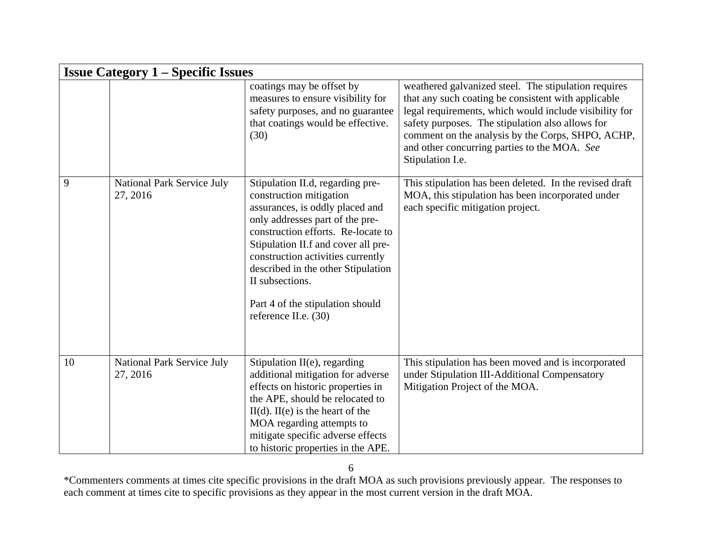|    | <b>Issue Category 1 – Specific Issues</b>     |                                                                                                                                                                                                                                                                                                                                                                          |                                                                                                                                                                                                                                                                                                                                                    |  |
|----|-----------------------------------------------|--------------------------------------------------------------------------------------------------------------------------------------------------------------------------------------------------------------------------------------------------------------------------------------------------------------------------------------------------------------------------|----------------------------------------------------------------------------------------------------------------------------------------------------------------------------------------------------------------------------------------------------------------------------------------------------------------------------------------------------|--|
|    |                                               | coatings may be offset by<br>measures to ensure visibility for<br>safety purposes, and no guarantee<br>that coatings would be effective.<br>(30)                                                                                                                                                                                                                         | weathered galvanized steel. The stipulation requires<br>that any such coating be consistent with applicable<br>legal requirements, which would include visibility for<br>safety purposes. The stipulation also allows for<br>comment on the analysis by the Corps, SHPO, ACHP,<br>and other concurring parties to the MOA. See<br>Stipulation I.e. |  |
| 9  | <b>National Park Service July</b><br>27, 2016 | Stipulation II.d, regarding pre-<br>construction mitigation<br>assurances, is oddly placed and<br>only addresses part of the pre-<br>construction efforts. Re-locate to<br>Stipulation II.f and cover all pre-<br>construction activities currently<br>described in the other Stipulation<br>II subsections.<br>Part 4 of the stipulation should<br>reference II.e. (30) | This stipulation has been deleted. In the revised draft<br>MOA, this stipulation has been incorporated under<br>each specific mitigation project.                                                                                                                                                                                                  |  |
| 10 | National Park Service July<br>27, 2016        | Stipulation II(e), regarding<br>additional mitigation for adverse<br>effects on historic properties in<br>the APE, should be relocated to<br>$II(d)$ . $II(e)$ is the heart of the<br>MOA regarding attempts to<br>mitigate specific adverse effects<br>to historic properties in the APE.                                                                               | This stipulation has been moved and is incorporated<br>under Stipulation III-Additional Compensatory<br>Mitigation Project of the MOA.                                                                                                                                                                                                             |  |

6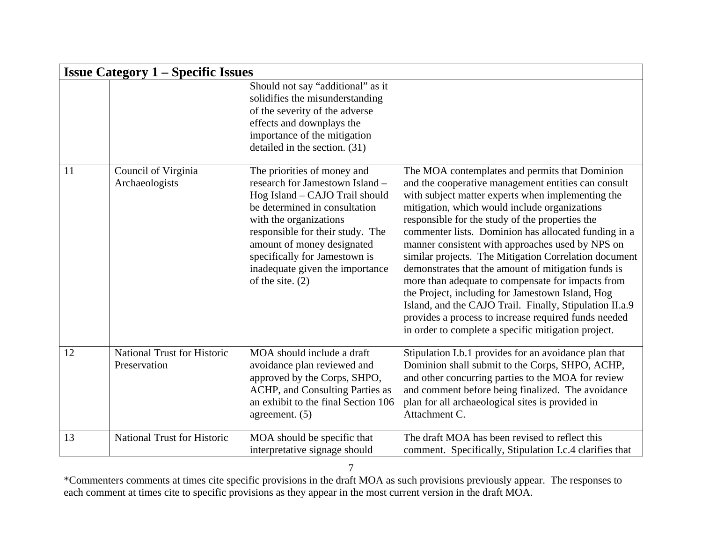|    | <b>Issue Category 1 – Specific Issues</b>          |                                                                                                                                                                                                                                                                                                                         |                                                                                                                                                                                                                                                                                                                                                                                                                                                                                                                                                                                                                                                                                                                                                                               |  |
|----|----------------------------------------------------|-------------------------------------------------------------------------------------------------------------------------------------------------------------------------------------------------------------------------------------------------------------------------------------------------------------------------|-------------------------------------------------------------------------------------------------------------------------------------------------------------------------------------------------------------------------------------------------------------------------------------------------------------------------------------------------------------------------------------------------------------------------------------------------------------------------------------------------------------------------------------------------------------------------------------------------------------------------------------------------------------------------------------------------------------------------------------------------------------------------------|--|
|    |                                                    | Should not say "additional" as it<br>solidifies the misunderstanding<br>of the severity of the adverse<br>effects and downplays the<br>importance of the mitigation<br>detailed in the section. $(31)$                                                                                                                  |                                                                                                                                                                                                                                                                                                                                                                                                                                                                                                                                                                                                                                                                                                                                                                               |  |
| 11 | Council of Virginia<br>Archaeologists              | The priorities of money and<br>research for Jamestown Island -<br>Hog Island – CAJO Trail should<br>be determined in consultation<br>with the organizations<br>responsible for their study. The<br>amount of money designated<br>specifically for Jamestown is<br>inadequate given the importance<br>of the site. $(2)$ | The MOA contemplates and permits that Dominion<br>and the cooperative management entities can consult<br>with subject matter experts when implementing the<br>mitigation, which would include organizations<br>responsible for the study of the properties the<br>commenter lists. Dominion has allocated funding in a<br>manner consistent with approaches used by NPS on<br>similar projects. The Mitigation Correlation document<br>demonstrates that the amount of mitigation funds is<br>more than adequate to compensate for impacts from<br>the Project, including for Jamestown Island, Hog<br>Island, and the CAJO Trail. Finally, Stipulation II.a.9<br>provides a process to increase required funds needed<br>in order to complete a specific mitigation project. |  |
| 12 | <b>National Trust for Historic</b><br>Preservation | MOA should include a draft<br>avoidance plan reviewed and<br>approved by the Corps, SHPO,<br>ACHP, and Consulting Parties as<br>an exhibit to the final Section 106<br>agreement. $(5)$                                                                                                                                 | Stipulation I.b.1 provides for an avoidance plan that<br>Dominion shall submit to the Corps, SHPO, ACHP,<br>and other concurring parties to the MOA for review<br>and comment before being finalized. The avoidance<br>plan for all archaeological sites is provided in<br>Attachment C.                                                                                                                                                                                                                                                                                                                                                                                                                                                                                      |  |
| 13 | National Trust for Historic                        | MOA should be specific that<br>interpretative signage should                                                                                                                                                                                                                                                            | The draft MOA has been revised to reflect this<br>comment. Specifically, Stipulation I.c.4 clarifies that                                                                                                                                                                                                                                                                                                                                                                                                                                                                                                                                                                                                                                                                     |  |

\*Commenters comments at times cite specific provisions in the draft MOA as such provisions previously appear. The responses to each comment at times cite to specific provisions as they appear in the most current version in the draft MOA.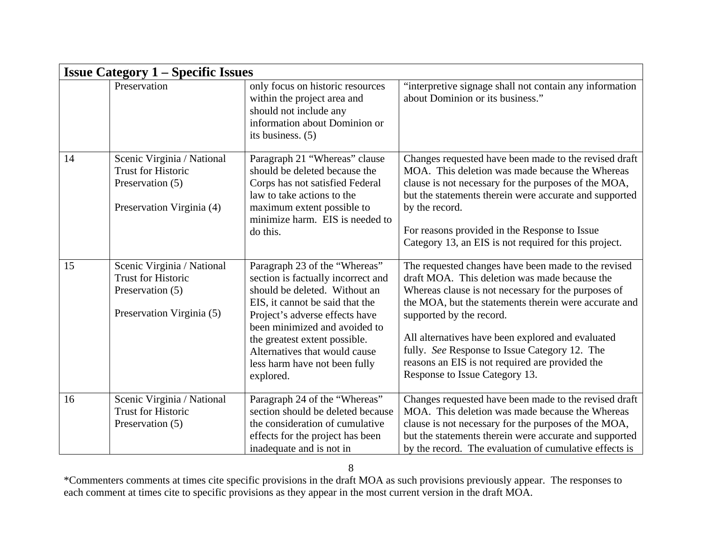| <b>Issue Category 1 – Specific Issues</b> |                                                                                                          |                                                                                                                                                                                                                                                                                                                            |                                                                                                                                                                                                                                                                                                                                                                                                                                             |
|-------------------------------------------|----------------------------------------------------------------------------------------------------------|----------------------------------------------------------------------------------------------------------------------------------------------------------------------------------------------------------------------------------------------------------------------------------------------------------------------------|---------------------------------------------------------------------------------------------------------------------------------------------------------------------------------------------------------------------------------------------------------------------------------------------------------------------------------------------------------------------------------------------------------------------------------------------|
|                                           | Preservation                                                                                             | only focus on historic resources<br>within the project area and<br>should not include any<br>information about Dominion or<br>its business. $(5)$                                                                                                                                                                          | "interpretive signage shall not contain any information<br>about Dominion or its business."                                                                                                                                                                                                                                                                                                                                                 |
| 14                                        | Scenic Virginia / National<br><b>Trust for Historic</b><br>Preservation (5)<br>Preservation Virginia (4) | Paragraph 21 "Whereas" clause<br>should be deleted because the<br>Corps has not satisfied Federal<br>law to take actions to the<br>maximum extent possible to<br>minimize harm. EIS is needed to<br>do this.                                                                                                               | Changes requested have been made to the revised draft<br>MOA. This deletion was made because the Whereas<br>clause is not necessary for the purposes of the MOA,<br>but the statements therein were accurate and supported<br>by the record.<br>For reasons provided in the Response to Issue<br>Category 13, an EIS is not required for this project.                                                                                      |
| 15                                        | Scenic Virginia / National<br><b>Trust for Historic</b><br>Preservation (5)<br>Preservation Virginia (5) | Paragraph 23 of the "Whereas"<br>section is factually incorrect and<br>should be deleted. Without an<br>EIS, it cannot be said that the<br>Project's adverse effects have<br>been minimized and avoided to<br>the greatest extent possible.<br>Alternatives that would cause<br>less harm have not been fully<br>explored. | The requested changes have been made to the revised<br>draft MOA. This deletion was made because the<br>Whereas clause is not necessary for the purposes of<br>the MOA, but the statements therein were accurate and<br>supported by the record.<br>All alternatives have been explored and evaluated<br>fully. See Response to Issue Category 12. The<br>reasons an EIS is not required are provided the<br>Response to Issue Category 13. |
| 16                                        | Scenic Virginia / National<br><b>Trust for Historic</b><br>Preservation (5)                              | Paragraph 24 of the "Whereas"<br>section should be deleted because<br>the consideration of cumulative<br>effects for the project has been<br>inadequate and is not in                                                                                                                                                      | Changes requested have been made to the revised draft<br>MOA. This deletion was made because the Whereas<br>clause is not necessary for the purposes of the MOA,<br>but the statements therein were accurate and supported<br>by the record. The evaluation of cumulative effects is                                                                                                                                                        |

<sup>\*</sup>Commenters comments at times cite specific provisions in the draft MOA as such provisions previously appear. The responses to each comment at times cite to specific provisions as they appear in the most current version in the draft MOA.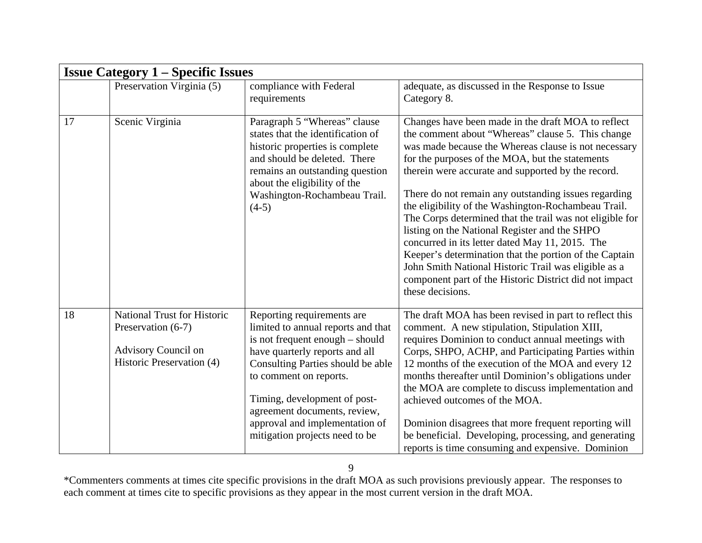|    | <b>Issue Category 1 – Specific Issues</b>                                                                    |                                                                                                                                                                                                                                                                                                                                          |                                                                                                                                                                                                                                                                                                                                                                                                                                                                                                                                                                                                                                                                                                                                                         |  |
|----|--------------------------------------------------------------------------------------------------------------|------------------------------------------------------------------------------------------------------------------------------------------------------------------------------------------------------------------------------------------------------------------------------------------------------------------------------------------|---------------------------------------------------------------------------------------------------------------------------------------------------------------------------------------------------------------------------------------------------------------------------------------------------------------------------------------------------------------------------------------------------------------------------------------------------------------------------------------------------------------------------------------------------------------------------------------------------------------------------------------------------------------------------------------------------------------------------------------------------------|--|
|    | Preservation Virginia (5)                                                                                    | compliance with Federal<br>requirements                                                                                                                                                                                                                                                                                                  | adequate, as discussed in the Response to Issue<br>Category 8.                                                                                                                                                                                                                                                                                                                                                                                                                                                                                                                                                                                                                                                                                          |  |
| 17 | Scenic Virginia                                                                                              | Paragraph 5 "Whereas" clause<br>states that the identification of<br>historic properties is complete<br>and should be deleted. There<br>remains an outstanding question<br>about the eligibility of the<br>Washington-Rochambeau Trail.<br>$(4-5)$                                                                                       | Changes have been made in the draft MOA to reflect<br>the comment about "Whereas" clause 5. This change<br>was made because the Whereas clause is not necessary<br>for the purposes of the MOA, but the statements<br>therein were accurate and supported by the record.<br>There do not remain any outstanding issues regarding<br>the eligibility of the Washington-Rochambeau Trail.<br>The Corps determined that the trail was not eligible for<br>listing on the National Register and the SHPO<br>concurred in its letter dated May 11, 2015. The<br>Keeper's determination that the portion of the Captain<br>John Smith National Historic Trail was eligible as a<br>component part of the Historic District did not impact<br>these decisions. |  |
| 18 | <b>National Trust for Historic</b><br>Preservation (6-7)<br>Advisory Council on<br>Historic Preservation (4) | Reporting requirements are<br>limited to annual reports and that<br>is not frequent enough - should<br>have quarterly reports and all<br>Consulting Parties should be able<br>to comment on reports.<br>Timing, development of post-<br>agreement documents, review,<br>approval and implementation of<br>mitigation projects need to be | The draft MOA has been revised in part to reflect this<br>comment. A new stipulation, Stipulation XIII,<br>requires Dominion to conduct annual meetings with<br>Corps, SHPO, ACHP, and Participating Parties within<br>12 months of the execution of the MOA and every 12<br>months thereafter until Dominion's obligations under<br>the MOA are complete to discuss implementation and<br>achieved outcomes of the MOA.<br>Dominion disagrees that more frequent reporting will<br>be beneficial. Developing, processing, and generating<br>reports is time consuming and expensive. Dominion                                                                                                                                                          |  |

<sup>\*</sup>Commenters comments at times cite specific provisions in the draft MOA as such provisions previously appear. The responses to each comment at times cite to specific provisions as they appear in the most current version in the draft MOA.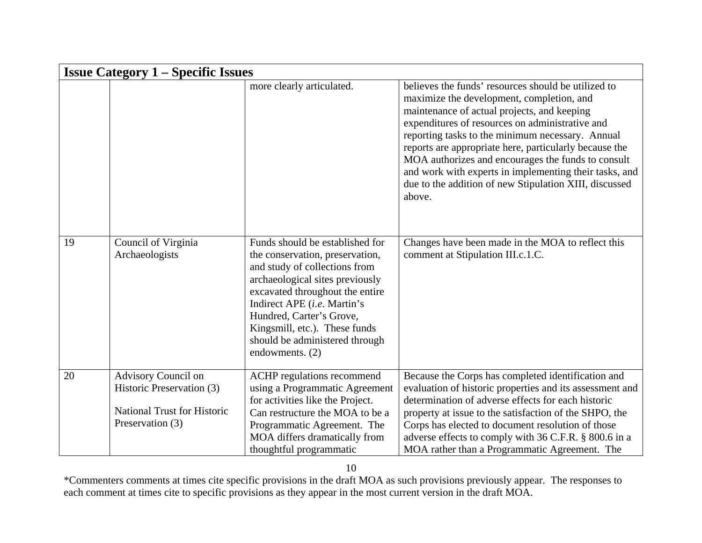|    | <b>Issue Category 1 – Specific Issues</b>                                                                  |                                                                                                                                                                                                                                                                                                                              |                                                                                                                                                                                                                                                                                                                                                                                                                                                                                                      |  |
|----|------------------------------------------------------------------------------------------------------------|------------------------------------------------------------------------------------------------------------------------------------------------------------------------------------------------------------------------------------------------------------------------------------------------------------------------------|------------------------------------------------------------------------------------------------------------------------------------------------------------------------------------------------------------------------------------------------------------------------------------------------------------------------------------------------------------------------------------------------------------------------------------------------------------------------------------------------------|--|
|    |                                                                                                            | more clearly articulated.                                                                                                                                                                                                                                                                                                    | believes the funds' resources should be utilized to<br>maximize the development, completion, and<br>maintenance of actual projects, and keeping<br>expenditures of resources on administrative and<br>reporting tasks to the minimum necessary. Annual<br>reports are appropriate here, particularly because the<br>MOA authorizes and encourages the funds to consult<br>and work with experts in implementing their tasks, and<br>due to the addition of new Stipulation XIII, discussed<br>above. |  |
| 19 | Council of Virginia<br>Archaeologists                                                                      | Funds should be established for<br>the conservation, preservation,<br>and study of collections from<br>archaeological sites previously<br>excavated throughout the entire<br>Indirect APE (i.e. Martin's<br>Hundred, Carter's Grove,<br>Kingsmill, etc.). These funds<br>should be administered through<br>endowments. $(2)$ | Changes have been made in the MOA to reflect this<br>comment at Stipulation III.c.1.C.                                                                                                                                                                                                                                                                                                                                                                                                               |  |
| 20 | Advisory Council on<br>Historic Preservation (3)<br><b>National Trust for Historic</b><br>Preservation (3) | ACHP regulations recommend<br>using a Programmatic Agreement<br>for activities like the Project.<br>Can restructure the MOA to be a<br>Programmatic Agreement. The<br>MOA differs dramatically from<br>thoughtful programmatic                                                                                               | Because the Corps has completed identification and<br>evaluation of historic properties and its assessment and<br>determination of adverse effects for each historic<br>property at issue to the satisfaction of the SHPO, the<br>Corps has elected to document resolution of those<br>adverse effects to comply with 36 C.F.R. § 800.6 in a<br>MOA rather than a Programmatic Agreement. The                                                                                                        |  |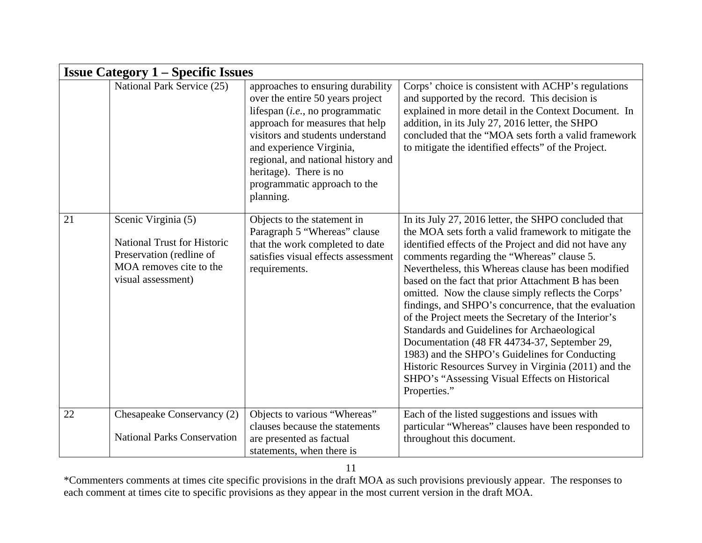|    | <b>Issue Category 1 – Specific Issues</b>                                                                                              |                                                                                                                                                                                                                                                                                                                             |                                                                                                                                                                                                                                                                                                                                                                                                                                                                                                                                                                                                                                                                                                                                                                                     |  |
|----|----------------------------------------------------------------------------------------------------------------------------------------|-----------------------------------------------------------------------------------------------------------------------------------------------------------------------------------------------------------------------------------------------------------------------------------------------------------------------------|-------------------------------------------------------------------------------------------------------------------------------------------------------------------------------------------------------------------------------------------------------------------------------------------------------------------------------------------------------------------------------------------------------------------------------------------------------------------------------------------------------------------------------------------------------------------------------------------------------------------------------------------------------------------------------------------------------------------------------------------------------------------------------------|--|
|    | National Park Service (25)                                                                                                             | approaches to ensuring durability<br>over the entire 50 years project<br>lifespan $(i.e., no programmatic)$<br>approach for measures that help<br>visitors and students understand<br>and experience Virginia,<br>regional, and national history and<br>heritage). There is no<br>programmatic approach to the<br>planning. | Corps' choice is consistent with ACHP's regulations<br>and supported by the record. This decision is<br>explained in more detail in the Context Document. In<br>addition, in its July 27, 2016 letter, the SHPO<br>concluded that the "MOA sets forth a valid framework<br>to mitigate the identified effects" of the Project.                                                                                                                                                                                                                                                                                                                                                                                                                                                      |  |
| 21 | Scenic Virginia (5)<br><b>National Trust for Historic</b><br>Preservation (redline of<br>MOA removes cite to the<br>visual assessment) | Objects to the statement in<br>Paragraph 5 "Whereas" clause<br>that the work completed to date<br>satisfies visual effects assessment<br>requirements.                                                                                                                                                                      | In its July 27, 2016 letter, the SHPO concluded that<br>the MOA sets forth a valid framework to mitigate the<br>identified effects of the Project and did not have any<br>comments regarding the "Whereas" clause 5.<br>Nevertheless, this Whereas clause has been modified<br>based on the fact that prior Attachment B has been<br>omitted. Now the clause simply reflects the Corps'<br>findings, and SHPO's concurrence, that the evaluation<br>of the Project meets the Secretary of the Interior's<br>Standards and Guidelines for Archaeological<br>Documentation (48 FR 44734-37, September 29,<br>1983) and the SHPO's Guidelines for Conducting<br>Historic Resources Survey in Virginia (2011) and the<br>SHPO's "Assessing Visual Effects on Historical<br>Properties." |  |
| 22 | Chesapeake Conservancy (2)<br><b>National Parks Conservation</b>                                                                       | Objects to various "Whereas"<br>clauses because the statements<br>are presented as factual<br>statements, when there is                                                                                                                                                                                                     | Each of the listed suggestions and issues with<br>particular "Whereas" clauses have been responded to<br>throughout this document.                                                                                                                                                                                                                                                                                                                                                                                                                                                                                                                                                                                                                                                  |  |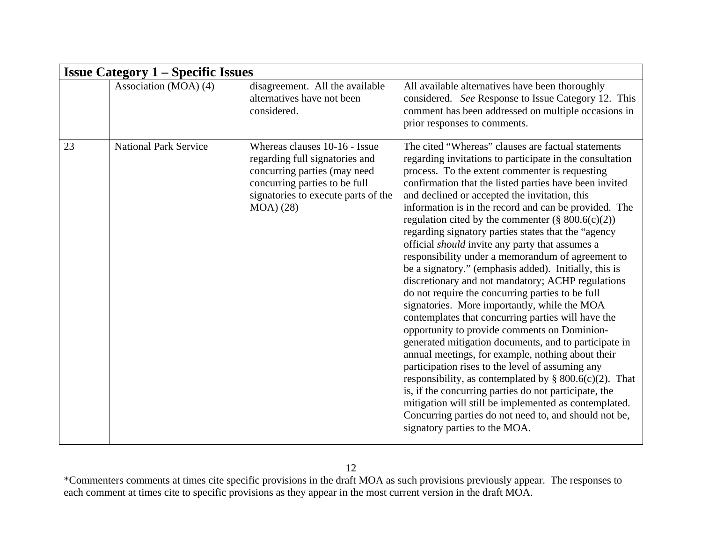|    | <b>Issue Category 1 – Specific Issues</b> |                                                                                                                                                                                      |                                                                                                                                                                                                                                                                                                                                                                                                                                                                                                                                                                                                                                                                                                                                                                                                                                                                                                                                                                                                                                                                                                                                                                                                                                                                                                                                        |  |
|----|-------------------------------------------|--------------------------------------------------------------------------------------------------------------------------------------------------------------------------------------|----------------------------------------------------------------------------------------------------------------------------------------------------------------------------------------------------------------------------------------------------------------------------------------------------------------------------------------------------------------------------------------------------------------------------------------------------------------------------------------------------------------------------------------------------------------------------------------------------------------------------------------------------------------------------------------------------------------------------------------------------------------------------------------------------------------------------------------------------------------------------------------------------------------------------------------------------------------------------------------------------------------------------------------------------------------------------------------------------------------------------------------------------------------------------------------------------------------------------------------------------------------------------------------------------------------------------------------|--|
|    | Association (MOA) (4)                     | disagreement. All the available<br>alternatives have not been<br>considered.                                                                                                         | All available alternatives have been thoroughly<br>considered. See Response to Issue Category 12. This<br>comment has been addressed on multiple occasions in<br>prior responses to comments.                                                                                                                                                                                                                                                                                                                                                                                                                                                                                                                                                                                                                                                                                                                                                                                                                                                                                                                                                                                                                                                                                                                                          |  |
| 23 | <b>National Park Service</b>              | Whereas clauses 10-16 - Issue<br>regarding full signatories and<br>concurring parties (may need<br>concurring parties to be full<br>signatories to execute parts of the<br>MOA) (28) | The cited "Whereas" clauses are factual statements<br>regarding invitations to participate in the consultation<br>process. To the extent commenter is requesting<br>confirmation that the listed parties have been invited<br>and declined or accepted the invitation, this<br>information is in the record and can be provided. The<br>regulation cited by the commenter $(\S 800.6(c)(2))$<br>regarding signatory parties states that the "agency<br>official <i>should</i> invite any party that assumes a<br>responsibility under a memorandum of agreement to<br>be a signatory." (emphasis added). Initially, this is<br>discretionary and not mandatory; ACHP regulations<br>do not require the concurring parties to be full<br>signatories. More importantly, while the MOA<br>contemplates that concurring parties will have the<br>opportunity to provide comments on Dominion-<br>generated mitigation documents, and to participate in<br>annual meetings, for example, nothing about their<br>participation rises to the level of assuming any<br>responsibility, as contemplated by $\S 800.6(c)(2)$ . That<br>is, if the concurring parties do not participate, the<br>mitigation will still be implemented as contemplated.<br>Concurring parties do not need to, and should not be,<br>signatory parties to the MOA. |  |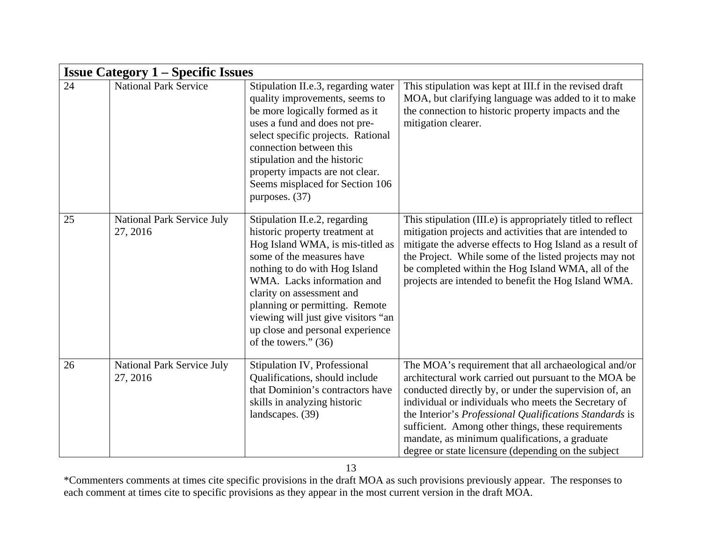|    | <b>Issue Category 1 – Specific Issues</b> |                                                                                                                                                                                                                                                                                                                                                                   |                                                                                                                                                                                                                                                                                                                                                                                                                                                           |  |
|----|-------------------------------------------|-------------------------------------------------------------------------------------------------------------------------------------------------------------------------------------------------------------------------------------------------------------------------------------------------------------------------------------------------------------------|-----------------------------------------------------------------------------------------------------------------------------------------------------------------------------------------------------------------------------------------------------------------------------------------------------------------------------------------------------------------------------------------------------------------------------------------------------------|--|
| 24 | <b>National Park Service</b>              | Stipulation II.e.3, regarding water<br>quality improvements, seems to<br>be more logically formed as it<br>uses a fund and does not pre-<br>select specific projects. Rational<br>connection between this<br>stipulation and the historic<br>property impacts are not clear.<br>Seems misplaced for Section 106<br>purposes. (37)                                 | This stipulation was kept at III.f in the revised draft<br>MOA, but clarifying language was added to it to make<br>the connection to historic property impacts and the<br>mitigation clearer.                                                                                                                                                                                                                                                             |  |
| 25 | National Park Service July<br>27, 2016    | Stipulation II.e.2, regarding<br>historic property treatment at<br>Hog Island WMA, is mis-titled as<br>some of the measures have<br>nothing to do with Hog Island<br>WMA. Lacks information and<br>clarity on assessment and<br>planning or permitting. Remote<br>viewing will just give visitors "an<br>up close and personal experience<br>of the towers." (36) | This stipulation (III.e) is appropriately titled to reflect<br>mitigation projects and activities that are intended to<br>mitigate the adverse effects to Hog Island as a result of<br>the Project. While some of the listed projects may not<br>be completed within the Hog Island WMA, all of the<br>projects are intended to benefit the Hog Island WMA.                                                                                               |  |
| 26 | National Park Service July<br>27, 2016    | Stipulation IV, Professional<br>Qualifications, should include<br>that Dominion's contractors have<br>skills in analyzing historic<br>landscapes. (39)                                                                                                                                                                                                            | The MOA's requirement that all archaeological and/or<br>architectural work carried out pursuant to the MOA be<br>conducted directly by, or under the supervision of, an<br>individual or individuals who meets the Secretary of<br>the Interior's Professional Qualifications Standards is<br>sufficient. Among other things, these requirements<br>mandate, as minimum qualifications, a graduate<br>degree or state licensure (depending on the subject |  |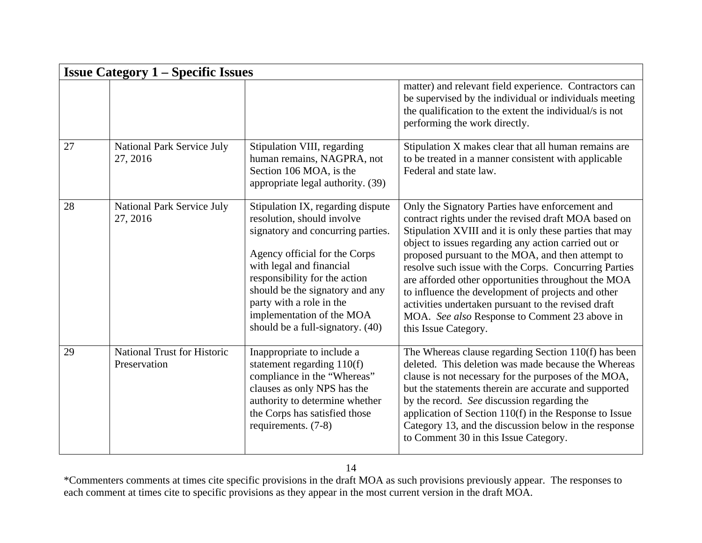|    | <b>Issue Category 1 – Specific Issues</b>          |                                                                                                                                                                                                                                                                                                                                    |                                                                                                                                                                                                                                                                                                                                                                                                                                                                                                                                                                                       |  |  |
|----|----------------------------------------------------|------------------------------------------------------------------------------------------------------------------------------------------------------------------------------------------------------------------------------------------------------------------------------------------------------------------------------------|---------------------------------------------------------------------------------------------------------------------------------------------------------------------------------------------------------------------------------------------------------------------------------------------------------------------------------------------------------------------------------------------------------------------------------------------------------------------------------------------------------------------------------------------------------------------------------------|--|--|
|    |                                                    |                                                                                                                                                                                                                                                                                                                                    | matter) and relevant field experience. Contractors can<br>be supervised by the individual or individuals meeting<br>the qualification to the extent the individual/s is not<br>performing the work directly.                                                                                                                                                                                                                                                                                                                                                                          |  |  |
| 27 | National Park Service July<br>27, 2016             | Stipulation VIII, regarding<br>human remains, NAGPRA, not<br>Section 106 MOA, is the<br>appropriate legal authority. (39)                                                                                                                                                                                                          | Stipulation X makes clear that all human remains are<br>to be treated in a manner consistent with applicable<br>Federal and state law.                                                                                                                                                                                                                                                                                                                                                                                                                                                |  |  |
| 28 | National Park Service July<br>27, 2016             | Stipulation IX, regarding dispute<br>resolution, should involve<br>signatory and concurring parties.<br>Agency official for the Corps<br>with legal and financial<br>responsibility for the action<br>should be the signatory and any<br>party with a role in the<br>implementation of the MOA<br>should be a full-signatory. (40) | Only the Signatory Parties have enforcement and<br>contract rights under the revised draft MOA based on<br>Stipulation XVIII and it is only these parties that may<br>object to issues regarding any action carried out or<br>proposed pursuant to the MOA, and then attempt to<br>resolve such issue with the Corps. Concurring Parties<br>are afforded other opportunities throughout the MOA<br>to influence the development of projects and other<br>activities undertaken pursuant to the revised draft<br>MOA. See also Response to Comment 23 above in<br>this Issue Category. |  |  |
| 29 | <b>National Trust for Historic</b><br>Preservation | Inappropriate to include a<br>statement regarding 110(f)<br>compliance in the "Whereas"<br>clauses as only NPS has the<br>authority to determine whether<br>the Corps has satisfied those<br>requirements. (7-8)                                                                                                                   | The Whereas clause regarding Section 110(f) has been<br>deleted. This deletion was made because the Whereas<br>clause is not necessary for the purposes of the MOA,<br>but the statements therein are accurate and supported<br>by the record. See discussion regarding the<br>application of Section $110(f)$ in the Response to Issue<br>Category 13, and the discussion below in the response<br>to Comment 30 in this Issue Category.                                                                                                                                             |  |  |

<sup>\*</sup>Commenters comments at times cite specific provisions in the draft MOA as such provisions previously appear. The responses to each comment at times cite to specific provisions as they appear in the most current version in the draft MOA.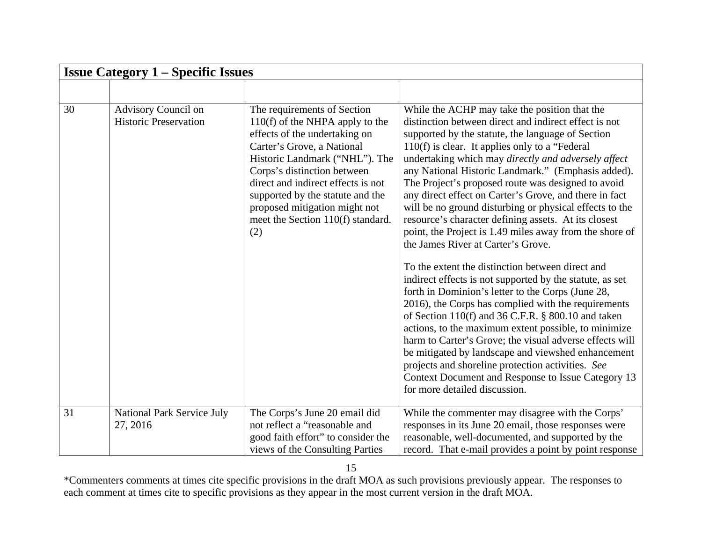|    | <b>Issue Category 1 – Specific Issues</b>           |                                                                                                                                                                                                                                                                                                                                                         |                                                                                                                                                                                                                                                                                                                                                                                                                                                                                                                                                                                                                                                                                                                                                                                                                                                                                                                                                                                                                                                                                                                                                                                                                                                                          |
|----|-----------------------------------------------------|---------------------------------------------------------------------------------------------------------------------------------------------------------------------------------------------------------------------------------------------------------------------------------------------------------------------------------------------------------|--------------------------------------------------------------------------------------------------------------------------------------------------------------------------------------------------------------------------------------------------------------------------------------------------------------------------------------------------------------------------------------------------------------------------------------------------------------------------------------------------------------------------------------------------------------------------------------------------------------------------------------------------------------------------------------------------------------------------------------------------------------------------------------------------------------------------------------------------------------------------------------------------------------------------------------------------------------------------------------------------------------------------------------------------------------------------------------------------------------------------------------------------------------------------------------------------------------------------------------------------------------------------|
|    |                                                     |                                                                                                                                                                                                                                                                                                                                                         |                                                                                                                                                                                                                                                                                                                                                                                                                                                                                                                                                                                                                                                                                                                                                                                                                                                                                                                                                                                                                                                                                                                                                                                                                                                                          |
| 30 | Advisory Council on<br><b>Historic Preservation</b> | The requirements of Section<br>$110(f)$ of the NHPA apply to the<br>effects of the undertaking on<br>Carter's Grove, a National<br>Historic Landmark ("NHL"). The<br>Corps's distinction between<br>direct and indirect effects is not<br>supported by the statute and the<br>proposed mitigation might not<br>meet the Section 110(f) standard.<br>(2) | While the ACHP may take the position that the<br>distinction between direct and indirect effect is not<br>supported by the statute, the language of Section<br>$110(f)$ is clear. It applies only to a "Federal"<br>undertaking which may directly and adversely affect<br>any National Historic Landmark." (Emphasis added).<br>The Project's proposed route was designed to avoid<br>any direct effect on Carter's Grove, and there in fact<br>will be no ground disturbing or physical effects to the<br>resource's character defining assets. At its closest<br>point, the Project is 1.49 miles away from the shore of<br>the James River at Carter's Grove.<br>To the extent the distinction between direct and<br>indirect effects is not supported by the statute, as set<br>forth in Dominion's letter to the Corps (June 28,<br>2016), the Corps has complied with the requirements<br>of Section 110(f) and 36 C.F.R. § 800.10 and taken<br>actions, to the maximum extent possible, to minimize<br>harm to Carter's Grove; the visual adverse effects will<br>be mitigated by landscape and viewshed enhancement<br>projects and shoreline protection activities. See<br>Context Document and Response to Issue Category 13<br>for more detailed discussion. |
| 31 | <b>National Park Service July</b><br>27, 2016       | The Corps's June 20 email did<br>not reflect a "reasonable and<br>good faith effort" to consider the<br>views of the Consulting Parties                                                                                                                                                                                                                 | While the commenter may disagree with the Corps'<br>responses in its June 20 email, those responses were<br>reasonable, well-documented, and supported by the<br>record. That e-mail provides a point by point response                                                                                                                                                                                                                                                                                                                                                                                                                                                                                                                                                                                                                                                                                                                                                                                                                                                                                                                                                                                                                                                  |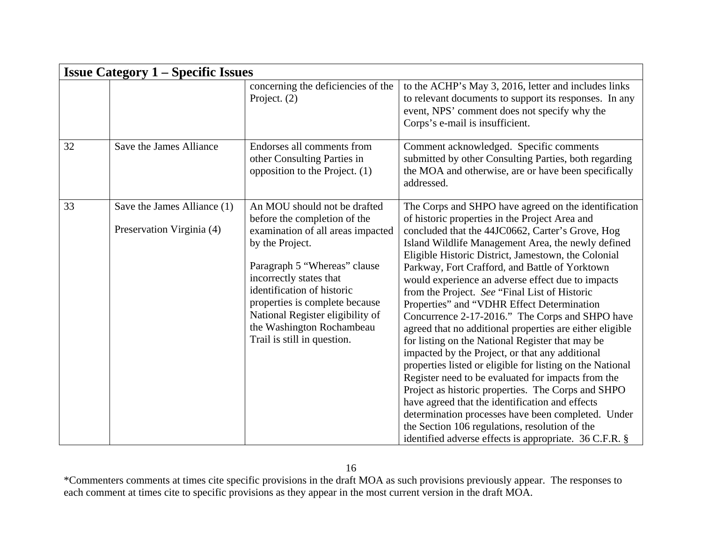|    | <b>Issue Category 1 – Specific Issues</b>                |                                                                                                                                                                                                                                                                                                                                                 |                                                                                                                                                                                                                                                                                                                                                                                                                                                                                                                                                                                                                                                                                                                                                                                                                                                                                                                                                                                                                                                                                                   |  |
|----|----------------------------------------------------------|-------------------------------------------------------------------------------------------------------------------------------------------------------------------------------------------------------------------------------------------------------------------------------------------------------------------------------------------------|---------------------------------------------------------------------------------------------------------------------------------------------------------------------------------------------------------------------------------------------------------------------------------------------------------------------------------------------------------------------------------------------------------------------------------------------------------------------------------------------------------------------------------------------------------------------------------------------------------------------------------------------------------------------------------------------------------------------------------------------------------------------------------------------------------------------------------------------------------------------------------------------------------------------------------------------------------------------------------------------------------------------------------------------------------------------------------------------------|--|
|    |                                                          | concerning the deficiencies of the<br>Project. $(2)$                                                                                                                                                                                                                                                                                            | to the ACHP's May 3, 2016, letter and includes links<br>to relevant documents to support its responses. In any<br>event, NPS' comment does not specify why the<br>Corps's e-mail is insufficient.                                                                                                                                                                                                                                                                                                                                                                                                                                                                                                                                                                                                                                                                                                                                                                                                                                                                                                 |  |
| 32 | Save the James Alliance                                  | Endorses all comments from<br>other Consulting Parties in<br>opposition to the Project. $(1)$                                                                                                                                                                                                                                                   | Comment acknowledged. Specific comments<br>submitted by other Consulting Parties, both regarding<br>the MOA and otherwise, are or have been specifically<br>addressed.                                                                                                                                                                                                                                                                                                                                                                                                                                                                                                                                                                                                                                                                                                                                                                                                                                                                                                                            |  |
| 33 | Save the James Alliance (1)<br>Preservation Virginia (4) | An MOU should not be drafted<br>before the completion of the<br>examination of all areas impacted<br>by the Project.<br>Paragraph 5 "Whereas" clause<br>incorrectly states that<br>identification of historic<br>properties is complete because<br>National Register eligibility of<br>the Washington Rochambeau<br>Trail is still in question. | The Corps and SHPO have agreed on the identification<br>of historic properties in the Project Area and<br>concluded that the 44JC0662, Carter's Grove, Hog<br>Island Wildlife Management Area, the newly defined<br>Eligible Historic District, Jamestown, the Colonial<br>Parkway, Fort Crafford, and Battle of Yorktown<br>would experience an adverse effect due to impacts<br>from the Project. See "Final List of Historic<br>Properties" and "VDHR Effect Determination<br>Concurrence 2-17-2016." The Corps and SHPO have<br>agreed that no additional properties are either eligible<br>for listing on the National Register that may be<br>impacted by the Project, or that any additional<br>properties listed or eligible for listing on the National<br>Register need to be evaluated for impacts from the<br>Project as historic properties. The Corps and SHPO<br>have agreed that the identification and effects<br>determination processes have been completed. Under<br>the Section 106 regulations, resolution of the<br>identified adverse effects is appropriate. 36 C.F.R. § |  |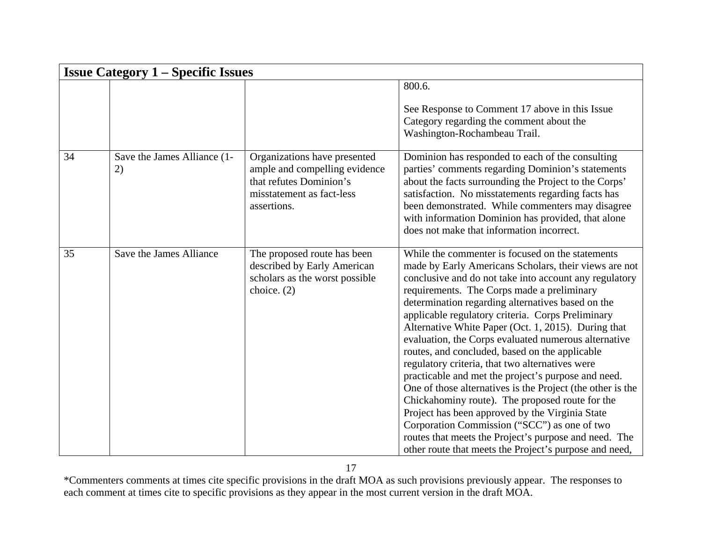|    | <b>Issue Category 1 – Specific Issues</b> |                                                                                                                                      |                                                                                                                                                                                                                                                                                                                                                                                                                                                                                                                                                                                                                                                                                                                                                                                                                                                                                                                                               |  |  |
|----|-------------------------------------------|--------------------------------------------------------------------------------------------------------------------------------------|-----------------------------------------------------------------------------------------------------------------------------------------------------------------------------------------------------------------------------------------------------------------------------------------------------------------------------------------------------------------------------------------------------------------------------------------------------------------------------------------------------------------------------------------------------------------------------------------------------------------------------------------------------------------------------------------------------------------------------------------------------------------------------------------------------------------------------------------------------------------------------------------------------------------------------------------------|--|--|
|    |                                           |                                                                                                                                      | 800.6.                                                                                                                                                                                                                                                                                                                                                                                                                                                                                                                                                                                                                                                                                                                                                                                                                                                                                                                                        |  |  |
|    |                                           |                                                                                                                                      | See Response to Comment 17 above in this Issue<br>Category regarding the comment about the<br>Washington-Rochambeau Trail.                                                                                                                                                                                                                                                                                                                                                                                                                                                                                                                                                                                                                                                                                                                                                                                                                    |  |  |
| 34 | Save the James Alliance (1-<br>2)         | Organizations have presented<br>ample and compelling evidence<br>that refutes Dominion's<br>misstatement as fact-less<br>assertions. | Dominion has responded to each of the consulting<br>parties' comments regarding Dominion's statements<br>about the facts surrounding the Project to the Corps'<br>satisfaction. No misstatements regarding facts has<br>been demonstrated. While commenters may disagree<br>with information Dominion has provided, that alone<br>does not make that information incorrect.                                                                                                                                                                                                                                                                                                                                                                                                                                                                                                                                                                   |  |  |
| 35 | Save the James Alliance                   | The proposed route has been<br>described by Early American<br>scholars as the worst possible<br>choice. $(2)$                        | While the commenter is focused on the statements<br>made by Early Americans Scholars, their views are not<br>conclusive and do not take into account any regulatory<br>requirements. The Corps made a preliminary<br>determination regarding alternatives based on the<br>applicable regulatory criteria. Corps Preliminary<br>Alternative White Paper (Oct. 1, 2015). During that<br>evaluation, the Corps evaluated numerous alternative<br>routes, and concluded, based on the applicable<br>regulatory criteria, that two alternatives were<br>practicable and met the project's purpose and need.<br>One of those alternatives is the Project (the other is the<br>Chickahominy route). The proposed route for the<br>Project has been approved by the Virginia State<br>Corporation Commission ("SCC") as one of two<br>routes that meets the Project's purpose and need. The<br>other route that meets the Project's purpose and need, |  |  |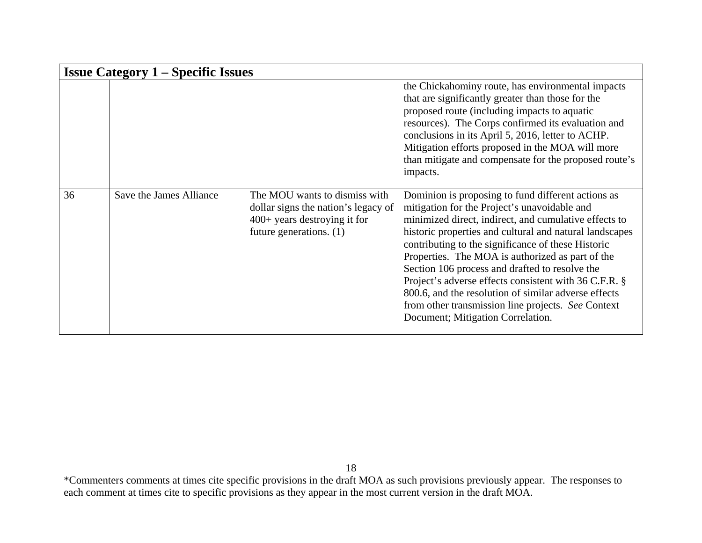|    | <b>Issue Category 1 – Specific Issues</b> |                                                                                                                                   |                                                                                                                                                                                                                                                                                                                                                                                                                                                                                                                                                                                                |  |  |
|----|-------------------------------------------|-----------------------------------------------------------------------------------------------------------------------------------|------------------------------------------------------------------------------------------------------------------------------------------------------------------------------------------------------------------------------------------------------------------------------------------------------------------------------------------------------------------------------------------------------------------------------------------------------------------------------------------------------------------------------------------------------------------------------------------------|--|--|
|    |                                           |                                                                                                                                   | the Chickahominy route, has environmental impacts<br>that are significantly greater than those for the<br>proposed route (including impacts to aquatic<br>resources). The Corps confirmed its evaluation and<br>conclusions in its April 5, 2016, letter to ACHP.<br>Mitigation efforts proposed in the MOA will more<br>than mitigate and compensate for the proposed route's<br>impacts.                                                                                                                                                                                                     |  |  |
| 36 | Save the James Alliance                   | The MOU wants to dismiss with<br>dollar signs the nation's legacy of<br>$400+$ years destroying it for<br>future generations. (1) | Dominion is proposing to fund different actions as<br>mitigation for the Project's unavoidable and<br>minimized direct, indirect, and cumulative effects to<br>historic properties and cultural and natural landscapes<br>contributing to the significance of these Historic<br>Properties. The MOA is authorized as part of the<br>Section 106 process and drafted to resolve the<br>Project's adverse effects consistent with 36 C.F.R. §<br>800.6, and the resolution of similar adverse effects<br>from other transmission line projects. See Context<br>Document; Mitigation Correlation. |  |  |

<sup>\*</sup>Commenters comments at times cite specific provisions in the draft MOA as such provisions previously appear. The responses to each comment at times cite to specific provisions as they appear in the most current version in the draft MOA.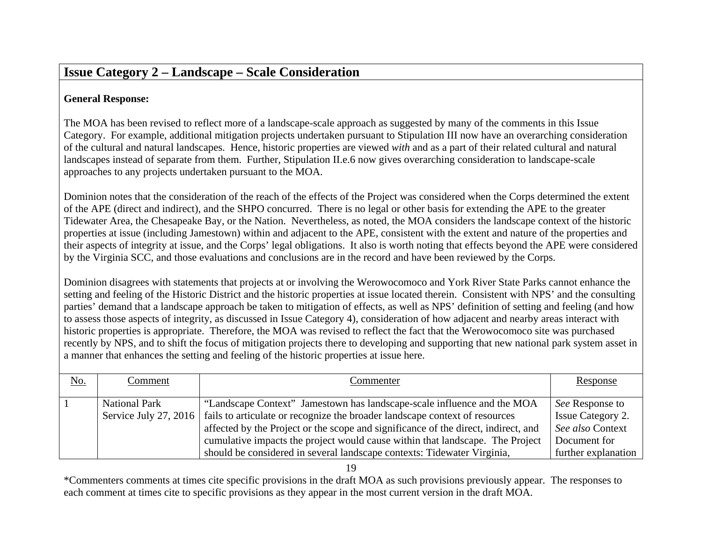## **Issue Category 2 – Landscape – Scale Consideration**

#### **General Response:**

The MOA has been revised to reflect more of a landscape-scale approach as suggested by many of the comments in this Issue Category. For example, additional mitigation projects undertaken pursuant to Stipulation III now have an overarching consideration of the cultural and natural landscapes. Hence, historic properties are viewed *with* and as a part of their related cultural and natural landscapes instead of separate from them. Further, Stipulation II.e.6 now gives overarching consideration to landscape-scale approaches to any projects undertaken pursuant to the MOA.

Dominion notes that the consideration of the reach of the effects of the Project was considered when the Corps determined the extent of the APE (direct and indirect), and the SHPO concurred. There is no legal or other basis for extending the APE to the greater Tidewater Area, the Chesapeake Bay, or the Nation. Nevertheless, as noted, the MOA considers the landscape context of the historic properties at issue (including Jamestown) within and adjacent to the APE, consistent with the extent and nature of the properties and their aspects of integrity at issue, and the Corps' legal obligations. It also is worth noting that effects beyond the APE were considered by the Virginia SCC, and those evaluations and conclusions are in the record and have been reviewed by the Corps.

Dominion disagrees with statements that projects at or involving the Werowocomoco and York River State Parks cannot enhance the setting and feeling of the Historic District and the historic properties at issue located therein. Consistent with NPS' and the consulting parties' demand that a landscape approach be taken to mitigation of effects, as well as NPS' definition of setting and feeling (and how to assess those aspects of integrity, as discussed in Issue Category 4), consideration of how adjacent and nearby areas interact with historic properties is appropriate. Therefore, the MOA was revised to reflect the fact that the Werowocomoco site was purchased recently by NPS, and to shift the focus of mitigation projects there to developing and supporting that new national park system asset in a manner that enhances the setting and feeling of the historic properties at issue here.

| <u>No.</u> | Comment                                       | Commenter                                                                                                                                                                                                                                                                                                                                                                                                | Response                                                                                                      |
|------------|-----------------------------------------------|----------------------------------------------------------------------------------------------------------------------------------------------------------------------------------------------------------------------------------------------------------------------------------------------------------------------------------------------------------------------------------------------------------|---------------------------------------------------------------------------------------------------------------|
|            | <b>National Park</b><br>Service July 27, 2016 | "Landscape Context" Jamestown has landscape-scale influence and the MOA<br>fails to articulate or recognize the broader landscape context of resources<br>affected by the Project or the scope and significance of the direct, indirect, and<br>cumulative impacts the project would cause within that landscape. The Project<br>should be considered in several landscape contexts: Tidewater Virginia, | <i>See</i> Response to<br><b>Issue Category 2.</b><br>See also Context<br>Document for<br>further explanation |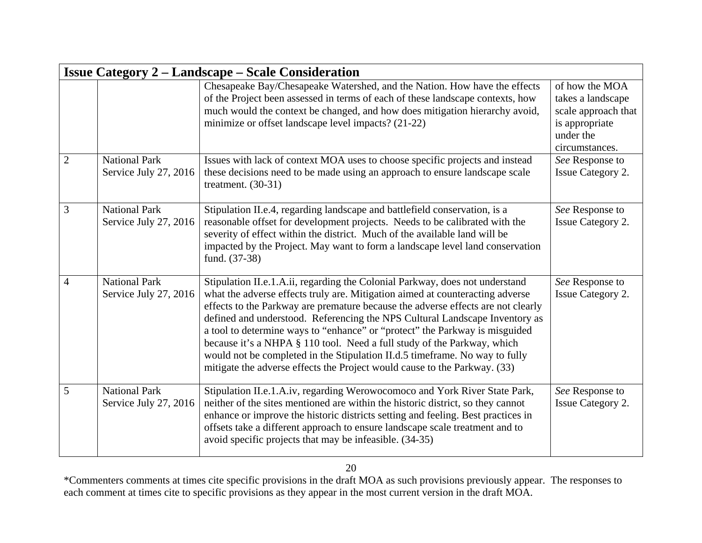|                | <b>Issue Category 2 – Landscape – Scale Consideration</b> |                                                                                                                                                                                                                                                                                                                                                                                                                                                                                                                                                                                                                                                        |                                                                                                             |  |
|----------------|-----------------------------------------------------------|--------------------------------------------------------------------------------------------------------------------------------------------------------------------------------------------------------------------------------------------------------------------------------------------------------------------------------------------------------------------------------------------------------------------------------------------------------------------------------------------------------------------------------------------------------------------------------------------------------------------------------------------------------|-------------------------------------------------------------------------------------------------------------|--|
|                |                                                           | Chesapeake Bay/Chesapeake Watershed, and the Nation. How have the effects<br>of the Project been assessed in terms of each of these landscape contexts, how<br>much would the context be changed, and how does mitigation hierarchy avoid,<br>minimize or offset landscape level impacts? (21-22)                                                                                                                                                                                                                                                                                                                                                      | of how the MOA<br>takes a landscape<br>scale approach that<br>is appropriate<br>under the<br>circumstances. |  |
| $\overline{2}$ | <b>National Park</b><br>Service July 27, 2016             | Issues with lack of context MOA uses to choose specific projects and instead<br>these decisions need to be made using an approach to ensure landscape scale<br>treatment. $(30-31)$                                                                                                                                                                                                                                                                                                                                                                                                                                                                    | See Response to<br><b>Issue Category 2.</b>                                                                 |  |
| 3              | <b>National Park</b><br>Service July 27, 2016             | Stipulation II.e.4, regarding landscape and battlefield conservation, is a<br>reasonable offset for development projects. Needs to be calibrated with the<br>severity of effect within the district. Much of the available land will be<br>impacted by the Project. May want to form a landscape level land conservation<br>fund. (37-38)                                                                                                                                                                                                                                                                                                              | See Response to<br><b>Issue Category 2.</b>                                                                 |  |
| $\overline{4}$ | <b>National Park</b><br>Service July 27, 2016             | Stipulation II.e.1.A.ii, regarding the Colonial Parkway, does not understand<br>what the adverse effects truly are. Mitigation aimed at counteracting adverse<br>effects to the Parkway are premature because the adverse effects are not clearly<br>defined and understood. Referencing the NPS Cultural Landscape Inventory as<br>a tool to determine ways to "enhance" or "protect" the Parkway is misguided<br>because it's a NHPA § 110 tool. Need a full study of the Parkway, which<br>would not be completed in the Stipulation II.d.5 timeframe. No way to fully<br>mitigate the adverse effects the Project would cause to the Parkway. (33) | See Response to<br><b>Issue Category 2.</b>                                                                 |  |
| 5              | <b>National Park</b><br>Service July 27, 2016             | Stipulation II.e.1.A.iv, regarding Werowocomoco and York River State Park,<br>neither of the sites mentioned are within the historic district, so they cannot<br>enhance or improve the historic districts setting and feeling. Best practices in<br>offsets take a different approach to ensure landscape scale treatment and to<br>avoid specific projects that may be infeasible. (34-35)                                                                                                                                                                                                                                                           | See Response to<br><b>Issue Category 2.</b>                                                                 |  |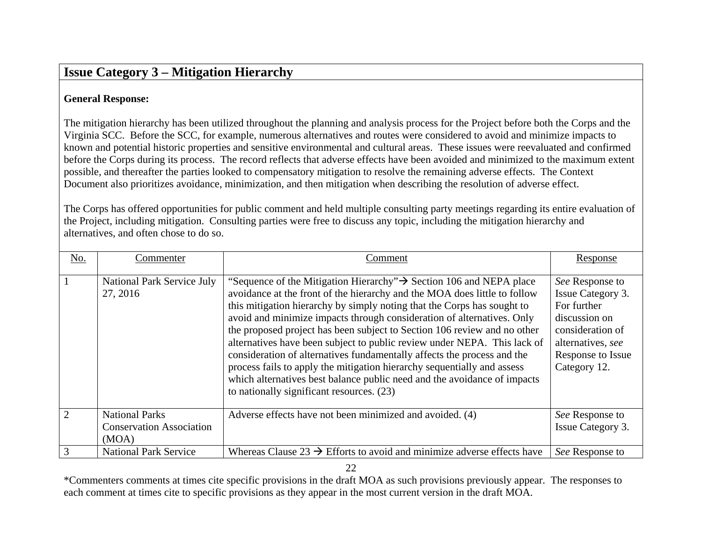## **Issue Category 3 – Mitigation Hierarchy**

### **General Response:**

The mitigation hierarchy has been utilized throughout the planning and analysis process for the Project before both the Corps and the Virginia SCC. Before the SCC, for example, numerous alternatives and routes were considered to avoid and minimize impacts to known and potential historic properties and sensitive environmental and cultural areas. These issues were reevaluated and confirmed before the Corps during its process. The record reflects that adverse effects have been avoided and minimized to the maximum extent possible, and thereafter the parties looked to compensatory mitigation to resolve the remaining adverse effects. The Context Document also prioritizes avoidance, minimization, and then mitigation when describing the resolution of adverse effect.

The Corps has offered opportunities for public comment and held multiple consulting party meetings regarding its entire evaluation of the Project, including mitigation. Consulting parties were free to discuss any topic, including the mitigation hierarchy and alternatives, and often chose to do so.

| No.          | Commenter                                                         | Comment                                                                                                                                                                                                                                                                                                                                                                                                                                                                                                                                                                                                                                                                                                                                                  | Response                                                                                                                                           |
|--------------|-------------------------------------------------------------------|----------------------------------------------------------------------------------------------------------------------------------------------------------------------------------------------------------------------------------------------------------------------------------------------------------------------------------------------------------------------------------------------------------------------------------------------------------------------------------------------------------------------------------------------------------------------------------------------------------------------------------------------------------------------------------------------------------------------------------------------------------|----------------------------------------------------------------------------------------------------------------------------------------------------|
| $\mathbf{1}$ | <b>National Park Service July</b><br>27, 2016                     | "Sequence of the Mitigation Hierarchy" $\rightarrow$ Section 106 and NEPA place<br>avoidance at the front of the hierarchy and the MOA does little to follow<br>this mitigation hierarchy by simply noting that the Corps has sought to<br>avoid and minimize impacts through consideration of alternatives. Only<br>the proposed project has been subject to Section 106 review and no other<br>alternatives have been subject to public review under NEPA. This lack of<br>consideration of alternatives fundamentally affects the process and the<br>process fails to apply the mitigation hierarchy sequentially and assess<br>which alternatives best balance public need and the avoidance of impacts<br>to nationally significant resources. (23) | See Response to<br>Issue Category 3.<br>For further<br>discussion on<br>consideration of<br>alternatives, see<br>Response to Issue<br>Category 12. |
| 2            | <b>National Parks</b><br><b>Conservation Association</b><br>(MOA) | Adverse effects have not been minimized and avoided. (4)                                                                                                                                                                                                                                                                                                                                                                                                                                                                                                                                                                                                                                                                                                 | See Response to<br><b>Issue Category 3.</b>                                                                                                        |
| 3            | <b>National Park Service</b>                                      | Whereas Clause $23 \rightarrow$ Efforts to avoid and minimize adverse effects have                                                                                                                                                                                                                                                                                                                                                                                                                                                                                                                                                                                                                                                                       | See Response to                                                                                                                                    |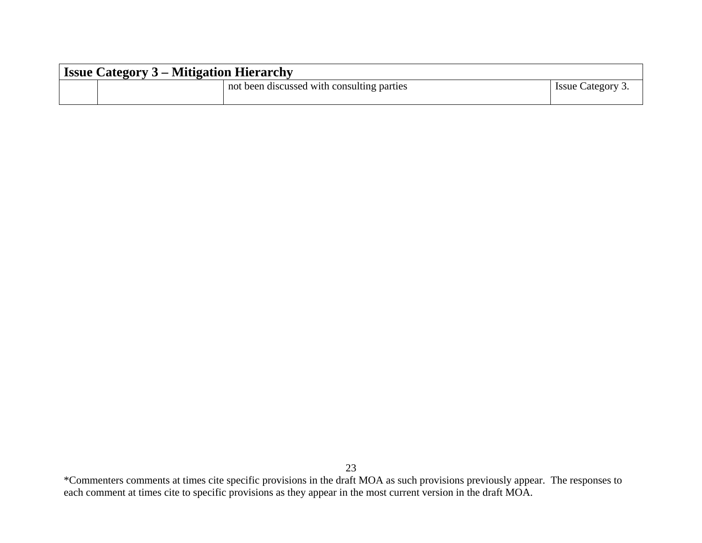| <b>Issue Category 3 – Mitigation Hierarchy</b> |  |                                            |                   |
|------------------------------------------------|--|--------------------------------------------|-------------------|
|                                                |  | not been discussed with consulting parties | Issue Category 3. |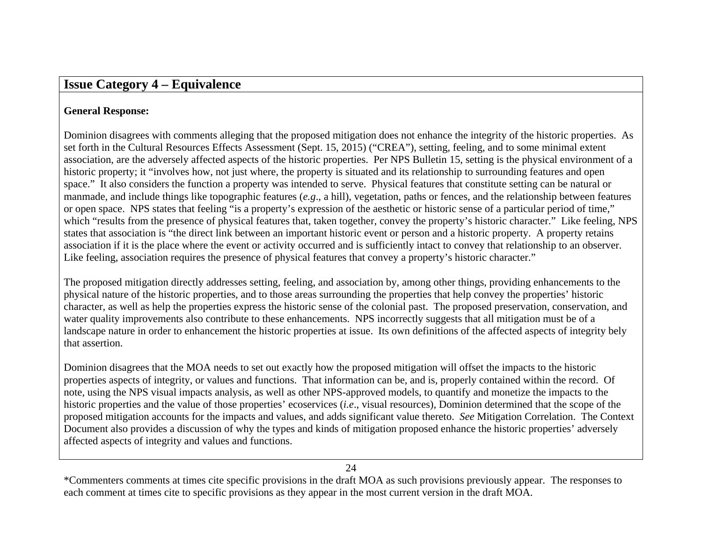### **Issue Category 4 – Equivalence**

#### **General Response:**

Dominion disagrees with comments alleging that the proposed mitigation does not enhance the integrity of the historic properties. As set forth in the Cultural Resources Effects Assessment (Sept. 15, 2015) ("CREA"), setting, feeling, and to some minimal extent association, are the adversely affected aspects of the historic properties. Per NPS Bulletin 15, setting is the physical environment of a historic property; it "involves how, not just where, the property is situated and its relationship to surrounding features and open space." It also considers the function a property was intended to serve. Physical features that constitute setting can be natural or manmade, and include things like topographic features (*e.g*., a hill), vegetation, paths or fences, and the relationship between features or open space. NPS states that feeling "is a property's expression of the aesthetic or historic sense of a particular period of time," which "results from the presence of physical features that, taken together, convey the property's historic character." Like feeling, NPS states that association is "the direct link between an important historic event or person and a historic property. A property retains association if it is the place where the event or activity occurred and is sufficiently intact to convey that relationship to an observer. Like feeling, association requires the presence of physical features that convey a property's historic character."

The proposed mitigation directly addresses setting, feeling, and association by, among other things, providing enhancements to the physical nature of the historic properties, and to those areas surrounding the properties that help convey the properties' historic character, as well as help the properties express the historic sense of the colonial past. The proposed preservation, conservation, and water quality improvements also contribute to these enhancements. NPS incorrectly suggests that all mitigation must be of a landscape nature in order to enhancement the historic properties at issue. Its own definitions of the affected aspects of integrity bely that assertion.

Dominion disagrees that the MOA needs to set out exactly how the proposed mitigation will offset the impacts to the historic properties aspects of integrity, or values and functions. That information can be, and is, properly contained within the record. Of note, using the NPS visual impacts analysis, as well as other NPS-approved models, to quantify and monetize the impacts to the historic properties and the value of those properties' ecoservices (*i.e*., visual resources), Dominion determined that the scope of the proposed mitigation accounts for the impacts and values, and adds significant value thereto. *See* Mitigation Correlation. The Context Document also provides a discussion of why the types and kinds of mitigation proposed enhance the historic properties' adversely affected aspects of integrity and values and functions.

24

<sup>\*</sup>Commenters comments at times cite specific provisions in the draft MOA as such provisions previously appear. The responses to each comment at times cite to specific provisions as they appear in the most current version in the draft MOA.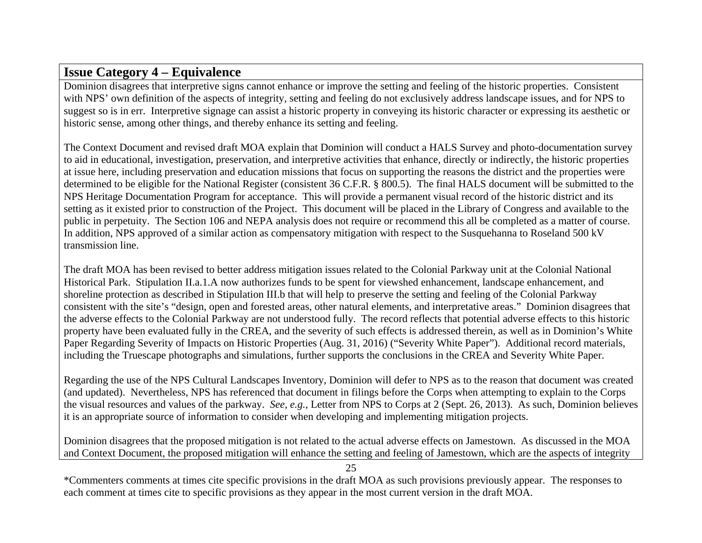## **Issue Category 4 – Equivalence**

Dominion disagrees that interpretive signs cannot enhance or improve the setting and feeling of the historic properties. Consistent with NPS' own definition of the aspects of integrity, setting and feeling do not exclusively address landscape issues, and for NPS to suggest so is in err. Interpretive signage can assist a historic property in conveying its historic character or expressing its aesthetic or historic sense, among other things, and thereby enhance its setting and feeling.

The Context Document and revised draft MOA explain that Dominion will conduct a HALS Survey and photo-documentation survey to aid in educational, investigation, preservation, and interpretive activities that enhance, directly or indirectly, the historic properties at issue here, including preservation and education missions that focus on supporting the reasons the district and the properties were determined to be eligible for the National Register (consistent 36 C.F.R. § 800.5). The final HALS document will be submitted to the NPS Heritage Documentation Program for acceptance. This will provide a permanent visual record of the historic district and its setting as it existed prior to construction of the Project. This document will be placed in the Library of Congress and available to the public in perpetuity. The Section 106 and NEPA analysis does not require or recommend this all be completed as a matter of course. In addition, NPS approved of a similar action as compensatory mitigation with respect to the Susquehanna to Roseland 500 kV transmission line.

The draft MOA has been revised to better address mitigation issues related to the Colonial Parkway unit at the Colonial National Historical Park. Stipulation II.a.1.A now authorizes funds to be spent for viewshed enhancement, landscape enhancement, and shoreline protection as described in Stipulation III.b that will help to preserve the setting and feeling of the Colonial Parkway consistent with the site's "design, open and forested areas, other natural elements, and interpretative areas." Dominion disagrees that the adverse effects to the Colonial Parkway are not understood fully. The record reflects that potential adverse effects to this historic property have been evaluated fully in the CREA, and the severity of such effects is addressed therein, as well as in Dominion's White Paper Regarding Severity of Impacts on Historic Properties (Aug. 31, 2016) ("Severity White Paper"). Additional record materials, including the Truescape photographs and simulations, further supports the conclusions in the CREA and Severity White Paper.

Regarding the use of the NPS Cultural Landscapes Inventory, Dominion will defer to NPS as to the reason that document was created (and updated). Nevertheless, NPS has referenced that document in filings before the Corps when attempting to explain to the Corps the visual resources and values of the parkway. *See, e.g.*, Letter from NPS to Corps at 2 (Sept. 26, 2013). As such, Dominion believes it is an appropriate source of information to consider when developing and implementing mitigation projects.

Dominion disagrees that the proposed mitigation is not related to the actual adverse effects on Jamestown. As discussed in the MOA and Context Document, the proposed mitigation will enhance the setting and feeling of Jamestown, which are the aspects of integrity

25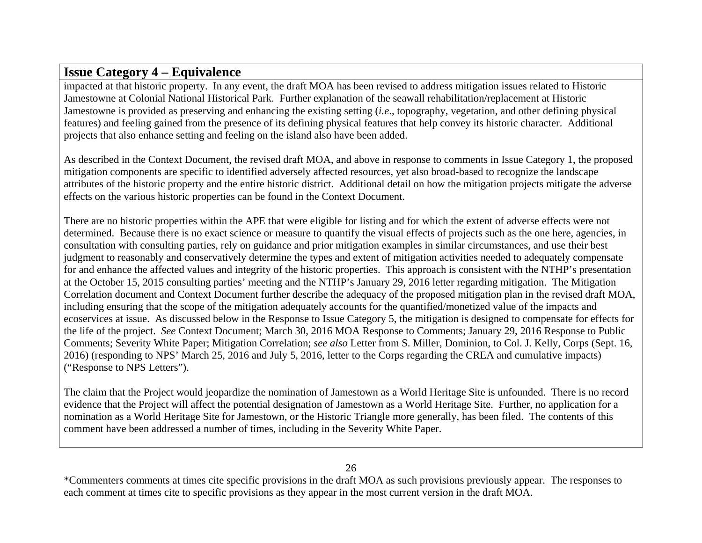## **Issue Category 4 – Equivalence**

impacted at that historic property. In any event, the draft MOA has been revised to address mitigation issues related to Historic Jamestowne at Colonial National Historical Park. Further explanation of the seawall rehabilitation/replacement at Historic Jamestowne is provided as preserving and enhancing the existing setting (*i.e*., topography, vegetation, and other defining physical features) and feeling gained from the presence of its defining physical features that help convey its historic character. Additional projects that also enhance setting and feeling on the island also have been added.

As described in the Context Document, the revised draft MOA, and above in response to comments in Issue Category 1, the proposed mitigation components are specific to identified adversely affected resources, yet also broad-based to recognize the landscape attributes of the historic property and the entire historic district. Additional detail on how the mitigation projects mitigate the adverse effects on the various historic properties can be found in the Context Document.

There are no historic properties within the APE that were eligible for listing and for which the extent of adverse effects were not determined. Because there is no exact science or measure to quantify the visual effects of projects such as the one here, agencies, in consultation with consulting parties, rely on guidance and prior mitigation examples in similar circumstances, and use their best judgment to reasonably and conservatively determine the types and extent of mitigation activities needed to adequately compensate for and enhance the affected values and integrity of the historic properties. This approach is consistent with the NTHP's presentation at the October 15, 2015 consulting parties' meeting and the NTHP's January 29, 2016 letter regarding mitigation. The Mitigation Correlation document and Context Document further describe the adequacy of the proposed mitigation plan in the revised draft MOA, including ensuring that the scope of the mitigation adequately accounts for the quantified/monetized value of the impacts and ecoservices at issue. As discussed below in the Response to Issue Category 5, the mitigation is designed to compensate for effects for the life of the project. *See* Context Document; March 30, 2016 MOA Response to Comments; January 29, 2016 Response to Public Comments; Severity White Paper; Mitigation Correlation; *see also* Letter from S. Miller, Dominion, to Col. J. Kelly, Corps (Sept. 16, 2016) (responding to NPS' March 25, 2016 and July 5, 2016, letter to the Corps regarding the CREA and cumulative impacts) ("Response to NPS Letters").

The claim that the Project would jeopardize the nomination of Jamestown as a World Heritage Site is unfounded. There is no record evidence that the Project will affect the potential designation of Jamestown as a World Heritage Site. Further, no application for a nomination as a World Heritage Site for Jamestown, or the Historic Triangle more generally, has been filed. The contents of this comment have been addressed a number of times, including in the Severity White Paper.

26

<sup>\*</sup>Commenters comments at times cite specific provisions in the draft MOA as such provisions previously appear. The responses to each comment at times cite to specific provisions as they appear in the most current version in the draft MOA.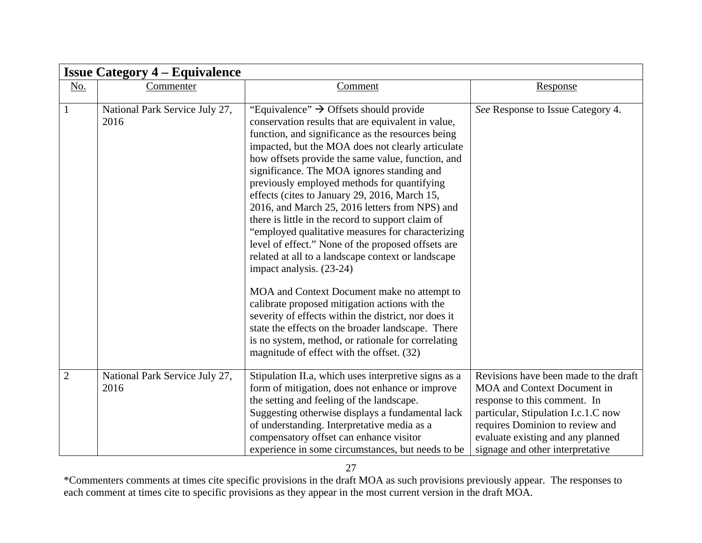|                | <b>Issue Category 4 – Equivalence</b>  |                                                                                                                                                                                                                                                                                                                                                                                                                                                                                                                                                                                                                                                                                                                                                                                                                                                                                                                                                                                                                                            |                                                                                                                                                                                                                                                         |  |  |
|----------------|----------------------------------------|--------------------------------------------------------------------------------------------------------------------------------------------------------------------------------------------------------------------------------------------------------------------------------------------------------------------------------------------------------------------------------------------------------------------------------------------------------------------------------------------------------------------------------------------------------------------------------------------------------------------------------------------------------------------------------------------------------------------------------------------------------------------------------------------------------------------------------------------------------------------------------------------------------------------------------------------------------------------------------------------------------------------------------------------|---------------------------------------------------------------------------------------------------------------------------------------------------------------------------------------------------------------------------------------------------------|--|--|
| <u>No.</u>     | Commenter                              | Comment                                                                                                                                                                                                                                                                                                                                                                                                                                                                                                                                                                                                                                                                                                                                                                                                                                                                                                                                                                                                                                    | <b>Response</b>                                                                                                                                                                                                                                         |  |  |
|                | National Park Service July 27,<br>2016 | "Equivalence" $\rightarrow$ Offsets should provide<br>conservation results that are equivalent in value,<br>function, and significance as the resources being<br>impacted, but the MOA does not clearly articulate<br>how offsets provide the same value, function, and<br>significance. The MOA ignores standing and<br>previously employed methods for quantifying<br>effects (cites to January 29, 2016, March 15,<br>2016, and March 25, 2016 letters from NPS) and<br>there is little in the record to support claim of<br>"employed qualitative measures for characterizing<br>level of effect." None of the proposed offsets are<br>related at all to a landscape context or landscape<br>impact analysis. (23-24)<br>MOA and Context Document make no attempt to<br>calibrate proposed mitigation actions with the<br>severity of effects within the district, nor does it<br>state the effects on the broader landscape. There<br>is no system, method, or rationale for correlating<br>magnitude of effect with the offset. (32) | See Response to Issue Category 4.                                                                                                                                                                                                                       |  |  |
| $\overline{2}$ | National Park Service July 27,<br>2016 | Stipulation II.a, which uses interpretive signs as a<br>form of mitigation, does not enhance or improve<br>the setting and feeling of the landscape.<br>Suggesting otherwise displays a fundamental lack<br>of understanding. Interpretative media as a<br>compensatory offset can enhance visitor<br>experience in some circumstances, but needs to be                                                                                                                                                                                                                                                                                                                                                                                                                                                                                                                                                                                                                                                                                    | Revisions have been made to the draft<br>MOA and Context Document in<br>response to this comment. In<br>particular, Stipulation I.c.1.C now<br>requires Dominion to review and<br>evaluate existing and any planned<br>signage and other interpretative |  |  |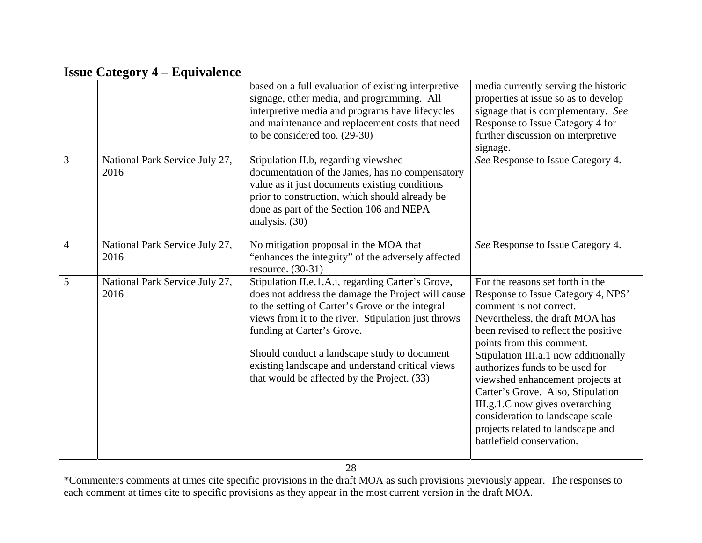|                | <b>Issue Category 4 – Equivalence</b>  |                                                                                                                                                                                                                                                                                                                                                                                                     |                                                                                                                                                                                                                                                                                                                                                                                                                                                                                                        |  |  |
|----------------|----------------------------------------|-----------------------------------------------------------------------------------------------------------------------------------------------------------------------------------------------------------------------------------------------------------------------------------------------------------------------------------------------------------------------------------------------------|--------------------------------------------------------------------------------------------------------------------------------------------------------------------------------------------------------------------------------------------------------------------------------------------------------------------------------------------------------------------------------------------------------------------------------------------------------------------------------------------------------|--|--|
|                |                                        | based on a full evaluation of existing interpretive<br>signage, other media, and programming. All<br>interpretive media and programs have lifecycles<br>and maintenance and replacement costs that need<br>to be considered too. (29-30)                                                                                                                                                            | media currently serving the historic<br>properties at issue so as to develop<br>signage that is complementary. See<br>Response to Issue Category 4 for<br>further discussion on interpretive<br>signage.                                                                                                                                                                                                                                                                                               |  |  |
| $\overline{3}$ | National Park Service July 27,<br>2016 | Stipulation II.b, regarding viewshed<br>documentation of the James, has no compensatory<br>value as it just documents existing conditions<br>prior to construction, which should already be<br>done as part of the Section 106 and NEPA<br>analysis. (30)                                                                                                                                           | See Response to Issue Category 4.                                                                                                                                                                                                                                                                                                                                                                                                                                                                      |  |  |
| $\overline{4}$ | National Park Service July 27,<br>2016 | No mitigation proposal in the MOA that<br>"enhances the integrity" of the adversely affected<br>resource. $(30-31)$                                                                                                                                                                                                                                                                                 | See Response to Issue Category 4.                                                                                                                                                                                                                                                                                                                                                                                                                                                                      |  |  |
| 5              | National Park Service July 27,<br>2016 | Stipulation II.e.1.A.i, regarding Carter's Grove,<br>does not address the damage the Project will cause<br>to the setting of Carter's Grove or the integral<br>views from it to the river. Stipulation just throws<br>funding at Carter's Grove.<br>Should conduct a landscape study to document<br>existing landscape and understand critical views<br>that would be affected by the Project. (33) | For the reasons set forth in the<br>Response to Issue Category 4, NPS'<br>comment is not correct.<br>Nevertheless, the draft MOA has<br>been revised to reflect the positive<br>points from this comment.<br>Stipulation III.a.1 now additionally<br>authorizes funds to be used for<br>viewshed enhancement projects at<br>Carter's Grove. Also, Stipulation<br>III.g.1.C now gives overarching<br>consideration to landscape scale<br>projects related to landscape and<br>battlefield conservation. |  |  |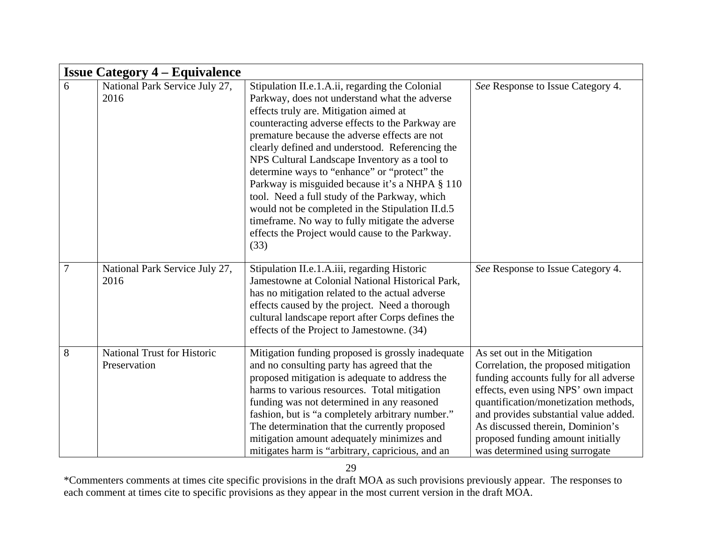|        | <b>Issue Category 4 – Equivalence</b>              |                                                                                                                                                                                                                                                                                                                                                                                                                                                                                                                                                                                                                                                                          |                                                                                                                                                                                                                                                                                                                                                   |  |  |
|--------|----------------------------------------------------|--------------------------------------------------------------------------------------------------------------------------------------------------------------------------------------------------------------------------------------------------------------------------------------------------------------------------------------------------------------------------------------------------------------------------------------------------------------------------------------------------------------------------------------------------------------------------------------------------------------------------------------------------------------------------|---------------------------------------------------------------------------------------------------------------------------------------------------------------------------------------------------------------------------------------------------------------------------------------------------------------------------------------------------|--|--|
| 6      | National Park Service July 27,<br>2016             | Stipulation II.e.1.A.ii, regarding the Colonial<br>Parkway, does not understand what the adverse<br>effects truly are. Mitigation aimed at<br>counteracting adverse effects to the Parkway are<br>premature because the adverse effects are not<br>clearly defined and understood. Referencing the<br>NPS Cultural Landscape Inventory as a tool to<br>determine ways to "enhance" or "protect" the<br>Parkway is misguided because it's a NHPA § 110<br>tool. Need a full study of the Parkway, which<br>would not be completed in the Stipulation II.d.5<br>timeframe. No way to fully mitigate the adverse<br>effects the Project would cause to the Parkway.<br>(33) | See Response to Issue Category 4.                                                                                                                                                                                                                                                                                                                 |  |  |
| $\tau$ | National Park Service July 27,<br>2016             | Stipulation II.e.1.A.iii, regarding Historic<br>Jamestowne at Colonial National Historical Park,<br>has no mitigation related to the actual adverse<br>effects caused by the project. Need a thorough<br>cultural landscape report after Corps defines the<br>effects of the Project to Jamestowne. (34)                                                                                                                                                                                                                                                                                                                                                                 | See Response to Issue Category 4.                                                                                                                                                                                                                                                                                                                 |  |  |
| 8      | <b>National Trust for Historic</b><br>Preservation | Mitigation funding proposed is grossly inadequate<br>and no consulting party has agreed that the<br>proposed mitigation is adequate to address the<br>harms to various resources. Total mitigation<br>funding was not determined in any reasoned<br>fashion, but is "a completely arbitrary number."<br>The determination that the currently proposed<br>mitigation amount adequately minimizes and<br>mitigates harm is "arbitrary, capricious, and an                                                                                                                                                                                                                  | As set out in the Mitigation<br>Correlation, the proposed mitigation<br>funding accounts fully for all adverse<br>effects, even using NPS' own impact<br>quantification/monetization methods,<br>and provides substantial value added.<br>As discussed therein, Dominion's<br>proposed funding amount initially<br>was determined using surrogate |  |  |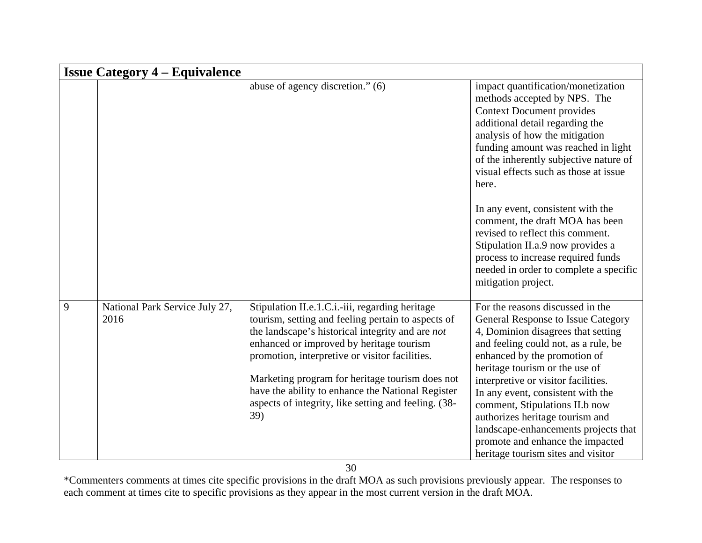|   | <b>Issue Category 4 – Equivalence</b>  |                                                                                                                                                                                                                                                                                                                                                                                                                                |                                                                                                                                                                                                                                                                                                                                                                                                                                                                                           |  |  |
|---|----------------------------------------|--------------------------------------------------------------------------------------------------------------------------------------------------------------------------------------------------------------------------------------------------------------------------------------------------------------------------------------------------------------------------------------------------------------------------------|-------------------------------------------------------------------------------------------------------------------------------------------------------------------------------------------------------------------------------------------------------------------------------------------------------------------------------------------------------------------------------------------------------------------------------------------------------------------------------------------|--|--|
|   |                                        | abuse of agency discretion." (6)                                                                                                                                                                                                                                                                                                                                                                                               | impact quantification/monetization<br>methods accepted by NPS. The<br><b>Context Document provides</b><br>additional detail regarding the<br>analysis of how the mitigation<br>funding amount was reached in light<br>of the inherently subjective nature of<br>visual effects such as those at issue<br>here.                                                                                                                                                                            |  |  |
|   |                                        |                                                                                                                                                                                                                                                                                                                                                                                                                                | In any event, consistent with the<br>comment, the draft MOA has been<br>revised to reflect this comment.<br>Stipulation II.a.9 now provides a<br>process to increase required funds<br>needed in order to complete a specific<br>mitigation project.                                                                                                                                                                                                                                      |  |  |
| 9 | National Park Service July 27,<br>2016 | Stipulation II.e.1.C.i.-iii, regarding heritage<br>tourism, setting and feeling pertain to aspects of<br>the landscape's historical integrity and are not<br>enhanced or improved by heritage tourism<br>promotion, interpretive or visitor facilities.<br>Marketing program for heritage tourism does not<br>have the ability to enhance the National Register<br>aspects of integrity, like setting and feeling. (38-<br>39) | For the reasons discussed in the<br>General Response to Issue Category<br>4, Dominion disagrees that setting<br>and feeling could not, as a rule, be<br>enhanced by the promotion of<br>heritage tourism or the use of<br>interpretive or visitor facilities.<br>In any event, consistent with the<br>comment, Stipulations II.b now<br>authorizes heritage tourism and<br>landscape-enhancements projects that<br>promote and enhance the impacted<br>heritage tourism sites and visitor |  |  |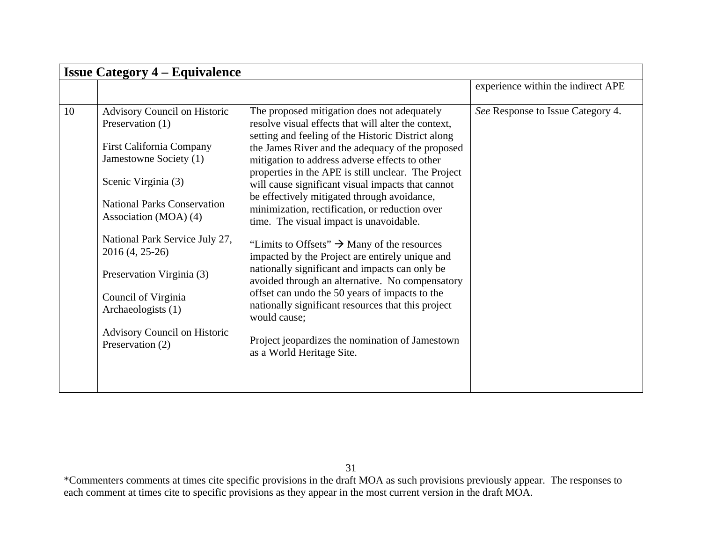|    | <b>Issue Category 4 – Equivalence</b>                                                                                                                                                                                                                                                                         |                                                                                                                                                                                                                                                                                                                                                                                                                                                                                                                                                                                                                                                                                                                                                                                              |                                    |  |  |
|----|---------------------------------------------------------------------------------------------------------------------------------------------------------------------------------------------------------------------------------------------------------------------------------------------------------------|----------------------------------------------------------------------------------------------------------------------------------------------------------------------------------------------------------------------------------------------------------------------------------------------------------------------------------------------------------------------------------------------------------------------------------------------------------------------------------------------------------------------------------------------------------------------------------------------------------------------------------------------------------------------------------------------------------------------------------------------------------------------------------------------|------------------------------------|--|--|
|    |                                                                                                                                                                                                                                                                                                               |                                                                                                                                                                                                                                                                                                                                                                                                                                                                                                                                                                                                                                                                                                                                                                                              | experience within the indirect APE |  |  |
| 10 | Advisory Council on Historic<br>Preservation (1)<br><b>First California Company</b><br>Jamestowne Society (1)<br>Scenic Virginia (3)<br><b>National Parks Conservation</b><br>Association (MOA) (4)<br>National Park Service July 27,<br>$2016(4, 25-26)$<br>Preservation Virginia (3)<br>Council of Virginia | The proposed mitigation does not adequately<br>resolve visual effects that will alter the context,<br>setting and feeling of the Historic District along<br>the James River and the adequacy of the proposed<br>mitigation to address adverse effects to other<br>properties in the APE is still unclear. The Project<br>will cause significant visual impacts that cannot<br>be effectively mitigated through avoidance,<br>minimization, rectification, or reduction over<br>time. The visual impact is unavoidable.<br>"Limits to Offsets" $\rightarrow$ Many of the resources"<br>impacted by the Project are entirely unique and<br>nationally significant and impacts can only be<br>avoided through an alternative. No compensatory<br>offset can undo the 50 years of impacts to the | See Response to Issue Category 4.  |  |  |
|    | Archaeologists (1)<br>Advisory Council on Historic<br>Preservation (2)                                                                                                                                                                                                                                        | nationally significant resources that this project<br>would cause;<br>Project jeopardizes the nomination of Jamestown<br>as a World Heritage Site.                                                                                                                                                                                                                                                                                                                                                                                                                                                                                                                                                                                                                                           |                                    |  |  |

<sup>\*</sup>Commenters comments at times cite specific provisions in the draft MOA as such provisions previously appear. The responses to each comment at times cite to specific provisions as they appear in the most current version in the draft MOA.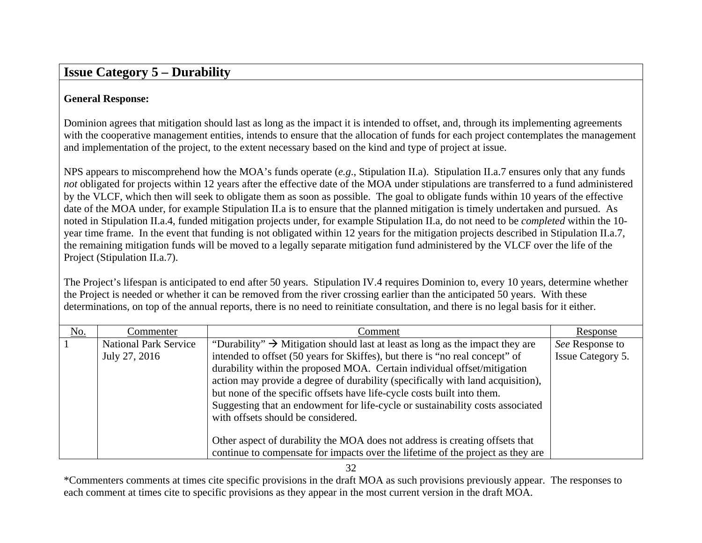## **Issue Category 5 – Durability**

#### **General Response:**

Dominion agrees that mitigation should last as long as the impact it is intended to offset, and, through its implementing agreements with the cooperative management entities, intends to ensure that the allocation of funds for each project contemplates the management and implementation of the project, to the extent necessary based on the kind and type of project at issue.

NPS appears to miscomprehend how the MOA's funds operate (*e.g*., Stipulation II.a). Stipulation II.a.7 ensures only that any funds *not* obligated for projects within 12 years after the effective date of the MOA under stipulations are transferred to a fund administered by the VLCF, which then will seek to obligate them as soon as possible. The goal to obligate funds within 10 years of the effective date of the MOA under, for example Stipulation II.a is to ensure that the planned mitigation is timely undertaken and pursued. As noted in Stipulation II.a.4, funded mitigation projects under, for example Stipulation II.a, do not need to be *completed* within the 10 year time frame. In the event that funding is not obligated within 12 years for the mitigation projects described in Stipulation II.a.7, the remaining mitigation funds will be moved to a legally separate mitigation fund administered by the VLCF over the life of the Project (Stipulation II.a.7).

The Project's lifespan is anticipated to end after 50 years. Stipulation IV.4 requires Dominion to, every 10 years, determine whether the Project is needed or whether it can be removed from the river crossing earlier than the anticipated 50 years. With these determinations, on top of the annual reports, there is no need to reinitiate consultation, and there is no legal basis for it either.

| <u>No.</u> | Commenter                    | Comment                                                                                   | Response                 |
|------------|------------------------------|-------------------------------------------------------------------------------------------|--------------------------|
|            | <b>National Park Service</b> | "Durability" $\rightarrow$ Mitigation should last at least as long as the impact they are | See Response to          |
|            | July 27, 2016                | intended to offset (50 years for Skiffes), but there is "no real concept" of              | <b>Issue Category 5.</b> |
|            |                              | durability within the proposed MOA. Certain individual offset/mitigation                  |                          |
|            |                              | action may provide a degree of durability (specifically with land acquisition),           |                          |
|            |                              | but none of the specific offsets have life-cycle costs built into them.                   |                          |
|            |                              | Suggesting that an endowment for life-cycle or sustainability costs associated            |                          |
|            |                              | with offsets should be considered.                                                        |                          |
|            |                              |                                                                                           |                          |
|            |                              | Other aspect of durability the MOA does not address is creating offsets that              |                          |
|            |                              | continue to compensate for impacts over the lifetime of the project as they are           |                          |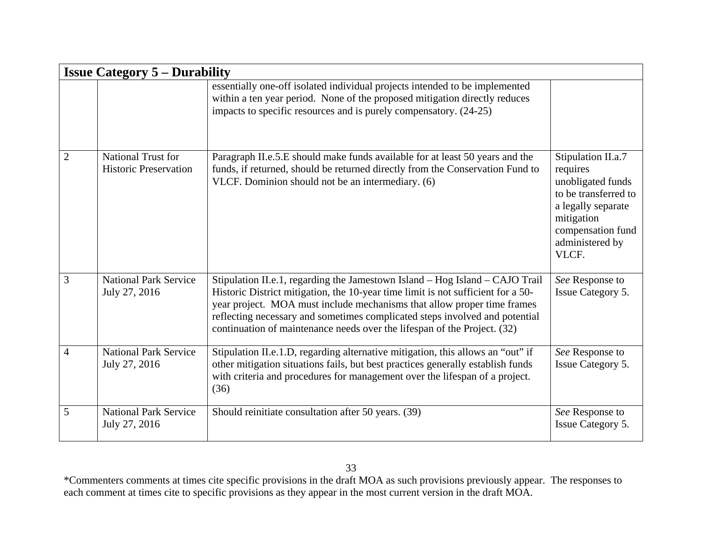|                | <b>Issue Category <math>5 -</math> Durability</b>         |                                                                                                                                                                                                                                                                                                                                                                                                        |                                                                                                                                                                  |  |
|----------------|-----------------------------------------------------------|--------------------------------------------------------------------------------------------------------------------------------------------------------------------------------------------------------------------------------------------------------------------------------------------------------------------------------------------------------------------------------------------------------|------------------------------------------------------------------------------------------------------------------------------------------------------------------|--|
|                |                                                           | essentially one-off isolated individual projects intended to be implemented<br>within a ten year period. None of the proposed mitigation directly reduces<br>impacts to specific resources and is purely compensatory. (24-25)                                                                                                                                                                         |                                                                                                                                                                  |  |
| $\overline{2}$ | <b>National Trust for</b><br><b>Historic Preservation</b> | Paragraph II.e.5.E should make funds available for at least 50 years and the<br>funds, if returned, should be returned directly from the Conservation Fund to<br>VLCF. Dominion should not be an intermediary. (6)                                                                                                                                                                                     | Stipulation II.a.7<br>requires<br>unobligated funds<br>to be transferred to<br>a legally separate<br>mitigation<br>compensation fund<br>administered by<br>VLCF. |  |
| 3              | <b>National Park Service</b><br>July 27, 2016             | Stipulation II.e.1, regarding the Jamestown Island - Hog Island - CAJO Trail<br>Historic District mitigation, the 10-year time limit is not sufficient for a 50-<br>year project. MOA must include mechanisms that allow proper time frames<br>reflecting necessary and sometimes complicated steps involved and potential<br>continuation of maintenance needs over the lifespan of the Project. (32) | See Response to<br>Issue Category 5.                                                                                                                             |  |
| 4              | <b>National Park Service</b><br>July 27, 2016             | Stipulation II.e.1.D, regarding alternative mitigation, this allows an "out" if<br>other mitigation situations fails, but best practices generally establish funds<br>with criteria and procedures for management over the lifespan of a project.<br>(36)                                                                                                                                              | See Response to<br><b>Issue Category 5.</b>                                                                                                                      |  |
| 5              | <b>National Park Service</b><br>July 27, 2016             | Should reinitiate consultation after 50 years. (39)                                                                                                                                                                                                                                                                                                                                                    | See Response to<br><b>Issue Category 5.</b>                                                                                                                      |  |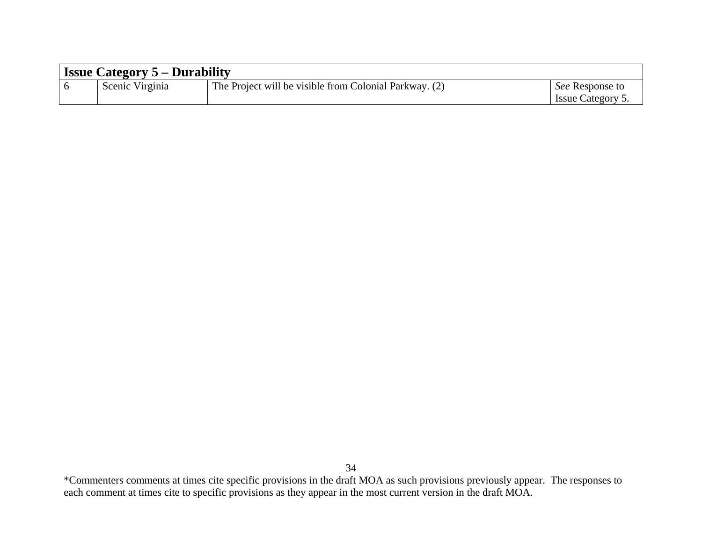| <b>Issue Category 5 – Durability</b> |                 |                                                        |                                                    |  |
|--------------------------------------|-----------------|--------------------------------------------------------|----------------------------------------------------|--|
|                                      | Scenic Virginia | The Project will be visible from Colonial Parkway. (2) | <i>See</i> Response to<br><b>Issue Category 5.</b> |  |
|                                      |                 |                                                        |                                                    |  |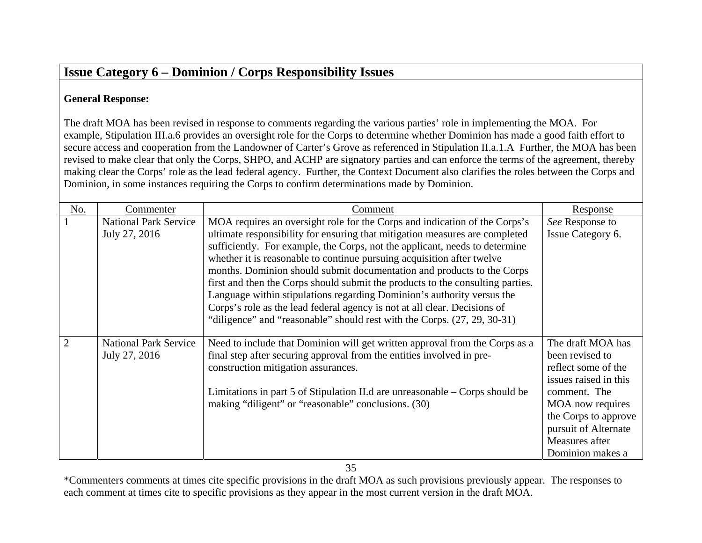# **Issue Category 6 – Dominion / Corps Responsibility Issues**

### **General Response:**

The draft MOA has been revised in response to comments regarding the various parties' role in implementing the MOA. For example, Stipulation III.a.6 provides an oversight role for the Corps to determine whether Dominion has made a good faith effort to secure access and cooperation from the Landowner of Carter's Grove as referenced in Stipulation II.a.1.A Further, the MOA has been revised to make clear that only the Corps, SHPO, and ACHP are signatory parties and can enforce the terms of the agreement, thereby making clear the Corps' role as the lead federal agency. Further, the Context Document also clarifies the roles between the Corps and Dominion, in some instances requiring the Corps to confirm determinations made by Dominion.

| No. | Commenter                    | Comment                                                                                                                                               | Response              |
|-----|------------------------------|-------------------------------------------------------------------------------------------------------------------------------------------------------|-----------------------|
|     | <b>National Park Service</b> | MOA requires an oversight role for the Corps and indication of the Corps's                                                                            | See Response to       |
|     | July 27, 2016                | ultimate responsibility for ensuring that mitigation measures are completed                                                                           | Issue Category 6.     |
|     |                              | sufficiently. For example, the Corps, not the applicant, needs to determine<br>whether it is reasonable to continue pursuing acquisition after twelve |                       |
|     |                              | months. Dominion should submit documentation and products to the Corps                                                                                |                       |
|     |                              | first and then the Corps should submit the products to the consulting parties.                                                                        |                       |
|     |                              | Language within stipulations regarding Dominion's authority versus the                                                                                |                       |
|     |                              | Corps's role as the lead federal agency is not at all clear. Decisions of                                                                             |                       |
|     |                              | "diligence" and "reasonable" should rest with the Corps. (27, 29, 30-31)                                                                              |                       |
| 2   | <b>National Park Service</b> | Need to include that Dominion will get written approval from the Corps as a                                                                           | The draft MOA has     |
|     | July 27, 2016                | final step after securing approval from the entities involved in pre-                                                                                 | been revised to       |
|     |                              | construction mitigation assurances.                                                                                                                   | reflect some of the   |
|     |                              |                                                                                                                                                       | issues raised in this |
|     |                              | Limitations in part 5 of Stipulation II.d are unreasonable – Corps should be                                                                          | comment. The          |
|     |                              | making "diligent" or "reasonable" conclusions. (30)                                                                                                   | MOA now requires      |
|     |                              |                                                                                                                                                       | the Corps to approve  |
|     |                              |                                                                                                                                                       | pursuit of Alternate  |
|     |                              |                                                                                                                                                       | Measures after        |
|     |                              |                                                                                                                                                       | Dominion makes a      |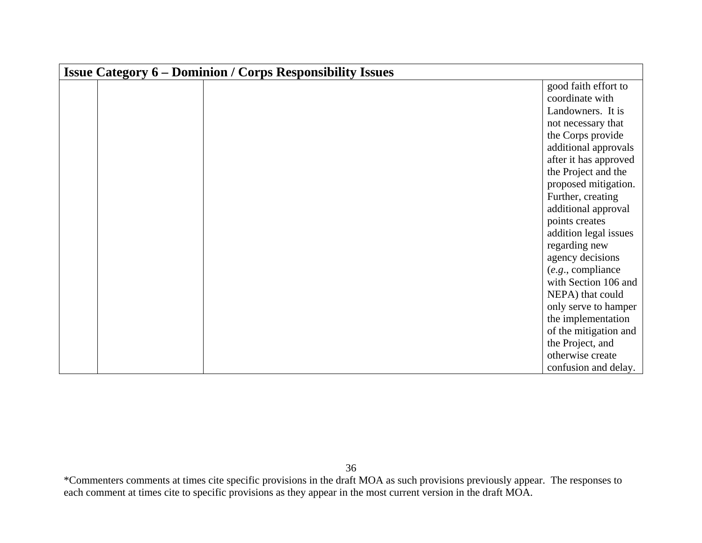| <b>Issue Category 6 – Dominion / Corps Responsibility Issues</b> |  |  |                       |
|------------------------------------------------------------------|--|--|-----------------------|
|                                                                  |  |  | good faith effort to  |
|                                                                  |  |  | coordinate with       |
|                                                                  |  |  | Landowners. It is     |
|                                                                  |  |  | not necessary that    |
|                                                                  |  |  | the Corps provide     |
|                                                                  |  |  | additional approvals  |
|                                                                  |  |  | after it has approved |
|                                                                  |  |  | the Project and the   |
|                                                                  |  |  | proposed mitigation.  |
|                                                                  |  |  | Further, creating     |
|                                                                  |  |  | additional approval   |
|                                                                  |  |  | points creates        |
|                                                                  |  |  | addition legal issues |
|                                                                  |  |  | regarding new         |
|                                                                  |  |  | agency decisions      |
|                                                                  |  |  | $(e.g.,$ compliance   |
|                                                                  |  |  | with Section 106 and  |
|                                                                  |  |  | NEPA) that could      |
|                                                                  |  |  | only serve to hamper  |
|                                                                  |  |  | the implementation    |
|                                                                  |  |  | of the mitigation and |
|                                                                  |  |  | the Project, and      |
|                                                                  |  |  | otherwise create      |
|                                                                  |  |  | confusion and delay.  |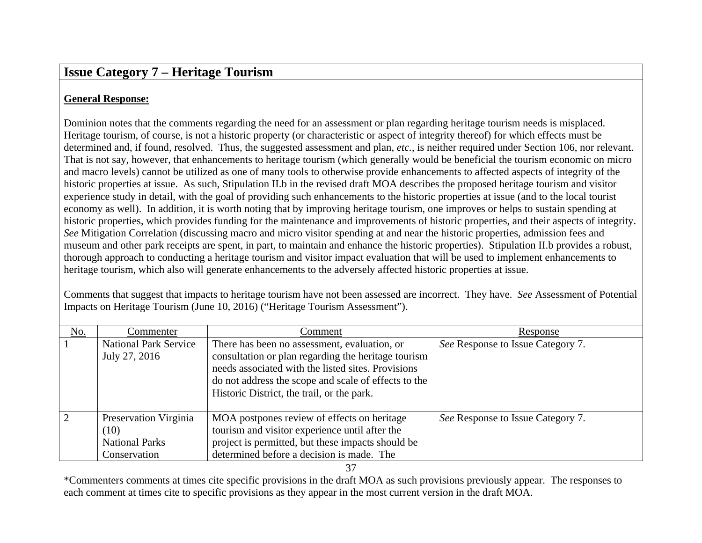## **Issue Category 7 – Heritage Tourism**

### **General Response:**

Dominion notes that the comments regarding the need for an assessment or plan regarding heritage tourism needs is misplaced. Heritage tourism, of course, is not a historic property (or characteristic or aspect of integrity thereof) for which effects must be determined and, if found, resolved. Thus, the suggested assessment and plan, *etc.*, is neither required under Section 106, nor relevant. That is not say, however, that enhancements to heritage tourism (which generally would be beneficial the tourism economic on micro and macro levels) cannot be utilized as one of many tools to otherwise provide enhancements to affected aspects of integrity of the historic properties at issue. As such, Stipulation II.b in the revised draft MOA describes the proposed heritage tourism and visitor experience study in detail, with the goal of providing such enhancements to the historic properties at issue (and to the local tourist economy as well). In addition, it is worth noting that by improving heritage tourism, one improves or helps to sustain spending at historic properties, which provides funding for the maintenance and improvements of historic properties, and their aspects of integrity. *See* Mitigation Correlation (discussing macro and micro visitor spending at and near the historic properties, admission fees and museum and other park receipts are spent, in part, to maintain and enhance the historic properties). Stipulation II.b provides a robust, thorough approach to conducting a heritage tourism and visitor impact evaluation that will be used to implement enhancements to heritage tourism, which also will generate enhancements to the adversely affected historic properties at issue.

Comments that suggest that impacts to heritage tourism have not been assessed are incorrect. They have. *See* Assessment of Potential Impacts on Heritage Tourism (June 10, 2016) ("Heritage Tourism Assessment").

| No.            | Commenter                                                              | Comment                                                                                                                                                                                                                                                         | Response                          |
|----------------|------------------------------------------------------------------------|-----------------------------------------------------------------------------------------------------------------------------------------------------------------------------------------------------------------------------------------------------------------|-----------------------------------|
|                | <b>National Park Service</b><br>July 27, 2016                          | There has been no assessment, evaluation, or<br>consultation or plan regarding the heritage tourism<br>needs associated with the listed sites. Provisions<br>do not address the scope and scale of effects to the<br>Historic District, the trail, or the park. | See Response to Issue Category 7. |
| $\overline{2}$ | Preservation Virginia<br>(10)<br><b>National Parks</b><br>Conservation | MOA postpones review of effects on heritage<br>tourism and visitor experience until after the<br>project is permitted, but these impacts should be<br>determined before a decision is made. The                                                                 | See Response to Issue Category 7. |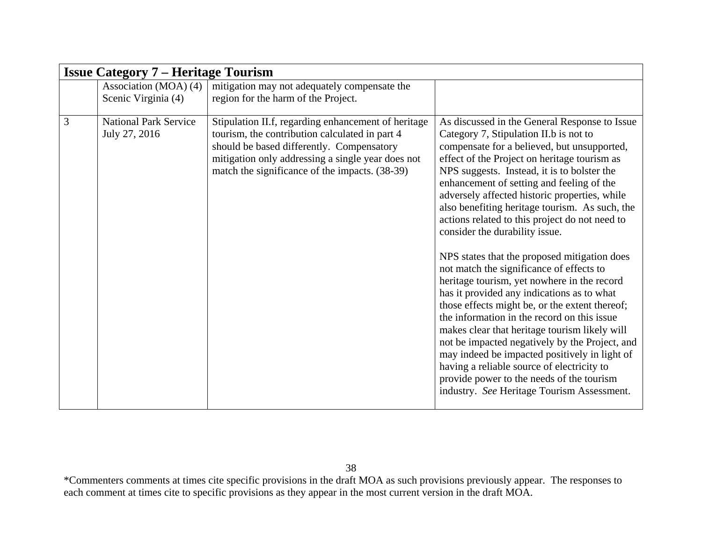|   | <b>Issue Category 7 – Heritage Tourism</b>    |                                                                                                                                                                                                                                                           |                                                                                                                                                                                                                                                                                                                                                                                                                                                                                                                                                                                                                                                                                                                                                                                                                                                                                                                                                                                                                                                                  |  |  |
|---|-----------------------------------------------|-----------------------------------------------------------------------------------------------------------------------------------------------------------------------------------------------------------------------------------------------------------|------------------------------------------------------------------------------------------------------------------------------------------------------------------------------------------------------------------------------------------------------------------------------------------------------------------------------------------------------------------------------------------------------------------------------------------------------------------------------------------------------------------------------------------------------------------------------------------------------------------------------------------------------------------------------------------------------------------------------------------------------------------------------------------------------------------------------------------------------------------------------------------------------------------------------------------------------------------------------------------------------------------------------------------------------------------|--|--|
|   | Association (MOA) (4)<br>Scenic Virginia (4)  | mitigation may not adequately compensate the<br>region for the harm of the Project.                                                                                                                                                                       |                                                                                                                                                                                                                                                                                                                                                                                                                                                                                                                                                                                                                                                                                                                                                                                                                                                                                                                                                                                                                                                                  |  |  |
| 3 | <b>National Park Service</b><br>July 27, 2016 | Stipulation II.f, regarding enhancement of heritage<br>tourism, the contribution calculated in part 4<br>should be based differently. Compensatory<br>mitigation only addressing a single year does not<br>match the significance of the impacts. (38-39) | As discussed in the General Response to Issue<br>Category 7, Stipulation II.b is not to<br>compensate for a believed, but unsupported,<br>effect of the Project on heritage tourism as<br>NPS suggests. Instead, it is to bolster the<br>enhancement of setting and feeling of the<br>adversely affected historic properties, while<br>also benefiting heritage tourism. As such, the<br>actions related to this project do not need to<br>consider the durability issue.<br>NPS states that the proposed mitigation does<br>not match the significance of effects to<br>heritage tourism, yet nowhere in the record<br>has it provided any indications as to what<br>those effects might be, or the extent thereof;<br>the information in the record on this issue<br>makes clear that heritage tourism likely will<br>not be impacted negatively by the Project, and<br>may indeed be impacted positively in light of<br>having a reliable source of electricity to<br>provide power to the needs of the tourism<br>industry. See Heritage Tourism Assessment. |  |  |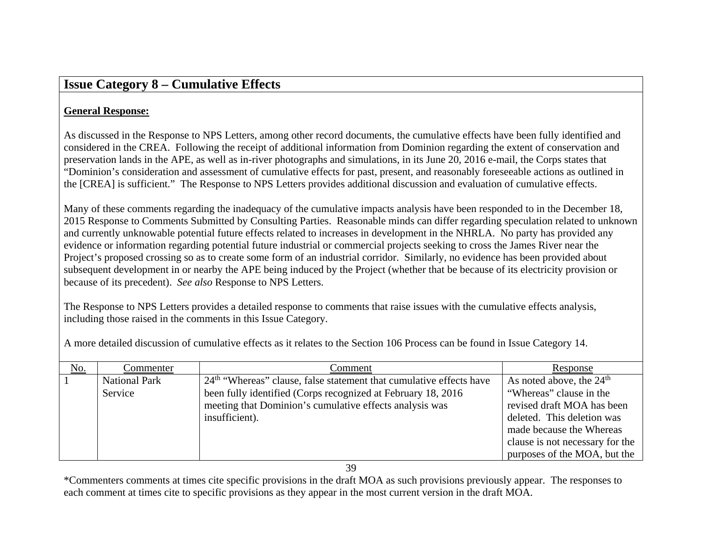## **Issue Category 8 – Cumulative Effects**

### **General Response:**

As discussed in the Response to NPS Letters, among other record documents, the cumulative effects have been fully identified and considered in the CREA. Following the receipt of additional information from Dominion regarding the extent of conservation and preservation lands in the APE, as well as in-river photographs and simulations, in its June 20, 2016 e-mail, the Corps states that "Dominion's consideration and assessment of cumulative effects for past, present, and reasonably foreseeable actions as outlined in the [CREA] is sufficient." The Response to NPS Letters provides additional discussion and evaluation of cumulative effects.

Many of these comments regarding the inadequacy of the cumulative impacts analysis have been responded to in the December 18, 2015 Response to Comments Submitted by Consulting Parties. Reasonable minds can differ regarding speculation related to unknown and currently unknowable potential future effects related to increases in development in the NHRLA. No party has provided any evidence or information regarding potential future industrial or commercial projects seeking to cross the James River near the Project's proposed crossing so as to create some form of an industrial corridor. Similarly, no evidence has been provided about subsequent development in or nearby the APE being induced by the Project (whether that be because of its electricity provision or because of its precedent). *See also* Response to NPS Letters.

The Response to NPS Letters provides a detailed response to comments that raise issues with the cumulative effects analysis, including those raised in the comments in this Issue Category.

| <u>No.</u> | Commenter            | Comment                                                               | Response                        |
|------------|----------------------|-----------------------------------------------------------------------|---------------------------------|
|            | <b>National Park</b> | $24th$ "Whereas" clause, false statement that cumulative effects have | As noted above, the $24th$      |
|            | Service              | been fully identified (Corps recognized at February 18, 2016)         | "Whereas" clause in the         |
|            |                      | meeting that Dominion's cumulative effects analysis was               | revised draft MOA has been      |
|            |                      | insufficient).                                                        | deleted. This deletion was      |
|            |                      |                                                                       | made because the Whereas        |
|            |                      |                                                                       | clause is not necessary for the |
|            |                      |                                                                       | purposes of the MOA, but the    |

A more detailed discussion of cumulative effects as it relates to the Section 106 Process can be found in Issue Category 14.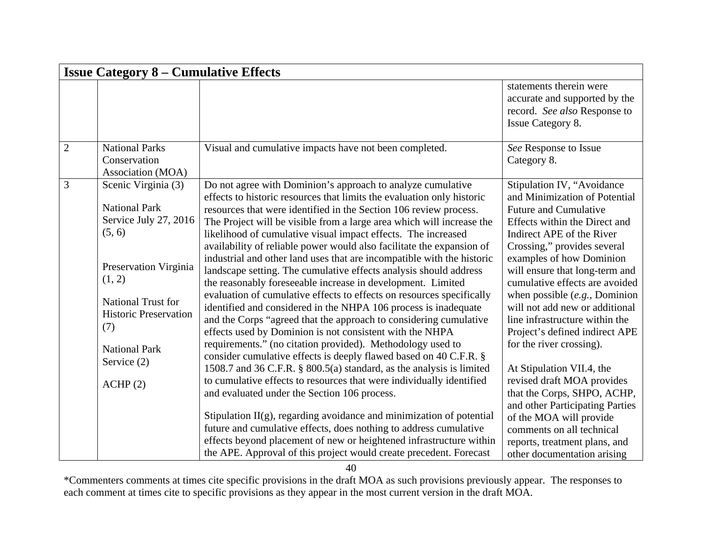|                | <b>Issue Category 8 – Cumulative Effects</b>                                                 |                                                                                                                                                                                                                                                                                                                                                                                                                                                                                          |                                                                                                                                                                                                                                       |  |
|----------------|----------------------------------------------------------------------------------------------|------------------------------------------------------------------------------------------------------------------------------------------------------------------------------------------------------------------------------------------------------------------------------------------------------------------------------------------------------------------------------------------------------------------------------------------------------------------------------------------|---------------------------------------------------------------------------------------------------------------------------------------------------------------------------------------------------------------------------------------|--|
|                |                                                                                              |                                                                                                                                                                                                                                                                                                                                                                                                                                                                                          | statements therein were<br>accurate and supported by the<br>record. See also Response to<br><b>Issue Category 8.</b>                                                                                                                  |  |
| $\overline{2}$ | <b>National Parks</b><br>Conservation<br>Association (MOA)                                   | Visual and cumulative impacts have not been completed.                                                                                                                                                                                                                                                                                                                                                                                                                                   | See Response to Issue<br>Category 8.                                                                                                                                                                                                  |  |
| 3              | Scenic Virginia (3)<br><b>National Park</b><br>Service July 27, 2016<br>(5, 6)               | Do not agree with Dominion's approach to analyze cumulative<br>effects to historic resources that limits the evaluation only historic<br>resources that were identified in the Section 106 review process.<br>The Project will be visible from a large area which will increase the<br>likelihood of cumulative visual impact effects. The increased<br>availability of reliable power would also facilitate the expansion of                                                            | Stipulation IV, "Avoidance<br>and Minimization of Potential<br><b>Future and Cumulative</b><br>Effects within the Direct and<br>Indirect APE of the River<br>Crossing," provides several                                              |  |
|                | Preservation Virginia<br>(1, 2)<br>National Trust for<br><b>Historic Preservation</b><br>(7) | industrial and other land uses that are incompatible with the historic<br>landscape setting. The cumulative effects analysis should address<br>the reasonably foreseeable increase in development. Limited<br>evaluation of cumulative effects to effects on resources specifically<br>identified and considered in the NHPA 106 process is inadequate<br>and the Corps "agreed that the approach to considering cumulative"<br>effects used by Dominion is not consistent with the NHPA | examples of how Dominion<br>will ensure that long-term and<br>cumulative effects are avoided<br>when possible $(e.g.,$ Dominion<br>will not add new or additional<br>line infrastructure within the<br>Project's defined indirect APE |  |
|                | <b>National Park</b><br>Service (2)<br>ACHP(2)                                               | requirements." (no citation provided). Methodology used to<br>consider cumulative effects is deeply flawed based on 40 C.F.R. §<br>1508.7 and 36 C.F.R. § 800.5(a) standard, as the analysis is limited<br>to cumulative effects to resources that were individually identified<br>and evaluated under the Section 106 process.<br>Stipulation $II(g)$ , regarding avoidance and minimization of potential                                                                               | for the river crossing).<br>At Stipulation VII.4, the<br>revised draft MOA provides<br>that the Corps, SHPO, ACHP,<br>and other Participating Parties<br>of the MOA will provide                                                      |  |
|                |                                                                                              | future and cumulative effects, does nothing to address cumulative<br>effects beyond placement of new or heightened infrastructure within<br>the APE. Approval of this project would create precedent. Forecast                                                                                                                                                                                                                                                                           | comments on all technical<br>reports, treatment plans, and<br>other documentation arising                                                                                                                                             |  |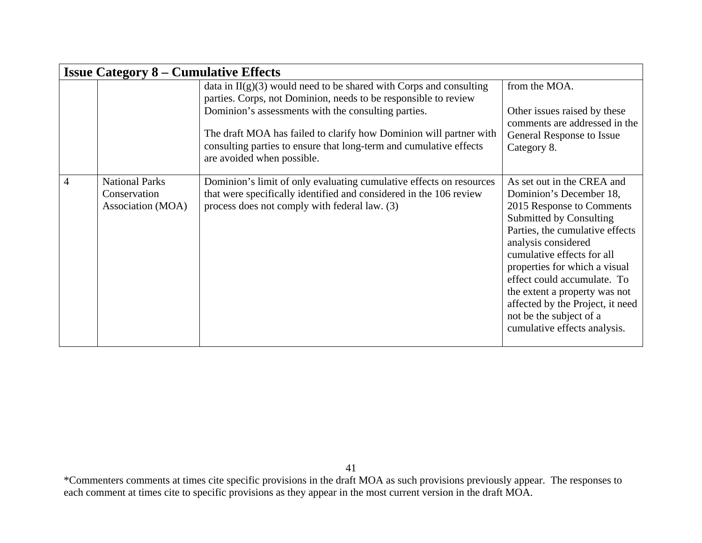|   | <b>Issue Category 8 – Cumulative Effects</b>               |                                                                                                                                                                                                |                                                                                                                                                                                                                                                                                                                                                                                                       |
|---|------------------------------------------------------------|------------------------------------------------------------------------------------------------------------------------------------------------------------------------------------------------|-------------------------------------------------------------------------------------------------------------------------------------------------------------------------------------------------------------------------------------------------------------------------------------------------------------------------------------------------------------------------------------------------------|
|   |                                                            | data in $II(g)(3)$ would need to be shared with Corps and consulting<br>parties. Corps, not Dominion, needs to be responsible to review<br>Dominion's assessments with the consulting parties. | from the MOA.<br>Other issues raised by these                                                                                                                                                                                                                                                                                                                                                         |
|   |                                                            | The draft MOA has failed to clarify how Dominion will partner with<br>consulting parties to ensure that long-term and cumulative effects<br>are avoided when possible.                         | comments are addressed in the<br>General Response to Issue<br>Category 8.                                                                                                                                                                                                                                                                                                                             |
| 4 | <b>National Parks</b><br>Conservation<br>Association (MOA) | Dominion's limit of only evaluating cumulative effects on resources<br>that were specifically identified and considered in the 106 review<br>process does not comply with federal law. (3)     | As set out in the CREA and<br>Dominion's December 18,<br>2015 Response to Comments<br>Submitted by Consulting<br>Parties, the cumulative effects<br>analysis considered<br>cumulative effects for all<br>properties for which a visual<br>effect could accumulate. To<br>the extent a property was not<br>affected by the Project, it need<br>not be the subject of a<br>cumulative effects analysis. |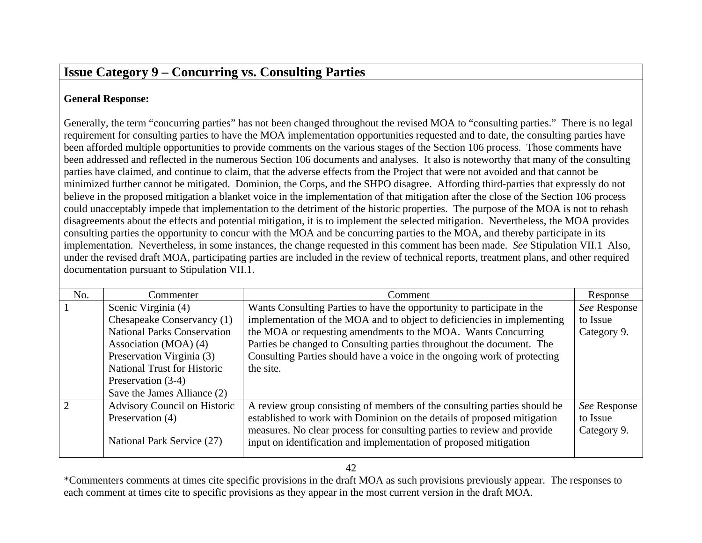## **Issue Category 9 – Concurring vs. Consulting Parties**

## **General Response:**

Generally, the term "concurring parties" has not been changed throughout the revised MOA to "consulting parties." There is no legal requirement for consulting parties to have the MOA implementation opportunities requested and to date, the consulting parties have been afforded multiple opportunities to provide comments on the various stages of the Section 106 process. Those comments have been addressed and reflected in the numerous Section 106 documents and analyses. It also is noteworthy that many of the consulting parties have claimed, and continue to claim, that the adverse effects from the Project that were not avoided and that cannot be minimized further cannot be mitigated. Dominion, the Corps, and the SHPO disagree. Affording third-parties that expressly do not believe in the proposed mitigation a blanket voice in the implementation of that mitigation after the close of the Section 106 process could unacceptably impede that implementation to the detriment of the historic properties. The purpose of the MOA is not to rehash disagreements about the effects and potential mitigation, it is to implement the selected mitigation. Nevertheless, the MOA provides consulting parties the opportunity to concur with the MOA and be concurring parties to the MOA, and thereby participate in its implementation. Nevertheless, in some instances, the change requested in this comment has been made. *See* Stipulation VII.1 Also, under the revised draft MOA, participating parties are included in the review of technical reports, treatment plans, and other required documentation pursuant to Stipulation VII.1.

| No.           | Commenter                           | Comment                                                                                                                                      | Response     |
|---------------|-------------------------------------|----------------------------------------------------------------------------------------------------------------------------------------------|--------------|
|               | Scenic Virginia (4)                 | Wants Consulting Parties to have the opportunity to participate in the                                                                       | See Response |
|               | Chesapeake Conservancy (1)          | implementation of the MOA and to object to deficiencies in implementing                                                                      | to Issue     |
|               | <b>National Parks Conservation</b>  | the MOA or requesting amendments to the MOA. Wants Concurring                                                                                | Category 9.  |
|               | Association (MOA) (4)               | Parties be changed to Consulting parties throughout the document. The                                                                        |              |
|               | Preservation Virginia (3)           | Consulting Parties should have a voice in the ongoing work of protecting                                                                     |              |
|               | <b>National Trust for Historic</b>  | the site.                                                                                                                                    |              |
|               | Preservation (3-4)                  |                                                                                                                                              |              |
|               | Save the James Alliance (2)         |                                                                                                                                              |              |
| $\mathcal{D}$ | <b>Advisory Council on Historic</b> | A review group consisting of members of the consulting parties should be                                                                     | See Response |
|               | Preservation (4)                    | established to work with Dominion on the details of proposed mitigation                                                                      | to Issue     |
|               | National Park Service (27)          | measures. No clear process for consulting parties to review and provide<br>input on identification and implementation of proposed mitigation | Category 9.  |

<sup>\*</sup>Commenters comments at times cite specific provisions in the draft MOA as such provisions previously appear. The responses to each comment at times cite to specific provisions as they appear in the most current version in the draft MOA.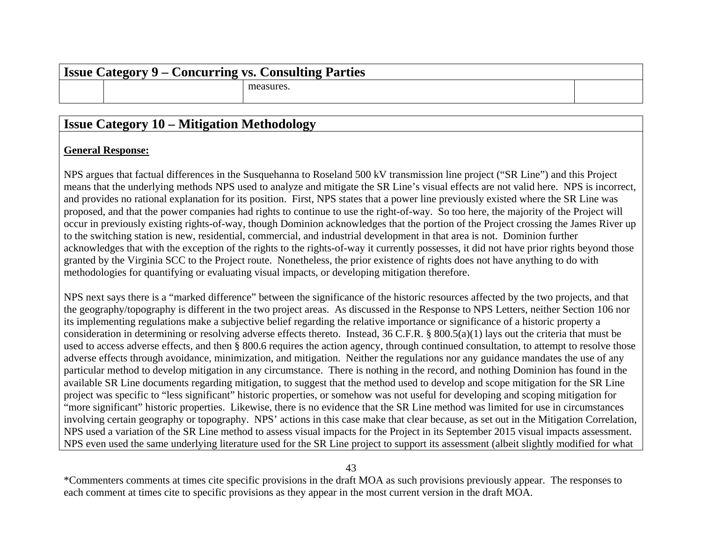| <b>Issue Category 9 – Concurring vs. Consulting Parties</b> |  |           |  |
|-------------------------------------------------------------|--|-----------|--|
|                                                             |  | measures. |  |
|                                                             |  |           |  |

## **Issue Category 10 – Mitigation Methodology**

#### **General Response:**

NPS argues that factual differences in the Susquehanna to Roseland 500 kV transmission line project ("SR Line") and this Project means that the underlying methods NPS used to analyze and mitigate the SR Line's visual effects are not valid here. NPS is incorrect, and provides no rational explanation for its position. First, NPS states that a power line previously existed where the SR Line was proposed, and that the power companies had rights to continue to use the right-of-way. So too here, the majority of the Project will occur in previously existing rights-of-way, though Dominion acknowledges that the portion of the Project crossing the James River up to the switching station is new, residential, commercial, and industrial development in that area is not. Dominion further acknowledges that with the exception of the rights to the rights-of-way it currently possesses, it did not have prior rights beyond those granted by the Virginia SCC to the Project route. Nonetheless, the prior existence of rights does not have anything to do with methodologies for quantifying or evaluating visual impacts, or developing mitigation therefore.

NPS next says there is a "marked difference" between the significance of the historic resources affected by the two projects, and that the geography/topography is different in the two project areas. As discussed in the Response to NPS Letters, neither Section 106 nor its implementing regulations make a subjective belief regarding the relative importance or significance of a historic property a consideration in determining or resolving adverse effects thereto. Instead, 36 C.F.R. § 800.5(a)(1) lays out the criteria that must be used to access adverse effects, and then § 800.6 requires the action agency, through continued consultation, to attempt to resolve those adverse effects through avoidance, minimization, and mitigation. Neither the regulations nor any guidance mandates the use of any particular method to develop mitigation in any circumstance. There is nothing in the record, and nothing Dominion has found in the available SR Line documents regarding mitigation, to suggest that the method used to develop and scope mitigation for the SR Line project was specific to "less significant" historic properties, or somehow was not useful for developing and scoping mitigation for "more significant" historic properties. Likewise, there is no evidence that the SR Line method was limited for use in circumstances involving certain geography or topography. NPS' actions in this case make that clear because, as set out in the Mitigation Correlation, NPS used a variation of the SR Line method to assess visual impacts for the Project in its September 2015 visual impacts assessment. NPS even used the same underlying literature used for the SR Line project to support its assessment (albeit slightly modified for what

43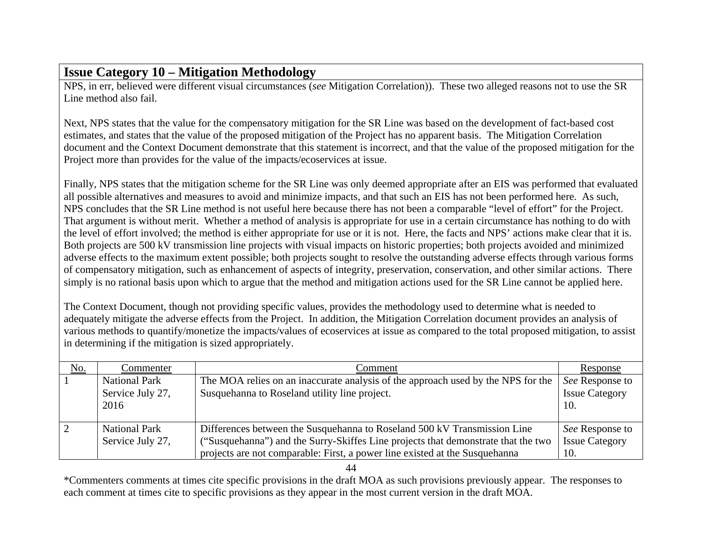# **Issue Category 10 – Mitigation Methodology**

NPS, in err, believed were different visual circumstances (*see* Mitigation Correlation)). These two alleged reasons not to use the SR Line method also fail.

Next, NPS states that the value for the compensatory mitigation for the SR Line was based on the development of fact-based cost estimates, and states that the value of the proposed mitigation of the Project has no apparent basis. The Mitigation Correlation document and the Context Document demonstrate that this statement is incorrect, and that the value of the proposed mitigation for the Project more than provides for the value of the impacts/ecoservices at issue.

Finally, NPS states that the mitigation scheme for the SR Line was only deemed appropriate after an EIS was performed that evaluated all possible alternatives and measures to avoid and minimize impacts, and that such an EIS has not been performed here. As such, NPS concludes that the SR Line method is not useful here because there has not been a comparable "level of effort" for the Project. That argument is without merit. Whether a method of analysis is appropriate for use in a certain circumstance has nothing to do with the level of effort involved; the method is either appropriate for use or it is not. Here, the facts and NPS' actions make clear that it is. Both projects are 500 kV transmission line projects with visual impacts on historic properties; both projects avoided and minimized adverse effects to the maximum extent possible; both projects sought to resolve the outstanding adverse effects through various forms of compensatory mitigation, such as enhancement of aspects of integrity, preservation, conservation, and other similar actions. There simply is no rational basis upon which to argue that the method and mitigation actions used for the SR Line cannot be applied here.

The Context Document, though not providing specific values, provides the methodology used to determine what is needed to adequately mitigate the adverse effects from the Project. In addition, the Mitigation Correlation document provides an analysis of various methods to quantify/monetize the impacts/values of ecoservices at issue as compared to the total proposed mitigation, to assist in determining if the mitigation is sized appropriately.

| <u>No.</u> | Commenter                                        | Comment                                                                                                                                                                                                                                      | Response                                        |
|------------|--------------------------------------------------|----------------------------------------------------------------------------------------------------------------------------------------------------------------------------------------------------------------------------------------------|-------------------------------------------------|
|            | <b>National Park</b><br>Service July 27,<br>2016 | The MOA relies on an inaccurate analysis of the approach used by the NPS for the<br>Susquehanna to Roseland utility line project.                                                                                                            | See Response to<br><b>Issue Category</b><br>10. |
|            | <b>National Park</b><br>Service July 27,         | Differences between the Susquehanna to Roseland 500 kV Transmission Line<br>("Susquehanna") and the Surry-Skiffes Line projects that demonstrate that the two<br>projects are not comparable: First, a power line existed at the Susquehanna | See Response to<br><b>Issue Category</b><br>10. |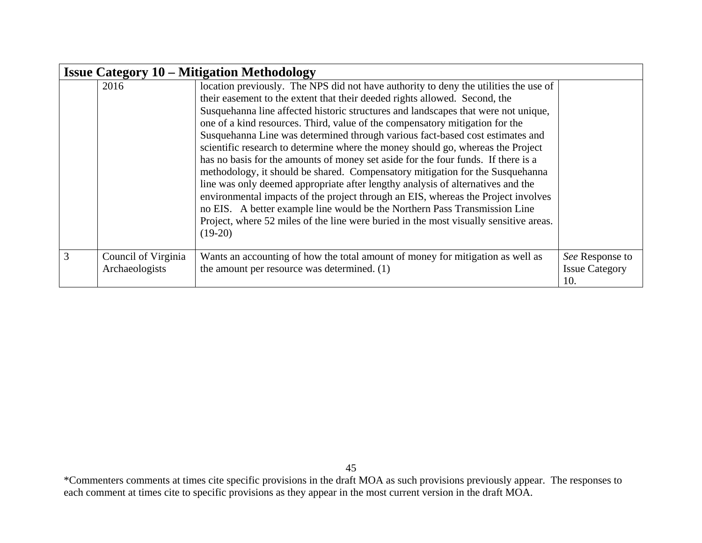|   | <b>Issue Category 10 – Mitigation Methodology</b> |                                                                                                                                                                                                                                                                                                                                                                                                                                                                                                                                                                                                                                                                                                                                                                                                                                                                                                                                                                                                                                                |                                                 |  |
|---|---------------------------------------------------|------------------------------------------------------------------------------------------------------------------------------------------------------------------------------------------------------------------------------------------------------------------------------------------------------------------------------------------------------------------------------------------------------------------------------------------------------------------------------------------------------------------------------------------------------------------------------------------------------------------------------------------------------------------------------------------------------------------------------------------------------------------------------------------------------------------------------------------------------------------------------------------------------------------------------------------------------------------------------------------------------------------------------------------------|-------------------------------------------------|--|
|   | 2016                                              | location previously. The NPS did not have authority to deny the utilities the use of<br>their easement to the extent that their deeded rights allowed. Second, the<br>Susquehanna line affected historic structures and landscapes that were not unique,<br>one of a kind resources. Third, value of the compensatory mitigation for the<br>Susquehanna Line was determined through various fact-based cost estimates and<br>scientific research to determine where the money should go, whereas the Project<br>has no basis for the amounts of money set aside for the four funds. If there is a<br>methodology, it should be shared. Compensatory mitigation for the Susquehanna<br>line was only deemed appropriate after lengthy analysis of alternatives and the<br>environmental impacts of the project through an EIS, whereas the Project involves<br>no EIS. A better example line would be the Northern Pass Transmission Line<br>Project, where 52 miles of the line were buried in the most visually sensitive areas.<br>$(19-20)$ |                                                 |  |
| 3 | Council of Virginia<br>Archaeologists             | Wants an accounting of how the total amount of money for mitigation as well as<br>the amount per resource was determined. (1)                                                                                                                                                                                                                                                                                                                                                                                                                                                                                                                                                                                                                                                                                                                                                                                                                                                                                                                  | See Response to<br><b>Issue Category</b><br>10. |  |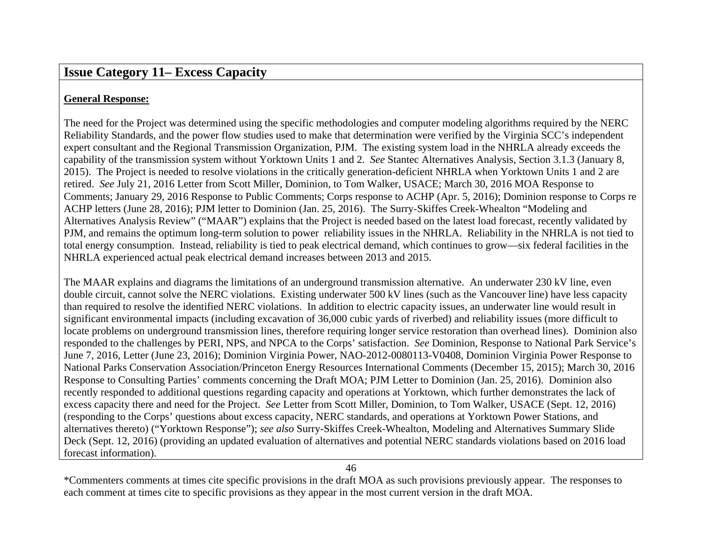## **Issue Category 11– Excess Capacity**

#### **General Response:**

The need for the Project was determined using the specific methodologies and computer modeling algorithms required by the NERC Reliability Standards, and the power flow studies used to make that determination were verified by the Virginia SCC's independent expert consultant and the Regional Transmission Organization, PJM. The existing system load in the NHRLA already exceeds the capability of the transmission system without Yorktown Units 1 and 2. *See* Stantec Alternatives Analysis, Section 3.1.3 (January 8, 2015). The Project is needed to resolve violations in the critically generation-deficient NHRLA when Yorktown Units 1 and 2 are retired. *See* July 21, 2016 Letter from Scott Miller, Dominion, to Tom Walker, USACE; March 30, 2016 MOA Response to Comments; January 29, 2016 Response to Public Comments; Corps response to ACHP (Apr. 5, 2016); Dominion response to Corps re ACHP letters (June 28, 2016); PJM letter to Dominion (Jan. 25, 2016). The Surry-Skiffes Creek-Whealton "Modeling and Alternatives Analysis Review" ("MAAR") explains that the Project is needed based on the latest load forecast, recently validated by PJM, and remains the optimum long-term solution to power reliability issues in the NHRLA. Reliability in the NHRLA is not tied to total energy consumption. Instead, reliability is tied to peak electrical demand, which continues to grow—six federal facilities in the NHRLA experienced actual peak electrical demand increases between 2013 and 2015.

The MAAR explains and diagrams the limitations of an underground transmission alternative. An underwater 230 kV line, even double circuit, cannot solve the NERC violations. Existing underwater 500 kV lines (such as the Vancouver line) have less capacity than required to resolve the identified NERC violations. In addition to electric capacity issues, an underwater line would result in significant environmental impacts (including excavation of 36,000 cubic yards of riverbed) and reliability issues (more difficult to locate problems on underground transmission lines, therefore requiring longer service restoration than overhead lines). Dominion also responded to the challenges by PERI, NPS, and NPCA to the Corps' satisfaction. *See* Dominion, Response to National Park Service's June 7, 2016, Letter (June 23, 2016); Dominion Virginia Power, NAO-2012-0080113-V0408, Dominion Virginia Power Response to National Parks Conservation Association/Princeton Energy Resources International Comments (December 15, 2015); March 30, 2016 Response to Consulting Parties' comments concerning the Draft MOA; PJM Letter to Dominion (Jan. 25, 2016). Dominion also recently responded to additional questions regarding capacity and operations at Yorktown, which further demonstrates the lack of excess capacity there and need for the Project. *See* Letter from Scott Miller, Dominion, to Tom Walker, USACE (Sept. 12, 2016) (responding to the Corps' questions about excess capacity, NERC standards, and operations at Yorktown Power Stations, and alternatives thereto) ("Yorktown Response"); *see also* Surry-Skiffes Creek-Whealton, Modeling and Alternatives Summary Slide Deck (Sept. 12, 2016) (providing an updated evaluation of alternatives and potential NERC standards violations based on 2016 load forecast information).

<sup>\*</sup>Commenters comments at times cite specific provisions in the draft MOA as such provisions previously appear. The responses to each comment at times cite to specific provisions as they appear in the most current version in the draft MOA.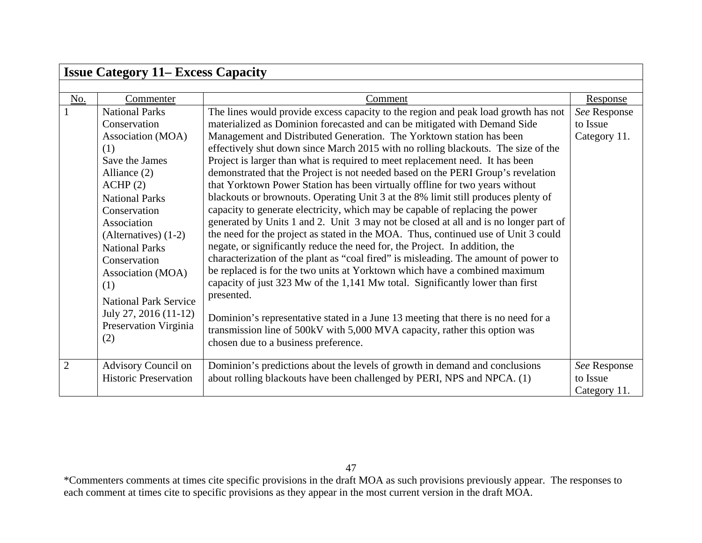|                | <b>Issue Category 11– Excess Capacity</b> |                                                                                      |              |  |
|----------------|-------------------------------------------|--------------------------------------------------------------------------------------|--------------|--|
|                |                                           |                                                                                      |              |  |
| No.            | Commenter                                 | Comment                                                                              | Response     |  |
|                | <b>National Parks</b>                     | The lines would provide excess capacity to the region and peak load growth has not   | See Response |  |
|                | Conservation                              | materialized as Dominion forecasted and can be mitigated with Demand Side            | to Issue     |  |
|                | Association (MOA)                         | Management and Distributed Generation. The Yorktown station has been                 | Category 11. |  |
|                | (1)                                       | effectively shut down since March 2015 with no rolling blackouts. The size of the    |              |  |
|                | Save the James                            | Project is larger than what is required to meet replacement need. It has been        |              |  |
|                | Alliance $(2)$                            | demonstrated that the Project is not needed based on the PERI Group's revelation     |              |  |
|                | ACHP(2)                                   | that Yorktown Power Station has been virtually offline for two years without         |              |  |
|                | <b>National Parks</b>                     | blackouts or brownouts. Operating Unit 3 at the 8% limit still produces plenty of    |              |  |
|                | Conservation                              | capacity to generate electricity, which may be capable of replacing the power        |              |  |
|                | Association                               | generated by Units 1 and 2. Unit 3 may not be closed at all and is no longer part of |              |  |
|                | (Alternatives) $(1-2)$                    | the need for the project as stated in the MOA. Thus, continued use of Unit 3 could   |              |  |
|                | <b>National Parks</b>                     | negate, or significantly reduce the need for, the Project. In addition, the          |              |  |
|                | Conservation                              | characterization of the plant as "coal fired" is misleading. The amount of power to  |              |  |
|                | Association (MOA)                         | be replaced is for the two units at Yorktown which have a combined maximum           |              |  |
|                | (1)                                       | capacity of just 323 Mw of the 1,141 Mw total. Significantly lower than first        |              |  |
|                | <b>National Park Service</b>              | presented.                                                                           |              |  |
|                | July 27, 2016 (11-12)                     | Dominion's representative stated in a June 13 meeting that there is no need for a    |              |  |
|                | Preservation Virginia                     | transmission line of 500kV with 5,000 MVA capacity, rather this option was           |              |  |
|                | (2)                                       | chosen due to a business preference.                                                 |              |  |
|                |                                           |                                                                                      |              |  |
| $\overline{2}$ | Advisory Council on                       | Dominion's predictions about the levels of growth in demand and conclusions          | See Response |  |
|                | <b>Historic Preservation</b>              | about rolling blackouts have been challenged by PERI, NPS and NPCA. (1)              | to Issue     |  |
|                |                                           |                                                                                      | Category 11. |  |

<sup>\*</sup>Commenters comments at times cite specific provisions in the draft MOA as such provisions previously appear. The responses to each comment at times cite to specific provisions as they appear in the most current version in the draft MOA.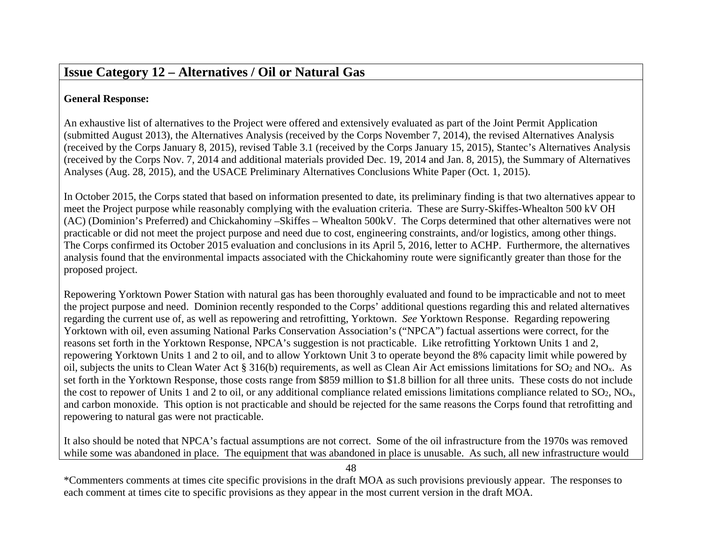## **Issue Category 12 – Alternatives / Oil or Natural Gas**

### **General Response:**

An exhaustive list of alternatives to the Project were offered and extensively evaluated as part of the Joint Permit Application (submitted August 2013), the Alternatives Analysis (received by the Corps November 7, 2014), the revised Alternatives Analysis (received by the Corps January 8, 2015), revised Table 3.1 (received by the Corps January 15, 2015), Stantec's Alternatives Analysis (received by the Corps Nov. 7, 2014 and additional materials provided Dec. 19, 2014 and Jan. 8, 2015), the Summary of Alternatives Analyses (Aug. 28, 2015), and the USACE Preliminary Alternatives Conclusions White Paper (Oct. 1, 2015).

In October 2015, the Corps stated that based on information presented to date, its preliminary finding is that two alternatives appear to meet the Project purpose while reasonably complying with the evaluation criteria. These are Surry-Skiffes-Whealton 500 kV OH (AC) (Dominion's Preferred) and Chickahominy –Skiffes – Whealton 500kV. The Corps determined that other alternatives were not practicable or did not meet the project purpose and need due to cost, engineering constraints, and/or logistics, among other things. The Corps confirmed its October 2015 evaluation and conclusions in its April 5, 2016, letter to ACHP. Furthermore, the alternatives analysis found that the environmental impacts associated with the Chickahominy route were significantly greater than those for the proposed project.

Repowering Yorktown Power Station with natural gas has been thoroughly evaluated and found to be impracticable and not to meet the project purpose and need. Dominion recently responded to the Corps' additional questions regarding this and related alternatives regarding the current use of, as well as repowering and retrofitting, Yorktown. *See* Yorktown Response. Regarding repowering Yorktown with oil, even assuming National Parks Conservation Association's ("NPCA") factual assertions were correct, for the reasons set forth in the Yorktown Response, NPCA's suggestion is not practicable. Like retrofitting Yorktown Units 1 and 2, repowering Yorktown Units 1 and 2 to oil, and to allow Yorktown Unit 3 to operate beyond the 8% capacity limit while powered by oil, subjects the units to Clean Water Act § 316(b) requirements, as well as Clean Air Act emissions limitations for SO<sub>2</sub> and NO<sub>x</sub>. As set forth in the Yorktown Response, those costs range from \$859 million to \$1.8 billion for all three units. These costs do not include the cost to repower of Units 1 and 2 to oil, or any additional compliance related emissions limitations compliance related to  $SO_2$ ,  $NO<sub>x</sub>$ , and carbon monoxide. This option is not practicable and should be rejected for the same reasons the Corps found that retrofitting and repowering to natural gas were not practicable.

It also should be noted that NPCA's factual assumptions are not correct. Some of the oil infrastructure from the 1970s was removed while some was abandoned in place. The equipment that was abandoned in place is unusable. As such, all new infrastructure would

48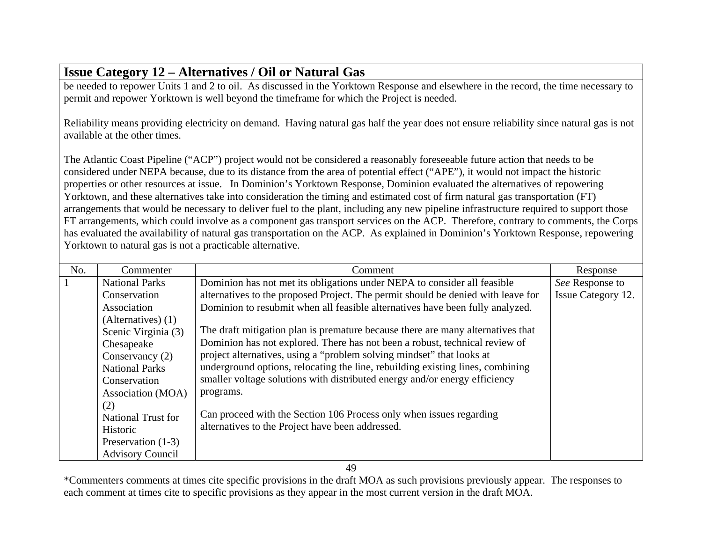# **Issue Category 12 – Alternatives / Oil or Natural Gas**

be needed to repower Units 1 and 2 to oil. As discussed in the Yorktown Response and elsewhere in the record, the time necessary to permit and repower Yorktown is well beyond the timeframe for which the Project is needed.

Reliability means providing electricity on demand. Having natural gas half the year does not ensure reliability since natural gas is not available at the other times.

The Atlantic Coast Pipeline ("ACP") project would not be considered a reasonably foreseeable future action that needs to be considered under NEPA because, due to its distance from the area of potential effect ("APE"), it would not impact the historic properties or other resources at issue. In Dominion's Yorktown Response, Dominion evaluated the alternatives of repowering Yorktown, and these alternatives take into consideration the timing and estimated cost of firm natural gas transportation (FT) arrangements that would be necessary to deliver fuel to the plant, including any new pipeline infrastructure required to support those FT arrangements, which could involve as a component gas transport services on the ACP. Therefore, contrary to comments, the Corps has evaluated the availability of natural gas transportation on the ACP. As explained in Dominion's Yorktown Response, repowering Yorktown to natural gas is not a practicable alternative.

| No. | Commenter                 | Comment                                                                          | Response           |  |  |
|-----|---------------------------|----------------------------------------------------------------------------------|--------------------|--|--|
|     | <b>National Parks</b>     | Dominion has not met its obligations under NEPA to consider all feasible         | See Response to    |  |  |
|     | Conservation              | alternatives to the proposed Project. The permit should be denied with leave for | Issue Category 12. |  |  |
|     | Association               | Dominion to resubmit when all feasible alternatives have been fully analyzed.    |                    |  |  |
|     | (Alternatives) $(1)$      |                                                                                  |                    |  |  |
|     | Scenic Virginia (3)       | The draft mitigation plan is premature because there are many alternatives that  |                    |  |  |
|     | Chesapeake                | Dominion has not explored. There has not been a robust, technical review of      |                    |  |  |
|     | Conservancy (2)           | project alternatives, using a "problem solving mindset" that looks at            |                    |  |  |
|     | <b>National Parks</b>     | underground options, relocating the line, rebuilding existing lines, combining   |                    |  |  |
|     | Conservation              | smaller voltage solutions with distributed energy and/or energy efficiency       |                    |  |  |
|     | Association (MOA)         | programs.                                                                        |                    |  |  |
|     | (2)                       |                                                                                  |                    |  |  |
|     | <b>National Trust for</b> | Can proceed with the Section 106 Process only when issues regarding              |                    |  |  |
|     | Historic                  | alternatives to the Project have been addressed.                                 |                    |  |  |
|     | Preservation $(1-3)$      |                                                                                  |                    |  |  |
|     | <b>Advisory Council</b>   |                                                                                  |                    |  |  |
|     | 49                        |                                                                                  |                    |  |  |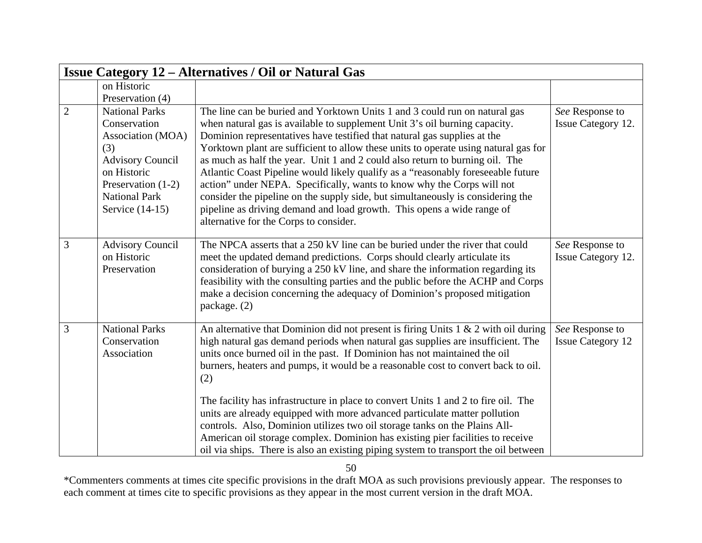|                | <b>Issue Category 12 – Alternatives / Oil or Natural Gas</b>                                                                                                                 |                                                                                                                                                                                                                                                                                                                                                                                                                                                                                                                                                                                                                                                                                                                                                                                  |                                             |  |
|----------------|------------------------------------------------------------------------------------------------------------------------------------------------------------------------------|----------------------------------------------------------------------------------------------------------------------------------------------------------------------------------------------------------------------------------------------------------------------------------------------------------------------------------------------------------------------------------------------------------------------------------------------------------------------------------------------------------------------------------------------------------------------------------------------------------------------------------------------------------------------------------------------------------------------------------------------------------------------------------|---------------------------------------------|--|
|                | on Historic                                                                                                                                                                  |                                                                                                                                                                                                                                                                                                                                                                                                                                                                                                                                                                                                                                                                                                                                                                                  |                                             |  |
|                | Preservation (4)                                                                                                                                                             |                                                                                                                                                                                                                                                                                                                                                                                                                                                                                                                                                                                                                                                                                                                                                                                  |                                             |  |
| $\overline{2}$ | <b>National Parks</b><br>Conservation<br>Association (MOA)<br>(3)<br><b>Advisory Council</b><br>on Historic<br>Preservation (1-2)<br><b>National Park</b><br>Service (14-15) | The line can be buried and Yorktown Units 1 and 3 could run on natural gas<br>when natural gas is available to supplement Unit 3's oil burning capacity.<br>Dominion representatives have testified that natural gas supplies at the<br>Yorktown plant are sufficient to allow these units to operate using natural gas for<br>as much as half the year. Unit 1 and 2 could also return to burning oil. The<br>Atlantic Coast Pipeline would likely qualify as a "reasonably foreseeable future<br>action" under NEPA. Specifically, wants to know why the Corps will not<br>consider the pipeline on the supply side, but simultaneously is considering the<br>pipeline as driving demand and load growth. This opens a wide range of<br>alternative for the Corps to consider. | See Response to<br>Issue Category 12.       |  |
| 3              | <b>Advisory Council</b><br>on Historic<br>Preservation                                                                                                                       | The NPCA asserts that a 250 kV line can be buried under the river that could<br>meet the updated demand predictions. Corps should clearly articulate its<br>consideration of burying a 250 kV line, and share the information regarding its<br>feasibility with the consulting parties and the public before the ACHP and Corps<br>make a decision concerning the adequacy of Dominion's proposed mitigation<br>package. $(2)$                                                                                                                                                                                                                                                                                                                                                   | See Response to<br>Issue Category 12.       |  |
| 3              | <b>National Parks</b><br>Conservation<br>Association                                                                                                                         | An alternative that Dominion did not present is firing Units $1 \& 2$ with oil during<br>high natural gas demand periods when natural gas supplies are insufficient. The<br>units once burned oil in the past. If Dominion has not maintained the oil<br>burners, heaters and pumps, it would be a reasonable cost to convert back to oil.<br>(2)<br>The facility has infrastructure in place to convert Units 1 and 2 to fire oil. The<br>units are already equipped with more advanced particulate matter pollution<br>controls. Also, Dominion utilizes two oil storage tanks on the Plains All-<br>American oil storage complex. Dominion has existing pier facilities to receive<br>oil via ships. There is also an existing piping system to transport the oil between     | See Response to<br><b>Issue Category 12</b> |  |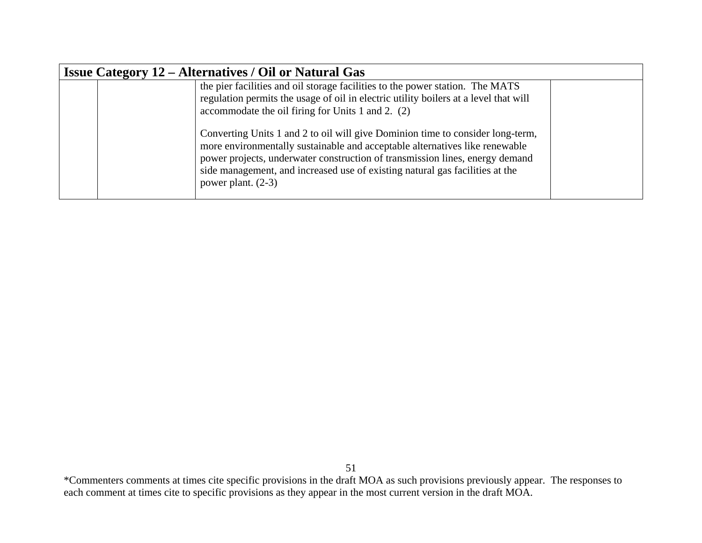| <b>Issue Category 12 – Alternatives / Oil or Natural Gas</b> |                                                                                                                                                                                                                                                                                                                                                       |  |  |
|--------------------------------------------------------------|-------------------------------------------------------------------------------------------------------------------------------------------------------------------------------------------------------------------------------------------------------------------------------------------------------------------------------------------------------|--|--|
|                                                              | the pier facilities and oil storage facilities to the power station. The MATS<br>regulation permits the usage of oil in electric utility boilers at a level that will<br>accommodate the oil firing for Units 1 and 2. (2)                                                                                                                            |  |  |
|                                                              | Converting Units 1 and 2 to oil will give Dominion time to consider long-term,<br>more environmentally sustainable and acceptable alternatives like renewable<br>power projects, underwater construction of transmission lines, energy demand<br>side management, and increased use of existing natural gas facilities at the<br>power plant. $(2-3)$ |  |  |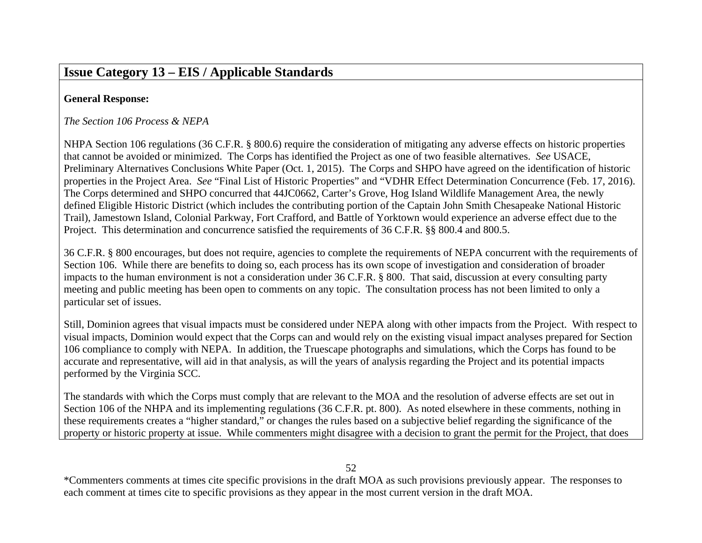#### **General Response:**

*The Section 106 Process & NEPA*

NHPA Section 106 regulations (36 C.F.R. § 800.6) require the consideration of mitigating any adverse effects on historic properties that cannot be avoided or minimized. The Corps has identified the Project as one of two feasible alternatives. *See* USACE, Preliminary Alternatives Conclusions White Paper (Oct. 1, 2015). The Corps and SHPO have agreed on the identification of historic properties in the Project Area. *See* "Final List of Historic Properties" and "VDHR Effect Determination Concurrence (Feb. 17, 2016). The Corps determined and SHPO concurred that 44JC0662, Carter's Grove, Hog Island Wildlife Management Area, the newly defined Eligible Historic District (which includes the contributing portion of the Captain John Smith Chesapeake National Historic Trail), Jamestown Island, Colonial Parkway, Fort Crafford, and Battle of Yorktown would experience an adverse effect due to the Project. This determination and concurrence satisfied the requirements of 36 C.F.R. §§ 800.4 and 800.5.

36 C.F.R. § 800 encourages, but does not require, agencies to complete the requirements of NEPA concurrent with the requirements of Section 106. While there are benefits to doing so, each process has its own scope of investigation and consideration of broader impacts to the human environment is not a consideration under 36 C.F.R. § 800. That said, discussion at every consulting party meeting and public meeting has been open to comments on any topic. The consultation process has not been limited to only a particular set of issues.

Still, Dominion agrees that visual impacts must be considered under NEPA along with other impacts from the Project. With respect to visual impacts, Dominion would expect that the Corps can and would rely on the existing visual impact analyses prepared for Section 106 compliance to comply with NEPA. In addition, the Truescape photographs and simulations, which the Corps has found to be accurate and representative, will aid in that analysis, as will the years of analysis regarding the Project and its potential impacts performed by the Virginia SCC.

The standards with which the Corps must comply that are relevant to the MOA and the resolution of adverse effects are set out in Section 106 of the NHPA and its implementing regulations (36 C.F.R. pt. 800). As noted elsewhere in these comments, nothing in these requirements creates a "higher standard," or changes the rules based on a subjective belief regarding the significance of the property or historic property at issue. While commenters might disagree with a decision to grant the permit for the Project, that does

52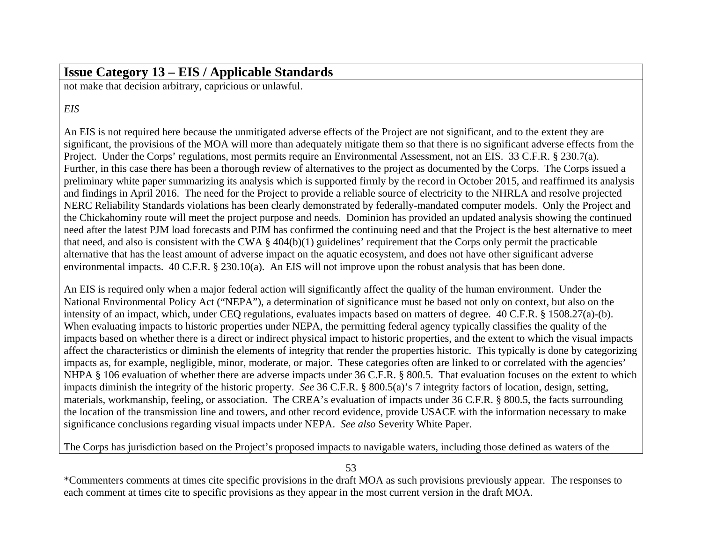not make that decision arbitrary, capricious or unlawful.

# *EIS*

An EIS is not required here because the unmitigated adverse effects of the Project are not significant, and to the extent they are significant, the provisions of the MOA will more than adequately mitigate them so that there is no significant adverse effects from the Project. Under the Corps' regulations, most permits require an Environmental Assessment, not an EIS. 33 C.F.R. § 230.7(a). Further, in this case there has been a thorough review of alternatives to the project as documented by the Corps. The Corps issued a preliminary white paper summarizing its analysis which is supported firmly by the record in October 2015, and reaffirmed its analysis and findings in April 2016. The need for the Project to provide a reliable source of electricity to the NHRLA and resolve projected NERC Reliability Standards violations has been clearly demonstrated by federally-mandated computer models. Only the Project and the Chickahominy route will meet the project purpose and needs. Dominion has provided an updated analysis showing the continued need after the latest PJM load forecasts and PJM has confirmed the continuing need and that the Project is the best alternative to meet that need, and also is consistent with the CWA § 404(b)(1) guidelines' requirement that the Corps only permit the practicable alternative that has the least amount of adverse impact on the aquatic ecosystem, and does not have other significant adverse environmental impacts. 40 C.F.R. § 230.10(a). An EIS will not improve upon the robust analysis that has been done.

An EIS is required only when a major federal action will significantly affect the quality of the human environment. Under the National Environmental Policy Act ("NEPA"), a determination of significance must be based not only on context, but also on the intensity of an impact, which, under CEQ regulations, evaluates impacts based on matters of degree. 40 C.F.R. § 1508.27(a)-(b). When evaluating impacts to historic properties under NEPA, the permitting federal agency typically classifies the quality of the impacts based on whether there is a direct or indirect physical impact to historic properties, and the extent to which the visual impacts affect the characteristics or diminish the elements of integrity that render the properties historic. This typically is done by categorizing impacts as, for example, negligible, minor, moderate, or major. These categories often are linked to or correlated with the agencies' NHPA § 106 evaluation of whether there are adverse impacts under 36 C.F.R. § 800.5. That evaluation focuses on the extent to which impacts diminish the integrity of the historic property. *See* 36 C.F.R. § 800.5(a)'s 7 integrity factors of location, design, setting, materials, workmanship, feeling, or association. The CREA's evaluation of impacts under 36 C.F.R. § 800.5, the facts surrounding the location of the transmission line and towers, and other record evidence, provide USACE with the information necessary to make significance conclusions regarding visual impacts under NEPA. *See also* Severity White Paper.

The Corps has jurisdiction based on the Project's proposed impacts to navigable waters, including those defined as waters of the

53

<sup>\*</sup>Commenters comments at times cite specific provisions in the draft MOA as such provisions previously appear. The responses to each comment at times cite to specific provisions as they appear in the most current version in the draft MOA.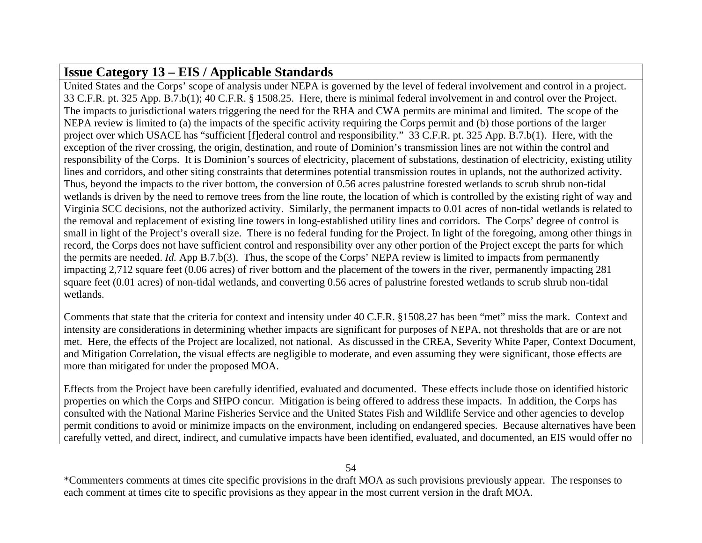United States and the Corps' scope of analysis under NEPA is governed by the level of federal involvement and control in a project. 33 C.F.R. pt. 325 App. B.7.b(1); 40 C.F.R. § 1508.25. Here, there is minimal federal involvement in and control over the Project. The impacts to jurisdictional waters triggering the need for the RHA and CWA permits are minimal and limited. The scope of the NEPA review is limited to (a) the impacts of the specific activity requiring the Corps permit and (b) those portions of the larger project over which USACE has "sufficient [f]ederal control and responsibility." 33 C.F.R. pt. 325 App. B.7.b(1). Here, with the exception of the river crossing, the origin, destination, and route of Dominion's transmission lines are not within the control and responsibility of the Corps. It is Dominion's sources of electricity, placement of substations, destination of electricity, existing utility lines and corridors, and other siting constraints that determines potential transmission routes in uplands, not the authorized activity. Thus, beyond the impacts to the river bottom, the conversion of 0.56 acres palustrine forested wetlands to scrub shrub non-tidal wetlands is driven by the need to remove trees from the line route, the location of which is controlled by the existing right of way and Virginia SCC decisions, not the authorized activity. Similarly, the permanent impacts to 0.01 acres of non-tidal wetlands is related to the removal and replacement of existing line towers in long-established utility lines and corridors. The Corps' degree of control is small in light of the Project's overall size. There is no federal funding for the Project. In light of the foregoing, among other things in record, the Corps does not have sufficient control and responsibility over any other portion of the Project except the parts for which the permits are needed. *Id.* App B.7.b(3). Thus, the scope of the Corps' NEPA review is limited to impacts from permanently impacting 2,712 square feet (0.06 acres) of river bottom and the placement of the towers in the river, permanently impacting 281 square feet (0.01 acres) of non-tidal wetlands, and converting 0.56 acres of palustrine forested wetlands to scrub shrub non-tidal wetlands.

Comments that state that the criteria for context and intensity under 40 C.F.R. §1508.27 has been "met" miss the mark. Context and intensity are considerations in determining whether impacts are significant for purposes of NEPA, not thresholds that are or are not met. Here, the effects of the Project are localized, not national. As discussed in the CREA, Severity White Paper, Context Document, and Mitigation Correlation, the visual effects are negligible to moderate, and even assuming they were significant, those effects are more than mitigated for under the proposed MOA.

Effects from the Project have been carefully identified, evaluated and documented. These effects include those on identified historic properties on which the Corps and SHPO concur. Mitigation is being offered to address these impacts. In addition, the Corps has consulted with the National Marine Fisheries Service and the United States Fish and Wildlife Service and other agencies to develop permit conditions to avoid or minimize impacts on the environment, including on endangered species. Because alternatives have been carefully vetted, and direct, indirect, and cumulative impacts have been identified, evaluated, and documented, an EIS would offer no

54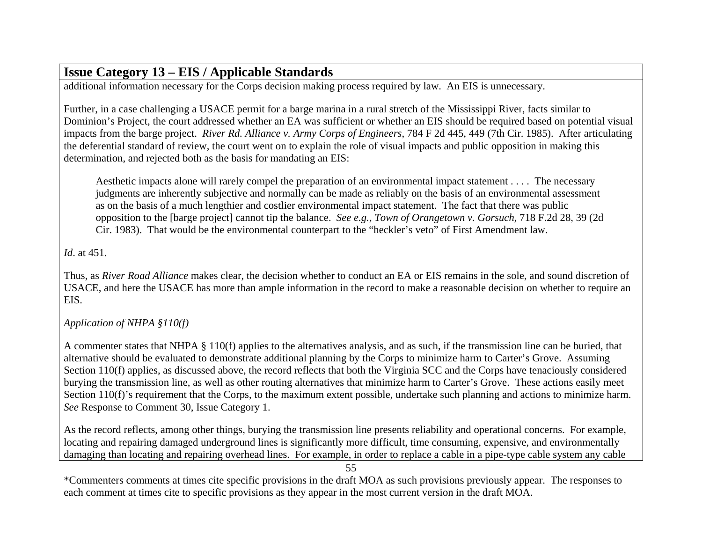additional information necessary for the Corps decision making process required by law. An EIS is unnecessary.

Further, in a case challenging a USACE permit for a barge marina in a rural stretch of the Mississippi River, facts similar to Dominion's Project, the court addressed whether an EA was sufficient or whether an EIS should be required based on potential visual impacts from the barge project. *River Rd. Alliance v. Army Corps of Engineers*, 784 F 2d 445, 449 (7th Cir. 1985). After articulating the deferential standard of review, the court went on to explain the role of visual impacts and public opposition in making this determination, and rejected both as the basis for mandating an EIS:

Aesthetic impacts alone will rarely compel the preparation of an environmental impact statement . . . . The necessary judgments are inherently subjective and normally can be made as reliably on the basis of an environmental assessment as on the basis of a much lengthier and costlier environmental impact statement. The fact that there was public opposition to the [barge project] cannot tip the balance. *See e.g., Town of Orangetown v. Gorsuch,* 718 F.2d 28, 39 (2d Cir. 1983). That would be the environmental counterpart to the "heckler's veto" of First Amendment law.

*Id*. at 451.

Thus, as *River Road Alliance* makes clear, the decision whether to conduct an EA or EIS remains in the sole, and sound discretion of USACE, and here the USACE has more than ample information in the record to make a reasonable decision on whether to require an EIS.

#### *Application of NHPA §110(f)*

A commenter states that NHPA § 110(f) applies to the alternatives analysis, and as such, if the transmission line can be buried, that alternative should be evaluated to demonstrate additional planning by the Corps to minimize harm to Carter's Grove. Assuming Section 110(f) applies, as discussed above, the record reflects that both the Virginia SCC and the Corps have tenaciously considered burying the transmission line, as well as other routing alternatives that minimize harm to Carter's Grove. These actions easily meet Section 110(f)'s requirement that the Corps, to the maximum extent possible, undertake such planning and actions to minimize harm. *See* Response to Comment 30, Issue Category 1.

As the record reflects, among other things, burying the transmission line presents reliability and operational concerns. For example, locating and repairing damaged underground lines is significantly more difficult, time consuming, expensive, and environmentally damaging than locating and repairing overhead lines. For example, in order to replace a cable in a pipe-type cable system any cable

55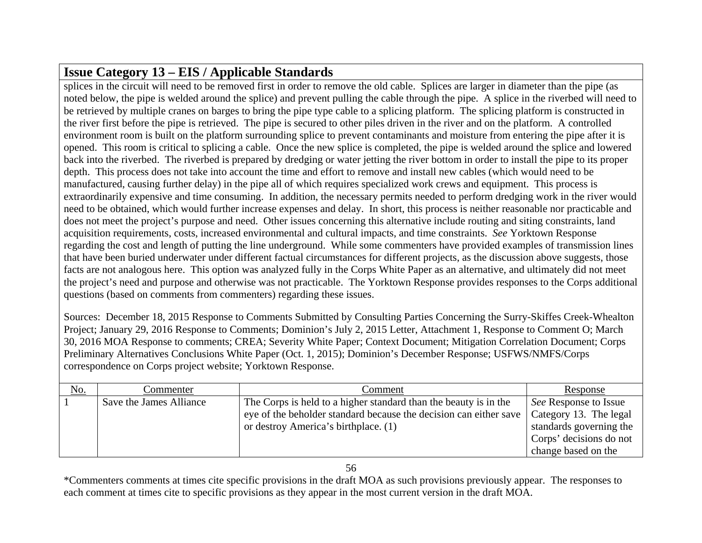splices in the circuit will need to be removed first in order to remove the old cable. Splices are larger in diameter than the pipe (as noted below, the pipe is welded around the splice) and prevent pulling the cable through the pipe. A splice in the riverbed will need to be retrieved by multiple cranes on barges to bring the pipe type cable to a splicing platform. The splicing platform is constructed in the river first before the pipe is retrieved. The pipe is secured to other piles driven in the river and on the platform. A controlled environment room is built on the platform surrounding splice to prevent contaminants and moisture from entering the pipe after it is opened. This room is critical to splicing a cable. Once the new splice is completed, the pipe is welded around the splice and lowered back into the riverbed. The riverbed is prepared by dredging or water jetting the river bottom in order to install the pipe to its proper depth. This process does not take into account the time and effort to remove and install new cables (which would need to be manufactured, causing further delay) in the pipe all of which requires specialized work crews and equipment. This process is extraordinarily expensive and time consuming. In addition, the necessary permits needed to perform dredging work in the river would need to be obtained, which would further increase expenses and delay. In short, this process is neither reasonable nor practicable and does not meet the project's purpose and need. Other issues concerning this alternative include routing and siting constraints, land acquisition requirements, costs, increased environmental and cultural impacts, and time constraints. *See* Yorktown Response regarding the cost and length of putting the line underground. While some commenters have provided examples of transmission lines that have been buried underwater under different factual circumstances for different projects, as the discussion above suggests, those facts are not analogous here. This option was analyzed fully in the Corps White Paper as an alternative, and ultimately did not meet the project's need and purpose and otherwise was not practicable. The Yorktown Response provides responses to the Corps additional questions (based on comments from commenters) regarding these issues.

Sources: December 18, 2015 Response to Comments Submitted by Consulting Parties Concerning the Surry-Skiffes Creek-Whealton Project; January 29, 2016 Response to Comments; Dominion's July 2, 2015 Letter, Attachment 1, Response to Comment O; March 30, 2016 MOA Response to comments; CREA; Severity White Paper; Context Document; Mitigation Correlation Document; Corps Preliminary Alternatives Conclusions White Paper (Oct. 1, 2015); Dominion's December Response; USFWS/NMFS/Corps correspondence on Corps project website; Yorktown Response.

| <u>No.</u> | Commenter               | Comment                                                                                                                                                                       | Response                                                                                                                            |
|------------|-------------------------|-------------------------------------------------------------------------------------------------------------------------------------------------------------------------------|-------------------------------------------------------------------------------------------------------------------------------------|
|            | Save the James Alliance | The Corps is held to a higher standard than the beauty is in the<br>eye of the beholder standard because the decision can either save<br>or destroy America's birthplace. (1) | <i>See</i> Response to Issue<br>Category 13. The legal<br>standards governing the<br>Corps' decisions do not<br>change based on the |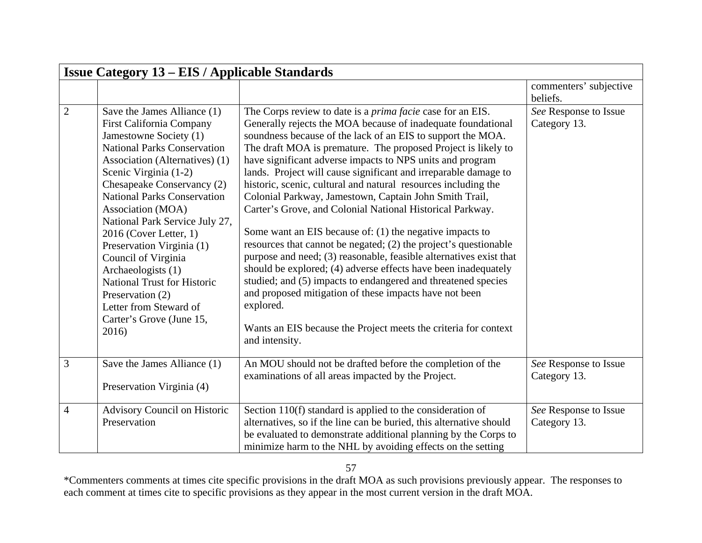| <b>Issue Category 13 – EIS / Applicable Standards</b> |                                                                                                                                                                                                                                                                                                                                                                                                                                                                                                                                                     |                                                                                                                                                                                                                                                                                                                                                                                                                                                                                                                                                                                                                                                                                                                                                                                                                                                                                                                                                                                                                                                                                                   |                                       |
|-------------------------------------------------------|-----------------------------------------------------------------------------------------------------------------------------------------------------------------------------------------------------------------------------------------------------------------------------------------------------------------------------------------------------------------------------------------------------------------------------------------------------------------------------------------------------------------------------------------------------|---------------------------------------------------------------------------------------------------------------------------------------------------------------------------------------------------------------------------------------------------------------------------------------------------------------------------------------------------------------------------------------------------------------------------------------------------------------------------------------------------------------------------------------------------------------------------------------------------------------------------------------------------------------------------------------------------------------------------------------------------------------------------------------------------------------------------------------------------------------------------------------------------------------------------------------------------------------------------------------------------------------------------------------------------------------------------------------------------|---------------------------------------|
|                                                       |                                                                                                                                                                                                                                                                                                                                                                                                                                                                                                                                                     |                                                                                                                                                                                                                                                                                                                                                                                                                                                                                                                                                                                                                                                                                                                                                                                                                                                                                                                                                                                                                                                                                                   | commenters' subjective<br>beliefs.    |
| $\mathbf{2}$                                          | Save the James Alliance (1)<br><b>First California Company</b><br>Jamestowne Society (1)<br><b>National Parks Conservation</b><br>Association (Alternatives) (1)<br>Scenic Virginia (1-2)<br>Chesapeake Conservancy (2)<br><b>National Parks Conservation</b><br>Association (MOA)<br>National Park Service July 27,<br>$2016$ (Cover Letter, 1)<br>Preservation Virginia (1)<br>Council of Virginia<br>Archaeologists (1)<br><b>National Trust for Historic</b><br>Preservation (2)<br>Letter from Steward of<br>Carter's Grove (June 15,<br>2016) | The Corps review to date is a <i>prima facie</i> case for an EIS.<br>Generally rejects the MOA because of inadequate foundational<br>soundness because of the lack of an EIS to support the MOA.<br>The draft MOA is premature. The proposed Project is likely to<br>have significant adverse impacts to NPS units and program<br>lands. Project will cause significant and irreparable damage to<br>historic, scenic, cultural and natural resources including the<br>Colonial Parkway, Jamestown, Captain John Smith Trail,<br>Carter's Grove, and Colonial National Historical Parkway.<br>Some want an EIS because of: $(1)$ the negative impacts to<br>resources that cannot be negated; (2) the project's questionable<br>purpose and need; (3) reasonable, feasible alternatives exist that<br>should be explored; (4) adverse effects have been inadequately<br>studied; and (5) impacts to endangered and threatened species<br>and proposed mitigation of these impacts have not been<br>explored.<br>Wants an EIS because the Project meets the criteria for context<br>and intensity. | See Response to Issue<br>Category 13. |
| 3                                                     | Save the James Alliance (1)<br>Preservation Virginia (4)                                                                                                                                                                                                                                                                                                                                                                                                                                                                                            | An MOU should not be drafted before the completion of the<br>examinations of all areas impacted by the Project.                                                                                                                                                                                                                                                                                                                                                                                                                                                                                                                                                                                                                                                                                                                                                                                                                                                                                                                                                                                   | See Response to Issue<br>Category 13. |
| $\overline{4}$                                        | <b>Advisory Council on Historic</b><br>Preservation                                                                                                                                                                                                                                                                                                                                                                                                                                                                                                 | Section 110(f) standard is applied to the consideration of<br>alternatives, so if the line can be buried, this alternative should<br>be evaluated to demonstrate additional planning by the Corps to<br>minimize harm to the NHL by avoiding effects on the setting                                                                                                                                                                                                                                                                                                                                                                                                                                                                                                                                                                                                                                                                                                                                                                                                                               | See Response to Issue<br>Category 13. |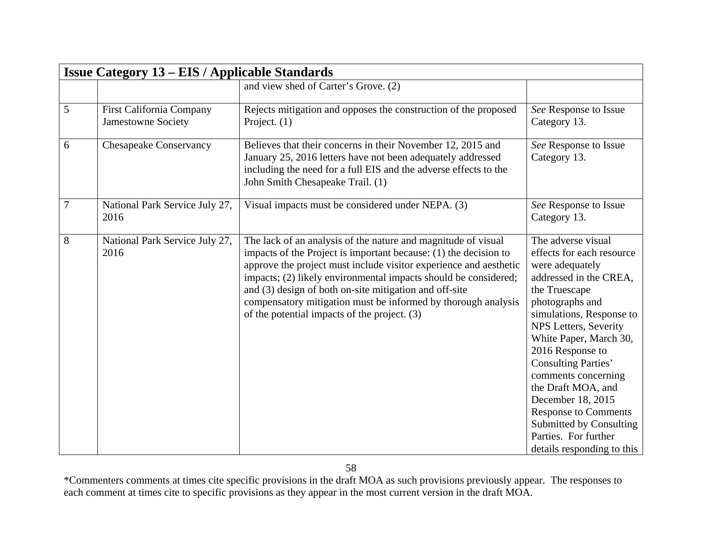| <b>Issue Category 13 - EIS / Applicable Standards</b> |                                                              |                                                                                                                                                                                                                                                                                                                                                                                                                                                      |                                                                                                                                                                                                                                                                                                                                                                                                                                                     |
|-------------------------------------------------------|--------------------------------------------------------------|------------------------------------------------------------------------------------------------------------------------------------------------------------------------------------------------------------------------------------------------------------------------------------------------------------------------------------------------------------------------------------------------------------------------------------------------------|-----------------------------------------------------------------------------------------------------------------------------------------------------------------------------------------------------------------------------------------------------------------------------------------------------------------------------------------------------------------------------------------------------------------------------------------------------|
|                                                       |                                                              | and view shed of Carter's Grove. (2)                                                                                                                                                                                                                                                                                                                                                                                                                 |                                                                                                                                                                                                                                                                                                                                                                                                                                                     |
| 5                                                     | <b>First California Company</b><br><b>Jamestowne Society</b> | Rejects mitigation and opposes the construction of the proposed<br>Project. $(1)$                                                                                                                                                                                                                                                                                                                                                                    | See Response to Issue<br>Category 13.                                                                                                                                                                                                                                                                                                                                                                                                               |
| 6                                                     | <b>Chesapeake Conservancy</b>                                | Believes that their concerns in their November 12, 2015 and<br>January 25, 2016 letters have not been adequately addressed<br>including the need for a full EIS and the adverse effects to the<br>John Smith Chesapeake Trail. (1)                                                                                                                                                                                                                   | See Response to Issue<br>Category 13.                                                                                                                                                                                                                                                                                                                                                                                                               |
| 7                                                     | National Park Service July 27,<br>2016                       | Visual impacts must be considered under NEPA. (3)                                                                                                                                                                                                                                                                                                                                                                                                    | See Response to Issue<br>Category 13.                                                                                                                                                                                                                                                                                                                                                                                                               |
| 8                                                     | National Park Service July 27,<br>2016                       | The lack of an analysis of the nature and magnitude of visual<br>impacts of the Project is important because: (1) the decision to<br>approve the project must include visitor experience and aesthetic<br>impacts; (2) likely environmental impacts should be considered;<br>and (3) design of both on-site mitigation and off-site<br>compensatory mitigation must be informed by thorough analysis<br>of the potential impacts of the project. (3) | The adverse visual<br>effects for each resource<br>were adequately<br>addressed in the CREA,<br>the Truescape<br>photographs and<br>simulations, Response to<br>NPS Letters, Severity<br>White Paper, March 30,<br>2016 Response to<br><b>Consulting Parties'</b><br>comments concerning<br>the Draft MOA, and<br>December 18, 2015<br><b>Response to Comments</b><br>Submitted by Consulting<br>Parties. For further<br>details responding to this |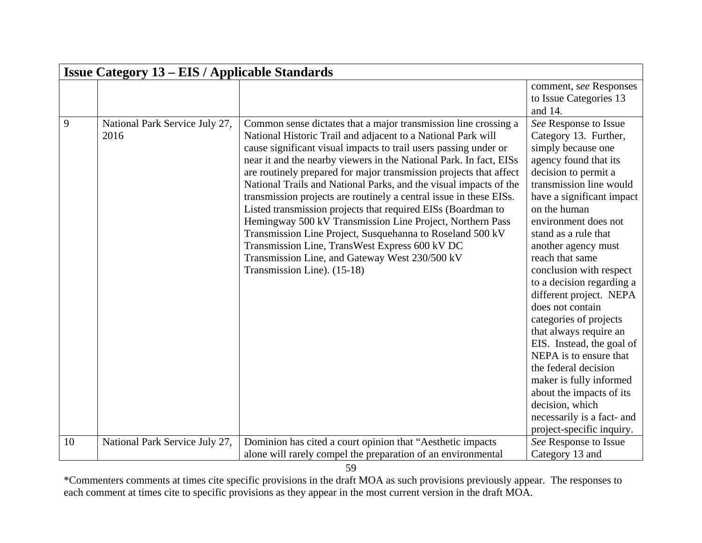|    | <b>Issue Category 13 – EIS / Applicable Standards</b> |                                                                                                                                                                                                                                                                                                                                                                                                                                                                                                                                                                                                                                                                                                                                                                                                                         |                                                                                                                                                                                                                                                                                                                                                                                                                                                                                                                                                                                                                                                                        |  |
|----|-------------------------------------------------------|-------------------------------------------------------------------------------------------------------------------------------------------------------------------------------------------------------------------------------------------------------------------------------------------------------------------------------------------------------------------------------------------------------------------------------------------------------------------------------------------------------------------------------------------------------------------------------------------------------------------------------------------------------------------------------------------------------------------------------------------------------------------------------------------------------------------------|------------------------------------------------------------------------------------------------------------------------------------------------------------------------------------------------------------------------------------------------------------------------------------------------------------------------------------------------------------------------------------------------------------------------------------------------------------------------------------------------------------------------------------------------------------------------------------------------------------------------------------------------------------------------|--|
|    |                                                       |                                                                                                                                                                                                                                                                                                                                                                                                                                                                                                                                                                                                                                                                                                                                                                                                                         | comment, see Responses<br>to Issue Categories 13<br>and 14.                                                                                                                                                                                                                                                                                                                                                                                                                                                                                                                                                                                                            |  |
| 9  | National Park Service July 27,<br>2016                | Common sense dictates that a major transmission line crossing a<br>National Historic Trail and adjacent to a National Park will<br>cause significant visual impacts to trail users passing under or<br>near it and the nearby viewers in the National Park. In fact, EISs<br>are routinely prepared for major transmission projects that affect<br>National Trails and National Parks, and the visual impacts of the<br>transmission projects are routinely a central issue in these EISs.<br>Listed transmission projects that required EISs (Boardman to<br>Hemingway 500 kV Transmission Line Project, Northern Pass<br>Transmission Line Project, Susquehanna to Roseland 500 kV<br>Transmission Line, TransWest Express 600 kV DC<br>Transmission Line, and Gateway West 230/500 kV<br>Transmission Line). (15-18) | See Response to Issue<br>Category 13. Further,<br>simply because one<br>agency found that its<br>decision to permit a<br>transmission line would<br>have a significant impact<br>on the human<br>environment does not<br>stand as a rule that<br>another agency must<br>reach that same<br>conclusion with respect<br>to a decision regarding a<br>different project. NEPA<br>does not contain<br>categories of projects<br>that always require an<br>EIS. Instead, the goal of<br>NEPA is to ensure that<br>the federal decision<br>maker is fully informed<br>about the impacts of its<br>decision, which<br>necessarily is a fact- and<br>project-specific inquiry. |  |
| 10 | National Park Service July 27,                        | Dominion has cited a court opinion that "Aesthetic impacts<br>alone will rarely compel the preparation of an environmental                                                                                                                                                                                                                                                                                                                                                                                                                                                                                                                                                                                                                                                                                              | See Response to Issue<br>Category 13 and                                                                                                                                                                                                                                                                                                                                                                                                                                                                                                                                                                                                                               |  |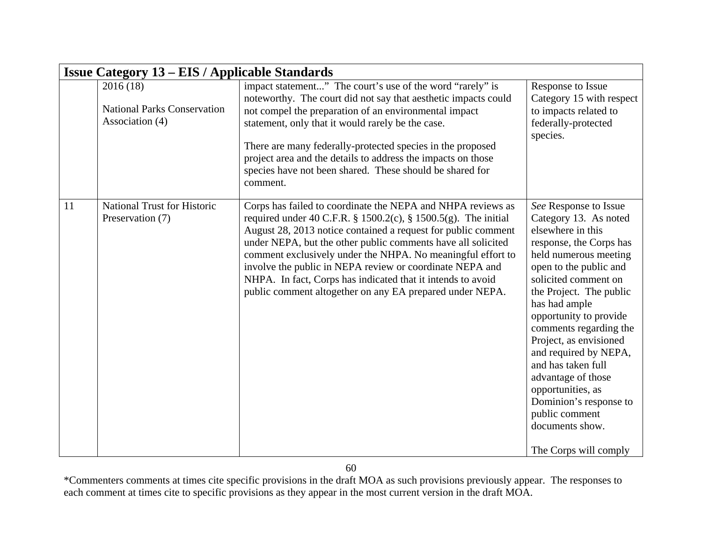|    | <b>Issue Category 13 – EIS / Applicable Standards</b> |                                                                      |                                          |  |
|----|-------------------------------------------------------|----------------------------------------------------------------------|------------------------------------------|--|
|    | 2016(18)                                              | impact statement" The court's use of the word "rarely" is            | Response to Issue                        |  |
|    |                                                       | noteworthy. The court did not say that aesthetic impacts could       | Category 15 with respect                 |  |
|    | <b>National Parks Conservation</b>                    | not compel the preparation of an environmental impact                | to impacts related to                    |  |
|    | Association (4)                                       | statement, only that it would rarely be the case.                    | federally-protected                      |  |
|    |                                                       |                                                                      | species.                                 |  |
|    |                                                       | There are many federally-protected species in the proposed           |                                          |  |
|    |                                                       | project area and the details to address the impacts on those         |                                          |  |
|    |                                                       | species have not been shared. These should be shared for<br>comment. |                                          |  |
| 11 | <b>National Trust for Historic</b>                    | Corps has failed to coordinate the NEPA and NHPA reviews as          | See Response to Issue                    |  |
|    | Preservation (7)                                      | required under 40 C.F.R. § 1500.2(c), § 1500.5(g). The initial       | Category 13. As noted                    |  |
|    |                                                       | August 28, 2013 notice contained a request for public comment        | elsewhere in this                        |  |
|    |                                                       | under NEPA, but the other public comments have all solicited         | response, the Corps has                  |  |
|    |                                                       | comment exclusively under the NHPA. No meaningful effort to          | held numerous meeting                    |  |
|    |                                                       | involve the public in NEPA review or coordinate NEPA and             | open to the public and                   |  |
|    |                                                       | NHPA. In fact, Corps has indicated that it intends to avoid          | solicited comment on                     |  |
|    |                                                       | public comment altogether on any EA prepared under NEPA.             | the Project. The public                  |  |
|    |                                                       |                                                                      | has had ample                            |  |
|    |                                                       |                                                                      | opportunity to provide                   |  |
|    |                                                       |                                                                      | comments regarding the                   |  |
|    |                                                       |                                                                      | Project, as envisioned                   |  |
|    |                                                       |                                                                      | and required by NEPA,                    |  |
|    |                                                       |                                                                      | and has taken full                       |  |
|    |                                                       |                                                                      | advantage of those                       |  |
|    |                                                       |                                                                      | opportunities, as                        |  |
|    |                                                       |                                                                      | Dominion's response to<br>public comment |  |
|    |                                                       |                                                                      | documents show.                          |  |
|    |                                                       |                                                                      |                                          |  |
|    |                                                       |                                                                      | The Corps will comply                    |  |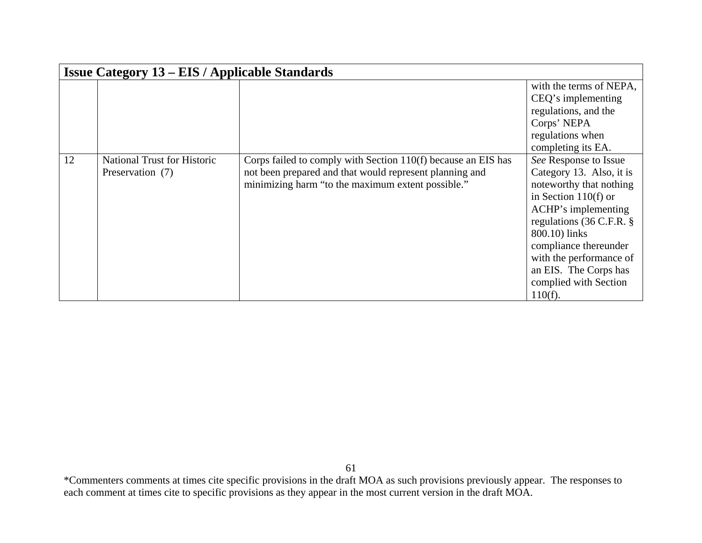| <b>Issue Category 13 – EIS / Applicable Standards</b> |                             |                                                               |                             |
|-------------------------------------------------------|-----------------------------|---------------------------------------------------------------|-----------------------------|
|                                                       |                             |                                                               | with the terms of NEPA,     |
|                                                       |                             |                                                               | CEQ's implementing          |
|                                                       |                             |                                                               | regulations, and the        |
|                                                       |                             |                                                               | Corps' NEPA                 |
|                                                       |                             |                                                               | regulations when            |
|                                                       |                             |                                                               | completing its EA.          |
| 12                                                    | National Trust for Historic | Corps failed to comply with Section 110(f) because an EIS has | See Response to Issue       |
|                                                       | Preservation (7)            | not been prepared and that would represent planning and       | Category 13. Also, it is    |
|                                                       |                             | minimizing harm "to the maximum extent possible."             | noteworthy that nothing     |
|                                                       |                             |                                                               | in Section 110(f) or        |
|                                                       |                             |                                                               | ACHP's implementing         |
|                                                       |                             |                                                               | regulations (36 C.F.R. $\S$ |
|                                                       |                             |                                                               | 800.10) links               |
|                                                       |                             |                                                               | compliance thereunder       |
|                                                       |                             |                                                               | with the performance of     |
|                                                       |                             |                                                               | an EIS. The Corps has       |
|                                                       |                             |                                                               | complied with Section       |
|                                                       |                             |                                                               | $110(f)$ .                  |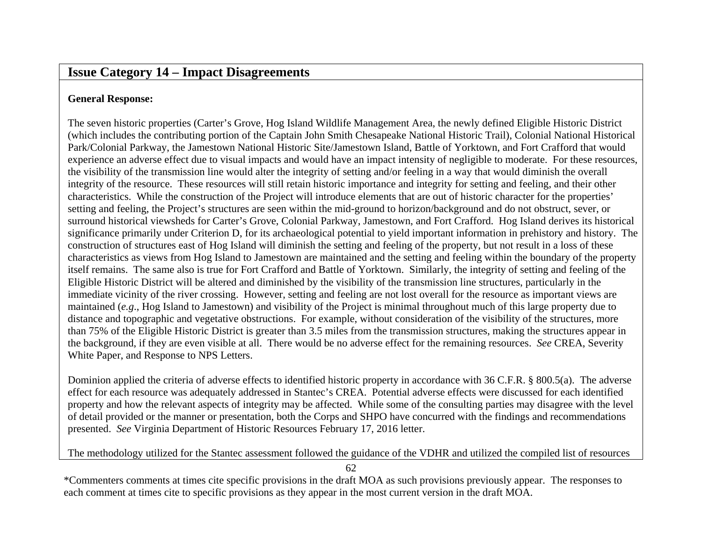#### **General Response:**

The seven historic properties (Carter's Grove, Hog Island Wildlife Management Area, the newly defined Eligible Historic District (which includes the contributing portion of the Captain John Smith Chesapeake National Historic Trail), Colonial National Historical Park/Colonial Parkway, the Jamestown National Historic Site/Jamestown Island, Battle of Yorktown, and Fort Crafford that would experience an adverse effect due to visual impacts and would have an impact intensity of negligible to moderate. For these resources, the visibility of the transmission line would alter the integrity of setting and/or feeling in a way that would diminish the overall integrity of the resource. These resources will still retain historic importance and integrity for setting and feeling, and their other characteristics. While the construction of the Project will introduce elements that are out of historic character for the properties' setting and feeling, the Project's structures are seen within the mid-ground to horizon/background and do not obstruct, sever, or surround historical viewsheds for Carter's Grove, Colonial Parkway, Jamestown, and Fort Crafford. Hog Island derives its historical significance primarily under Criterion D, for its archaeological potential to yield important information in prehistory and history. The construction of structures east of Hog Island will diminish the setting and feeling of the property, but not result in a loss of these characteristics as views from Hog Island to Jamestown are maintained and the setting and feeling within the boundary of the property itself remains. The same also is true for Fort Crafford and Battle of Yorktown. Similarly, the integrity of setting and feeling of the Eligible Historic District will be altered and diminished by the visibility of the transmission line structures, particularly in the immediate vicinity of the river crossing. However, setting and feeling are not lost overall for the resource as important views are maintained (*e.g*., Hog Island to Jamestown) and visibility of the Project is minimal throughout much of this large property due to distance and topographic and vegetative obstructions. For example, without consideration of the visibility of the structures, more than 75% of the Eligible Historic District is greater than 3.5 miles from the transmission structures, making the structures appear in the background, if they are even visible at all. There would be no adverse effect for the remaining resources. *See* CREA, Severity White Paper, and Response to NPS Letters.

Dominion applied the criteria of adverse effects to identified historic property in accordance with 36 C.F.R. § 800.5(a). The adverse effect for each resource was adequately addressed in Stantec's CREA. Potential adverse effects were discussed for each identified property and how the relevant aspects of integrity may be affected. While some of the consulting parties may disagree with the level of detail provided or the manner or presentation, both the Corps and SHPO have concurred with the findings and recommendations presented. *See* Virginia Department of Historic Resources February 17, 2016 letter.

The methodology utilized for the Stantec assessment followed the guidance of the VDHR and utilized the compiled list of resources

62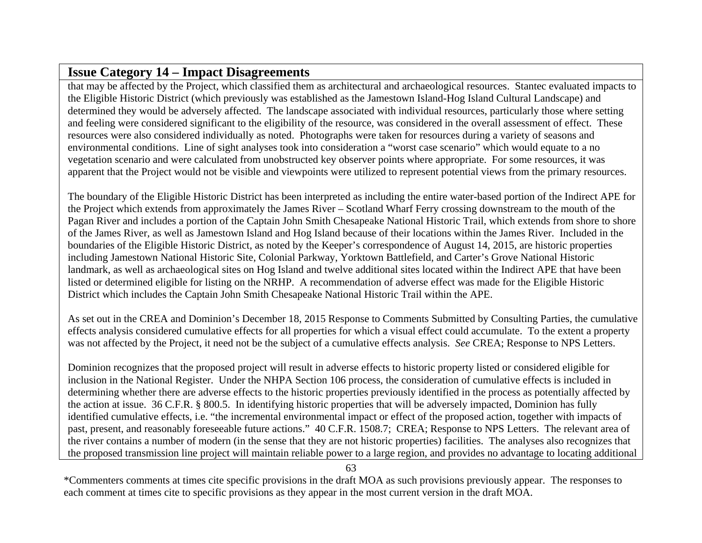that may be affected by the Project, which classified them as architectural and archaeological resources. Stantec evaluated impacts to the Eligible Historic District (which previously was established as the Jamestown Island-Hog Island Cultural Landscape) and determined they would be adversely affected. The landscape associated with individual resources, particularly those where setting and feeling were considered significant to the eligibility of the resource, was considered in the overall assessment of effect. These resources were also considered individually as noted. Photographs were taken for resources during a variety of seasons and environmental conditions. Line of sight analyses took into consideration a "worst case scenario" which would equate to a no vegetation scenario and were calculated from unobstructed key observer points where appropriate. For some resources, it was apparent that the Project would not be visible and viewpoints were utilized to represent potential views from the primary resources.

The boundary of the Eligible Historic District has been interpreted as including the entire water-based portion of the Indirect APE for the Project which extends from approximately the James River – Scotland Wharf Ferry crossing downstream to the mouth of the Pagan River and includes a portion of the Captain John Smith Chesapeake National Historic Trail, which extends from shore to shore of the James River, as well as Jamestown Island and Hog Island because of their locations within the James River. Included in the boundaries of the Eligible Historic District, as noted by the Keeper's correspondence of August 14, 2015, are historic properties including Jamestown National Historic Site, Colonial Parkway, Yorktown Battlefield, and Carter's Grove National Historic landmark, as well as archaeological sites on Hog Island and twelve additional sites located within the Indirect APE that have been listed or determined eligible for listing on the NRHP. A recommendation of adverse effect was made for the Eligible Historic District which includes the Captain John Smith Chesapeake National Historic Trail within the APE.

As set out in the CREA and Dominion's December 18, 2015 Response to Comments Submitted by Consulting Parties, the cumulative effects analysis considered cumulative effects for all properties for which a visual effect could accumulate. To the extent a property was not affected by the Project, it need not be the subject of a cumulative effects analysis. *See* CREA; Response to NPS Letters.

Dominion recognizes that the proposed project will result in adverse effects to historic property listed or considered eligible for inclusion in the National Register. Under the NHPA Section 106 process, the consideration of cumulative effects is included in determining whether there are adverse effects to the historic properties previously identified in the process as potentially affected by the action at issue. 36 C.F.R. § 800.5. In identifying historic properties that will be adversely impacted, Dominion has fully identified cumulative effects, i.e. "the incremental environmental impact or effect of the proposed action, together with impacts of past, present, and reasonably foreseeable future actions." 40 C.F.R. 1508.7; CREA; Response to NPS Letters. The relevant area of the river contains a number of modern (in the sense that they are not historic properties) facilities. The analyses also recognizes that the proposed transmission line project will maintain reliable power to a large region, and provides no advantage to locating additional

63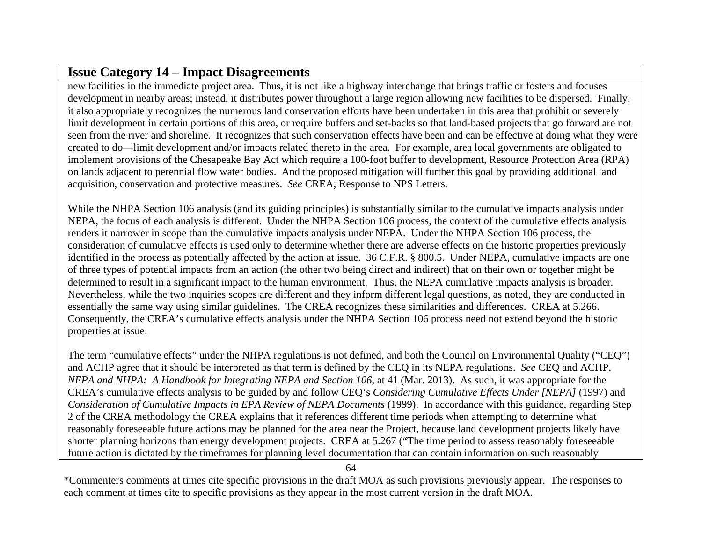new facilities in the immediate project area. Thus, it is not like a highway interchange that brings traffic or fosters and focuses development in nearby areas; instead, it distributes power throughout a large region allowing new facilities to be dispersed. Finally, it also appropriately recognizes the numerous land conservation efforts have been undertaken in this area that prohibit or severely limit development in certain portions of this area, or require buffers and set-backs so that land-based projects that go forward are not seen from the river and shoreline. It recognizes that such conservation effects have been and can be effective at doing what they were created to do—limit development and/or impacts related thereto in the area. For example, area local governments are obligated to implement provisions of the Chesapeake Bay Act which require a 100-foot buffer to development, Resource Protection Area (RPA) on lands adjacent to perennial flow water bodies. And the proposed mitigation will further this goal by providing additional land acquisition, conservation and protective measures. *See* CREA; Response to NPS Letters.

While the NHPA Section 106 analysis (and its guiding principles) is substantially similar to the cumulative impacts analysis under NEPA, the focus of each analysis is different. Under the NHPA Section 106 process, the context of the cumulative effects analysis renders it narrower in scope than the cumulative impacts analysis under NEPA. Under the NHPA Section 106 process, the consideration of cumulative effects is used only to determine whether there are adverse effects on the historic properties previously identified in the process as potentially affected by the action at issue. 36 C.F.R. § 800.5. Under NEPA, cumulative impacts are one of three types of potential impacts from an action (the other two being direct and indirect) that on their own or together might be determined to result in a significant impact to the human environment. Thus, the NEPA cumulative impacts analysis is broader. Nevertheless, while the two inquiries scopes are different and they inform different legal questions, as noted, they are conducted in essentially the same way using similar guidelines. The CREA recognizes these similarities and differences. CREA at 5.266. Consequently, the CREA's cumulative effects analysis under the NHPA Section 106 process need not extend beyond the historic properties at issue.

The term "cumulative effects" under the NHPA regulations is not defined, and both the Council on Environmental Quality ("CEQ") and ACHP agree that it should be interpreted as that term is defined by the CEQ in its NEPA regulations. *See* CEQ and ACHP, *NEPA and NHPA: A Handbook for Integrating NEPA and Section 106*, at 41 (Mar. 2013). As such, it was appropriate for the CREA's cumulative effects analysis to be guided by and follow CEQ's *Considering Cumulative Effects Under [NEPA]* (1997) and *Consideration of Cumulative Impacts in EPA Review of NEPA Documents* (1999). In accordance with this guidance, regarding Step 2 of the CREA methodology the CREA explains that it references different time periods when attempting to determine what reasonably foreseeable future actions may be planned for the area near the Project, because land development projects likely have shorter planning horizons than energy development projects. CREA at 5.267 ("The time period to assess reasonably foreseeable future action is dictated by the timeframes for planning level documentation that can contain information on such reasonably

64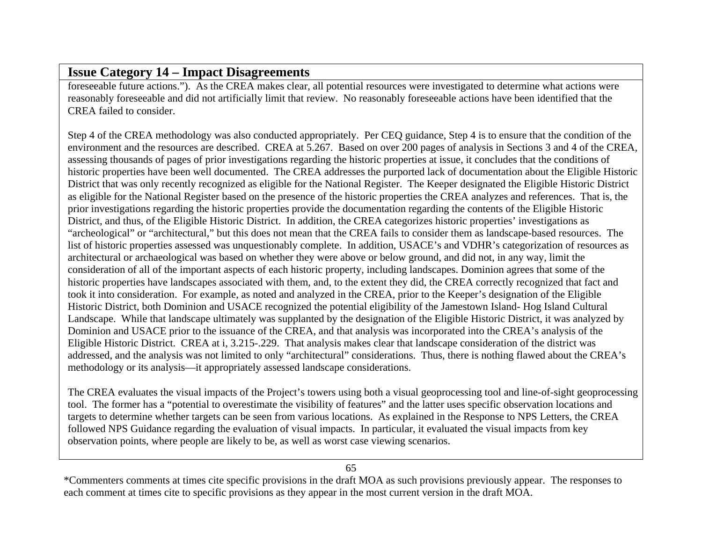foreseeable future actions."). As the CREA makes clear, all potential resources were investigated to determine what actions were reasonably foreseeable and did not artificially limit that review. No reasonably foreseeable actions have been identified that the CREA failed to consider.

Step 4 of the CREA methodology was also conducted appropriately. Per CEQ guidance, Step 4 is to ensure that the condition of the environment and the resources are described. CREA at 5.267. Based on over 200 pages of analysis in Sections 3 and 4 of the CREA, assessing thousands of pages of prior investigations regarding the historic properties at issue, it concludes that the conditions of historic properties have been well documented. The CREA addresses the purported lack of documentation about the Eligible Historic District that was only recently recognized as eligible for the National Register. The Keeper designated the Eligible Historic District as eligible for the National Register based on the presence of the historic properties the CREA analyzes and references. That is, the prior investigations regarding the historic properties provide the documentation regarding the contents of the Eligible Historic District, and thus, of the Eligible Historic District. In addition, the CREA categorizes historic properties' investigations as "archeological" or "architectural," but this does not mean that the CREA fails to consider them as landscape-based resources. The list of historic properties assessed was unquestionably complete. In addition, USACE's and VDHR's categorization of resources as architectural or archaeological was based on whether they were above or below ground, and did not, in any way, limit the consideration of all of the important aspects of each historic property, including landscapes. Dominion agrees that some of the historic properties have landscapes associated with them, and, to the extent they did, the CREA correctly recognized that fact and took it into consideration. For example, as noted and analyzed in the CREA, prior to the Keeper's designation of the Eligible Historic District, both Dominion and USACE recognized the potential eligibility of the Jamestown Island- Hog Island Cultural Landscape. While that landscape ultimately was supplanted by the designation of the Eligible Historic District, it was analyzed by Dominion and USACE prior to the issuance of the CREA, and that analysis was incorporated into the CREA's analysis of the Eligible Historic District. CREA at i, 3.215-.229. That analysis makes clear that landscape consideration of the district was addressed, and the analysis was not limited to only "architectural" considerations. Thus, there is nothing flawed about the CREA's methodology or its analysis—it appropriately assessed landscape considerations.

The CREA evaluates the visual impacts of the Project's towers using both a visual geoprocessing tool and line-of-sight geoprocessing tool. The former has a "potential to overestimate the visibility of features" and the latter uses specific observation locations and targets to determine whether targets can be seen from various locations. As explained in the Response to NPS Letters, the CREA followed NPS Guidance regarding the evaluation of visual impacts. In particular, it evaluated the visual impacts from key observation points, where people are likely to be, as well as worst case viewing scenarios.

<sup>\*</sup>Commenters comments at times cite specific provisions in the draft MOA as such provisions previously appear. The responses to each comment at times cite to specific provisions as they appear in the most current version in the draft MOA.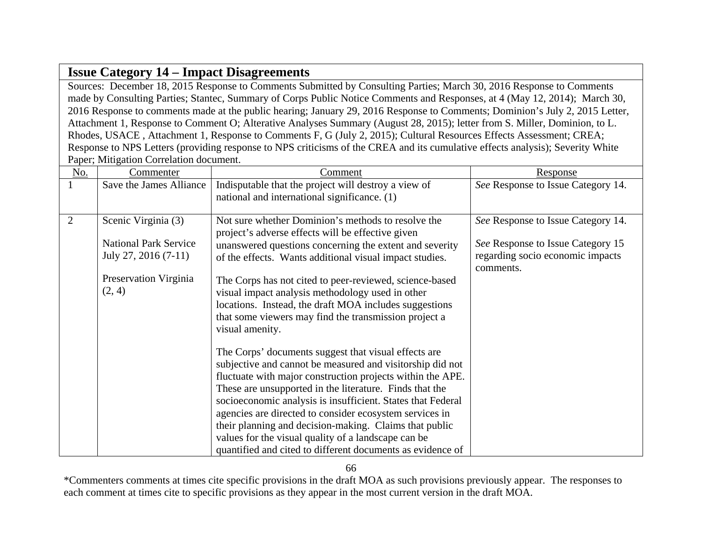Sources: December 18, 2015 Response to Comments Submitted by Consulting Parties; March 30, 2016 Response to Comments made by Consulting Parties; Stantec, Summary of Corps Public Notice Comments and Responses, at 4 (May 12, 2014); March 30, 2016 Response to comments made at the public hearing; January 29, 2016 Response to Comments; Dominion's July 2, 2015 Letter, Attachment 1, Response to Comment O; Alterative Analyses Summary (August 28, 2015); letter from S. Miller, Dominion, to L. Rhodes, USACE , Attachment 1, Response to Comments F, G (July 2, 2015); Cultural Resources Effects Assessment; CREA; Response to NPS Letters (providing response to NPS criticisms of the CREA and its cumulative effects analysis); Severity White Paper; Mitigation Correlation document.

| No.            | Commenter                                              | Comment                                                                                                                                                                                                                                                                                                                                                                                                                                                                                                                                             | Response                                                                           |
|----------------|--------------------------------------------------------|-----------------------------------------------------------------------------------------------------------------------------------------------------------------------------------------------------------------------------------------------------------------------------------------------------------------------------------------------------------------------------------------------------------------------------------------------------------------------------------------------------------------------------------------------------|------------------------------------------------------------------------------------|
|                | Save the James Alliance                                | Indisputable that the project will destroy a view of                                                                                                                                                                                                                                                                                                                                                                                                                                                                                                | See Response to Issue Category 14.                                                 |
|                |                                                        | national and international significance. (1)                                                                                                                                                                                                                                                                                                                                                                                                                                                                                                        |                                                                                    |
|                |                                                        | Not sure whether Dominion's methods to resolve the                                                                                                                                                                                                                                                                                                                                                                                                                                                                                                  |                                                                                    |
| $\overline{2}$ | Scenic Virginia (3)                                    |                                                                                                                                                                                                                                                                                                                                                                                                                                                                                                                                                     | See Response to Issue Category 14.                                                 |
|                | <b>National Park Service</b><br>July 27, 2016 $(7-11)$ | project's adverse effects will be effective given<br>unanswered questions concerning the extent and severity<br>of the effects. Wants additional visual impact studies.                                                                                                                                                                                                                                                                                                                                                                             | See Response to Issue Category 15<br>regarding socio economic impacts<br>comments. |
|                | Preservation Virginia<br>(2, 4)                        | The Corps has not cited to peer-reviewed, science-based<br>visual impact analysis methodology used in other<br>locations. Instead, the draft MOA includes suggestions<br>that some viewers may find the transmission project a<br>visual amenity.                                                                                                                                                                                                                                                                                                   |                                                                                    |
|                |                                                        | The Corps' documents suggest that visual effects are<br>subjective and cannot be measured and visitorship did not<br>fluctuate with major construction projects within the APE.<br>These are unsupported in the literature. Finds that the<br>socioeconomic analysis is insufficient. States that Federal<br>agencies are directed to consider ecosystem services in<br>their planning and decision-making. Claims that public<br>values for the visual quality of a landscape can be<br>quantified and cited to different documents as evidence of |                                                                                    |

66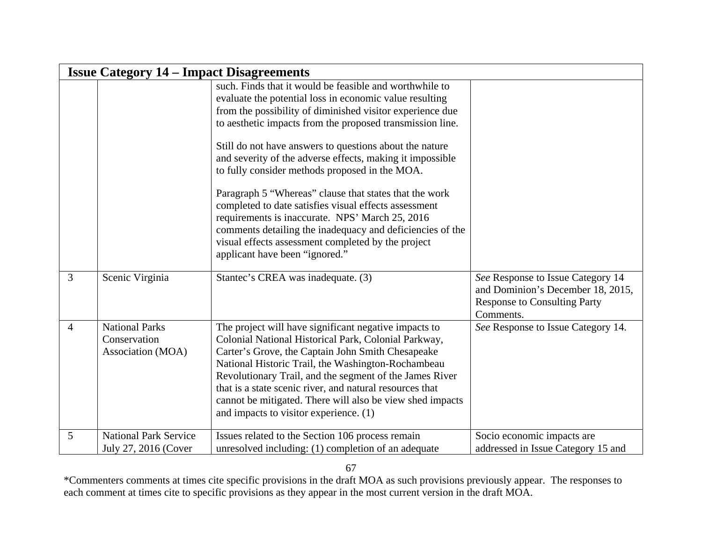|                | <b>Issue Category 14 – Impact Disagreements</b>            |                                                                                                                                                                                                                                                                                                                                                                                                                                                                                                                                                                                                                                                                                                                                                   |                                                                                                                            |  |
|----------------|------------------------------------------------------------|---------------------------------------------------------------------------------------------------------------------------------------------------------------------------------------------------------------------------------------------------------------------------------------------------------------------------------------------------------------------------------------------------------------------------------------------------------------------------------------------------------------------------------------------------------------------------------------------------------------------------------------------------------------------------------------------------------------------------------------------------|----------------------------------------------------------------------------------------------------------------------------|--|
|                |                                                            | such. Finds that it would be feasible and worthwhile to<br>evaluate the potential loss in economic value resulting<br>from the possibility of diminished visitor experience due<br>to aesthetic impacts from the proposed transmission line.<br>Still do not have answers to questions about the nature<br>and severity of the adverse effects, making it impossible<br>to fully consider methods proposed in the MOA.<br>Paragraph 5 "Whereas" clause that states that the work<br>completed to date satisfies visual effects assessment<br>requirements is inaccurate. NPS' March 25, 2016<br>comments detailing the inadequacy and deficiencies of the<br>visual effects assessment completed by the project<br>applicant have been "ignored." |                                                                                                                            |  |
| 3              | Scenic Virginia                                            | Stantec's CREA was inadequate. (3)                                                                                                                                                                                                                                                                                                                                                                                                                                                                                                                                                                                                                                                                                                                | See Response to Issue Category 14<br>and Dominion's December 18, 2015,<br><b>Response to Consulting Party</b><br>Comments. |  |
| $\overline{4}$ | <b>National Parks</b><br>Conservation<br>Association (MOA) | The project will have significant negative impacts to<br>Colonial National Historical Park, Colonial Parkway,<br>Carter's Grove, the Captain John Smith Chesapeake<br>National Historic Trail, the Washington-Rochambeau<br>Revolutionary Trail, and the segment of the James River<br>that is a state scenic river, and natural resources that<br>cannot be mitigated. There will also be view shed impacts<br>and impacts to visitor experience. (1)                                                                                                                                                                                                                                                                                            | See Response to Issue Category 14.                                                                                         |  |
| 5              | <b>National Park Service</b><br>July 27, 2016 (Cover       | Issues related to the Section 106 process remain<br>unresolved including: (1) completion of an adequate                                                                                                                                                                                                                                                                                                                                                                                                                                                                                                                                                                                                                                           | Socio economic impacts are<br>addressed in Issue Category 15 and                                                           |  |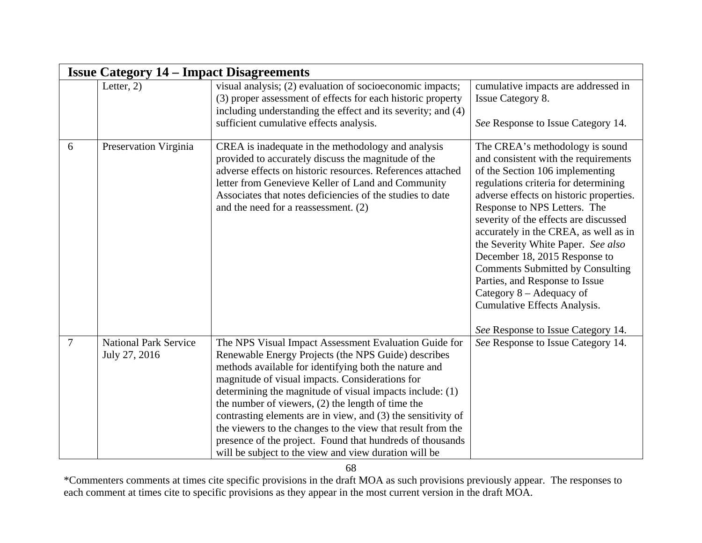|                | <b>Issue Category 14 – Impact Disagreements</b> |                                                                                                                                                                                                                                                                                                                                                                                                                                                                                                                                                                                                  |                                                                                                                                                                                                                                                                                                                                                                                                                                                                                                                                                                       |  |
|----------------|-------------------------------------------------|--------------------------------------------------------------------------------------------------------------------------------------------------------------------------------------------------------------------------------------------------------------------------------------------------------------------------------------------------------------------------------------------------------------------------------------------------------------------------------------------------------------------------------------------------------------------------------------------------|-----------------------------------------------------------------------------------------------------------------------------------------------------------------------------------------------------------------------------------------------------------------------------------------------------------------------------------------------------------------------------------------------------------------------------------------------------------------------------------------------------------------------------------------------------------------------|--|
|                | Letter, $2)$                                    | visual analysis; (2) evaluation of socioeconomic impacts;<br>(3) proper assessment of effects for each historic property<br>including understanding the effect and its severity; and (4)<br>sufficient cumulative effects analysis.                                                                                                                                                                                                                                                                                                                                                              | cumulative impacts are addressed in<br><b>Issue Category 8.</b><br>See Response to Issue Category 14.                                                                                                                                                                                                                                                                                                                                                                                                                                                                 |  |
| 6              | Preservation Virginia                           | CREA is inadequate in the methodology and analysis<br>provided to accurately discuss the magnitude of the<br>adverse effects on historic resources. References attached<br>letter from Genevieve Keller of Land and Community<br>Associates that notes deficiencies of the studies to date<br>and the need for a reassessment. (2)                                                                                                                                                                                                                                                               | The CREA's methodology is sound<br>and consistent with the requirements<br>of the Section 106 implementing<br>regulations criteria for determining<br>adverse effects on historic properties.<br>Response to NPS Letters. The<br>severity of the effects are discussed<br>accurately in the CREA, as well as in<br>the Severity White Paper. See also<br>December 18, 2015 Response to<br><b>Comments Submitted by Consulting</b><br>Parties, and Response to Issue<br>Category 8 - Adequacy of<br>Cumulative Effects Analysis.<br>See Response to Issue Category 14. |  |
| $\overline{7}$ | <b>National Park Service</b><br>July 27, 2016   | The NPS Visual Impact Assessment Evaluation Guide for<br>Renewable Energy Projects (the NPS Guide) describes<br>methods available for identifying both the nature and<br>magnitude of visual impacts. Considerations for<br>determining the magnitude of visual impacts include: (1)<br>the number of viewers, $(2)$ the length of time the<br>contrasting elements are in view, and (3) the sensitivity of<br>the viewers to the changes to the view that result from the<br>presence of the project. Found that hundreds of thousands<br>will be subject to the view and view duration will be | See Response to Issue Category 14.                                                                                                                                                                                                                                                                                                                                                                                                                                                                                                                                    |  |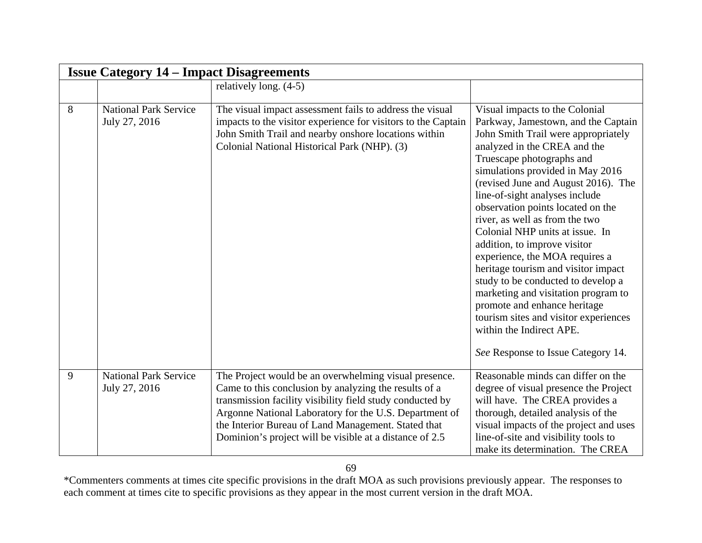|   | <b>Issue Category 14 – Impact Disagreements</b> |                                                                                                                                                                                                                                                                                                                                                         |                                                                                                                                                                                                                                                                                                                                                                                                                                                                                                                                                                                                                                                                                                                                   |  |
|---|-------------------------------------------------|---------------------------------------------------------------------------------------------------------------------------------------------------------------------------------------------------------------------------------------------------------------------------------------------------------------------------------------------------------|-----------------------------------------------------------------------------------------------------------------------------------------------------------------------------------------------------------------------------------------------------------------------------------------------------------------------------------------------------------------------------------------------------------------------------------------------------------------------------------------------------------------------------------------------------------------------------------------------------------------------------------------------------------------------------------------------------------------------------------|--|
|   |                                                 | relatively long. $(4-5)$                                                                                                                                                                                                                                                                                                                                |                                                                                                                                                                                                                                                                                                                                                                                                                                                                                                                                                                                                                                                                                                                                   |  |
| 8 | <b>National Park Service</b><br>July 27, 2016   | The visual impact assessment fails to address the visual<br>impacts to the visitor experience for visitors to the Captain<br>John Smith Trail and nearby onshore locations within<br>Colonial National Historical Park (NHP). (3)                                                                                                                       | Visual impacts to the Colonial<br>Parkway, Jamestown, and the Captain<br>John Smith Trail were appropriately<br>analyzed in the CREA and the<br>Truescape photographs and<br>simulations provided in May 2016<br>(revised June and August 2016). The<br>line-of-sight analyses include<br>observation points located on the<br>river, as well as from the two<br>Colonial NHP units at issue. In<br>addition, to improve visitor<br>experience, the MOA requires a<br>heritage tourism and visitor impact<br>study to be conducted to develop a<br>marketing and visitation program to<br>promote and enhance heritage<br>tourism sites and visitor experiences<br>within the Indirect APE.<br>See Response to Issue Category 14. |  |
| 9 | <b>National Park Service</b><br>July 27, 2016   | The Project would be an overwhelming visual presence.<br>Came to this conclusion by analyzing the results of a<br>transmission facility visibility field study conducted by<br>Argonne National Laboratory for the U.S. Department of<br>the Interior Bureau of Land Management. Stated that<br>Dominion's project will be visible at a distance of 2.5 | Reasonable minds can differ on the<br>degree of visual presence the Project<br>will have. The CREA provides a<br>thorough, detailed analysis of the<br>visual impacts of the project and uses<br>line-of-site and visibility tools to<br>make its determination. The CREA                                                                                                                                                                                                                                                                                                                                                                                                                                                         |  |

69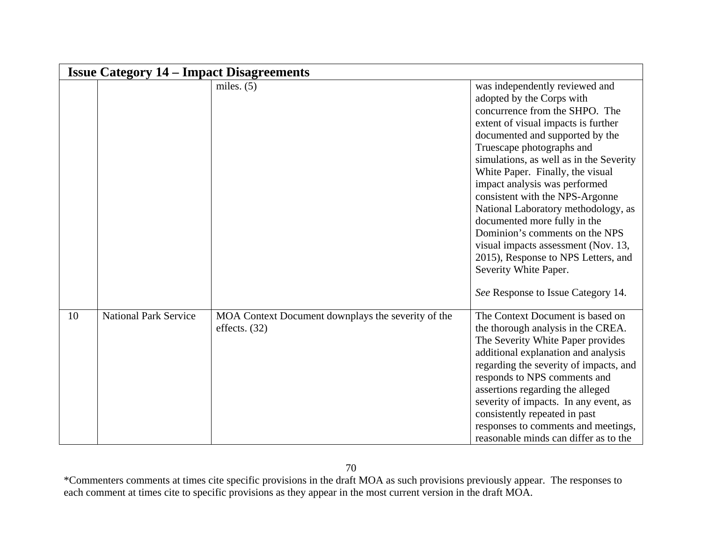|    | <b>Issue Category 14 – Impact Disagreements</b> |                                                                       |                                                                                                                                                                                                                                                                                                                                                                                                                                                                                                                                                                                                               |  |
|----|-------------------------------------------------|-----------------------------------------------------------------------|---------------------------------------------------------------------------------------------------------------------------------------------------------------------------------------------------------------------------------------------------------------------------------------------------------------------------------------------------------------------------------------------------------------------------------------------------------------------------------------------------------------------------------------------------------------------------------------------------------------|--|
|    |                                                 | miles. $(5)$                                                          | was independently reviewed and<br>adopted by the Corps with<br>concurrence from the SHPO. The<br>extent of visual impacts is further<br>documented and supported by the<br>Truescape photographs and<br>simulations, as well as in the Severity<br>White Paper. Finally, the visual<br>impact analysis was performed<br>consistent with the NPS-Argonne<br>National Laboratory methodology, as<br>documented more fully in the<br>Dominion's comments on the NPS<br>visual impacts assessment (Nov. 13,<br>2015), Response to NPS Letters, and<br>Severity White Paper.<br>See Response to Issue Category 14. |  |
| 10 | <b>National Park Service</b>                    | MOA Context Document downplays the severity of the<br>effects. $(32)$ | The Context Document is based on<br>the thorough analysis in the CREA.<br>The Severity White Paper provides<br>additional explanation and analysis<br>regarding the severity of impacts, and<br>responds to NPS comments and<br>assertions regarding the alleged<br>severity of impacts. In any event, as<br>consistently repeated in past<br>responses to comments and meetings,<br>reasonable minds can differ as to the                                                                                                                                                                                    |  |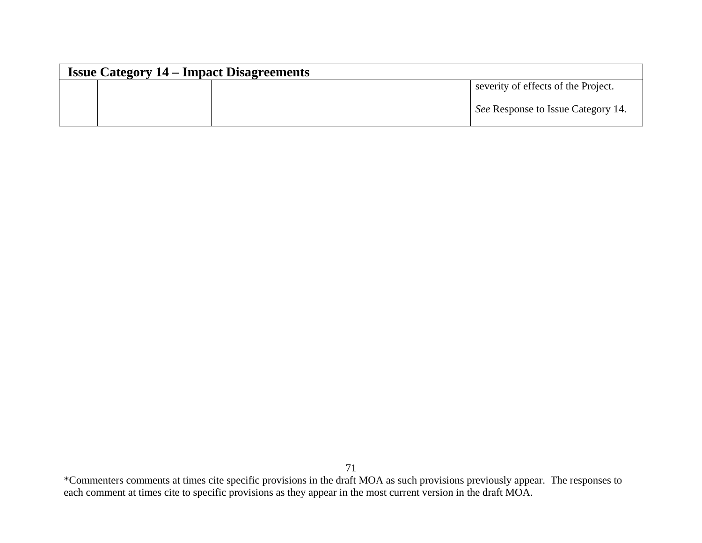| <b>Issue Category 14 – Impact Disagreements</b> |  |  |                                     |
|-------------------------------------------------|--|--|-------------------------------------|
|                                                 |  |  | severity of effects of the Project. |
|                                                 |  |  | See Response to Issue Category 14.  |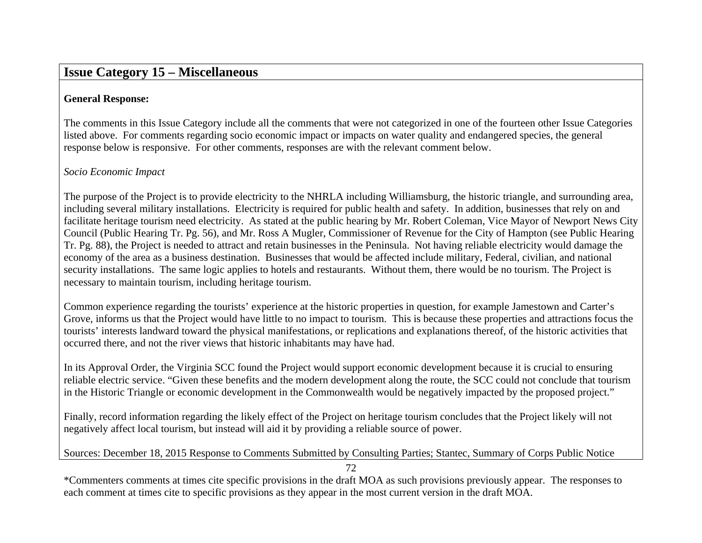### **Issue Category 15 – Miscellaneous**

#### **General Response:**

The comments in this Issue Category include all the comments that were not categorized in one of the fourteen other Issue Categories listed above. For comments regarding socio economic impact or impacts on water quality and endangered species, the general response below is responsive. For other comments, responses are with the relevant comment below.

#### *Socio Economic Impact*

The purpose of the Project is to provide electricity to the NHRLA including Williamsburg, the historic triangle, and surrounding area, including several military installations. Electricity is required for public health and safety. In addition, businesses that rely on and facilitate heritage tourism need electricity. As stated at the public hearing by Mr. Robert Coleman, Vice Mayor of Newport News City Council (Public Hearing Tr. Pg. 56), and Mr. Ross A Mugler, Commissioner of Revenue for the City of Hampton (see Public Hearing Tr. Pg. 88), the Project is needed to attract and retain businesses in the Peninsula. Not having reliable electricity would damage the economy of the area as a business destination. Businesses that would be affected include military, Federal, civilian, and national security installations. The same logic applies to hotels and restaurants. Without them, there would be no tourism. The Project is necessary to maintain tourism, including heritage tourism.

Common experience regarding the tourists' experience at the historic properties in question, for example Jamestown and Carter's Grove, informs us that the Project would have little to no impact to tourism. This is because these properties and attractions focus the tourists' interests landward toward the physical manifestations, or replications and explanations thereof, of the historic activities that occurred there, and not the river views that historic inhabitants may have had.

In its Approval Order, the Virginia SCC found the Project would support economic development because it is crucial to ensuring reliable electric service. "Given these benefits and the modern development along the route, the SCC could not conclude that tourism in the Historic Triangle or economic development in the Commonwealth would be negatively impacted by the proposed project."

Finally, record information regarding the likely effect of the Project on heritage tourism concludes that the Project likely will not negatively affect local tourism, but instead will aid it by providing a reliable source of power.

Sources: December 18, 2015 Response to Comments Submitted by Consulting Parties; Stantec, Summary of Corps Public Notice

<sup>72</sup>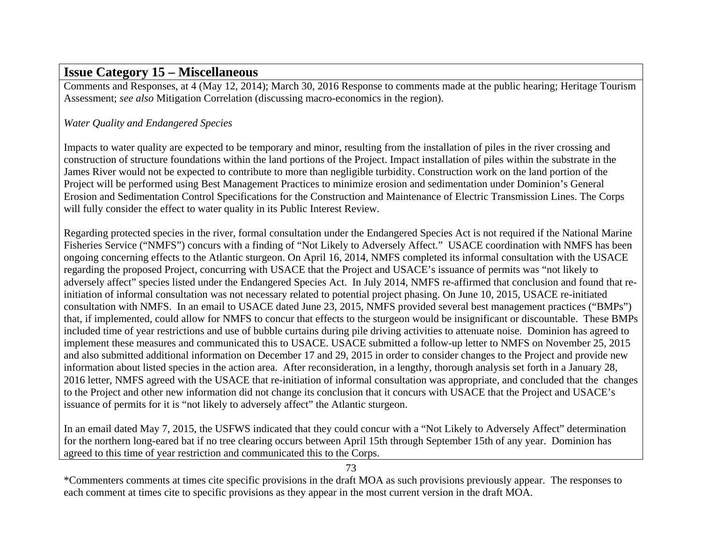## **Issue Category 15 – Miscellaneous**

Comments and Responses, at 4 (May 12, 2014); March 30, 2016 Response to comments made at the public hearing; Heritage Tourism Assessment; *see also* Mitigation Correlation (discussing macro-economics in the region).

## *Water Quality and Endangered Species*

Impacts to water quality are expected to be temporary and minor, resulting from the installation of piles in the river crossing and construction of structure foundations within the land portions of the Project. Impact installation of piles within the substrate in the James River would not be expected to contribute to more than negligible turbidity. Construction work on the land portion of the Project will be performed using Best Management Practices to minimize erosion and sedimentation under Dominion's General Erosion and Sedimentation Control Specifications for the Construction and Maintenance of Electric Transmission Lines. The Corps will fully consider the effect to water quality in its Public Interest Review.

Regarding protected species in the river, formal consultation under the Endangered Species Act is not required if the National Marine Fisheries Service ("NMFS") concurs with a finding of "Not Likely to Adversely Affect." USACE coordination with NMFS has been ongoing concerning effects to the Atlantic sturgeon. On April 16, 2014, NMFS completed its informal consultation with the USACE regarding the proposed Project, concurring with USACE that the Project and USACE's issuance of permits was "not likely to adversely affect" species listed under the Endangered Species Act. In July 2014, NMFS re-affirmed that conclusion and found that reinitiation of informal consultation was not necessary related to potential project phasing. On June 10, 2015, USACE re-initiated consultation with NMFS. In an email to USACE dated June 23, 2015, NMFS provided several best management practices ("BMPs") that, if implemented, could allow for NMFS to concur that effects to the sturgeon would be insignificant or discountable. These BMPs included time of year restrictions and use of bubble curtains during pile driving activities to attenuate noise. Dominion has agreed to implement these measures and communicated this to USACE. USACE submitted a follow-up letter to NMFS on November 25, 2015 and also submitted additional information on December 17 and 29, 2015 in order to consider changes to the Project and provide new information about listed species in the action area. After reconsideration, in a lengthy, thorough analysis set forth in a January 28, 2016 letter, NMFS agreed with the USACE that re-initiation of informal consultation was appropriate, and concluded that the changes to the Project and other new information did not change its conclusion that it concurs with USACE that the Project and USACE's issuance of permits for it is "not likely to adversely affect" the Atlantic sturgeon.

In an email dated May 7, 2015, the USFWS indicated that they could concur with a "Not Likely to Adversely Affect" determination for the northern long-eared bat if no tree clearing occurs between April 15th through September 15th of any year. Dominion has agreed to this time of year restriction and communicated this to the Corps.

73

<sup>\*</sup>Commenters comments at times cite specific provisions in the draft MOA as such provisions previously appear. The responses to each comment at times cite to specific provisions as they appear in the most current version in the draft MOA.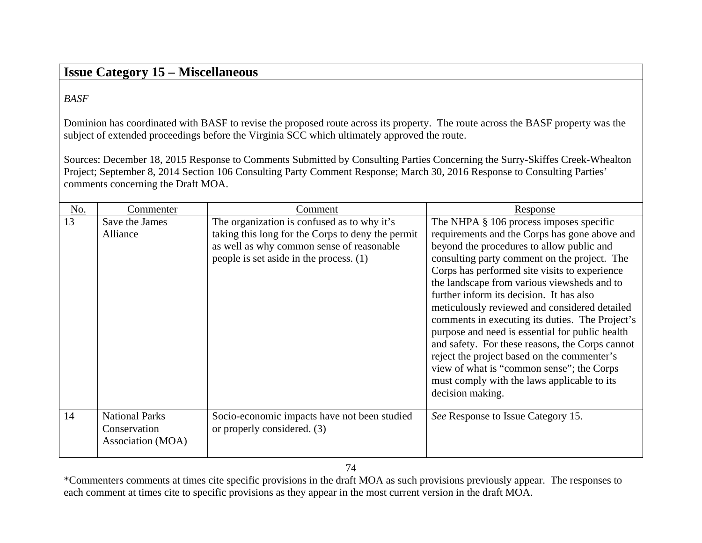## **Issue Category 15 – Miscellaneous**

*BASF* 

Dominion has coordinated with BASF to revise the proposed route across its property. The route across the BASF property was the subject of extended proceedings before the Virginia SCC which ultimately approved the route.

Sources: December 18, 2015 Response to Comments Submitted by Consulting Parties Concerning the Surry-Skiffes Creek-Whealton Project; September 8, 2014 Section 106 Consulting Party Comment Response; March 30, 2016 Response to Consulting Parties' comments concerning the Draft MOA.

| No. | Commenter                                                  | Comment                                                                                                                                                                                  | Response                                                                                                                                                                                                                                                                                                                                                                                                                                                                                                                                                                                                                                                                                                      |
|-----|------------------------------------------------------------|------------------------------------------------------------------------------------------------------------------------------------------------------------------------------------------|---------------------------------------------------------------------------------------------------------------------------------------------------------------------------------------------------------------------------------------------------------------------------------------------------------------------------------------------------------------------------------------------------------------------------------------------------------------------------------------------------------------------------------------------------------------------------------------------------------------------------------------------------------------------------------------------------------------|
| 13  | Save the James<br>Alliance                                 | The organization is confused as to why it's<br>taking this long for the Corps to deny the permit<br>as well as why common sense of reasonable<br>people is set aside in the process. (1) | The NHPA $\S$ 106 process imposes specific<br>requirements and the Corps has gone above and<br>beyond the procedures to allow public and<br>consulting party comment on the project. The<br>Corps has performed site visits to experience<br>the landscape from various viewsheds and to<br>further inform its decision. It has also<br>meticulously reviewed and considered detailed<br>comments in executing its duties. The Project's<br>purpose and need is essential for public health<br>and safety. For these reasons, the Corps cannot<br>reject the project based on the commenter's<br>view of what is "common sense"; the Corps<br>must comply with the laws applicable to its<br>decision making. |
| 14  | <b>National Parks</b><br>Conservation<br>Association (MOA) | Socio-economic impacts have not been studied<br>or properly considered. (3)                                                                                                              | See Response to Issue Category 15.                                                                                                                                                                                                                                                                                                                                                                                                                                                                                                                                                                                                                                                                            |

<sup>\*</sup>Commenters comments at times cite specific provisions in the draft MOA as such provisions previously appear. The responses to each comment at times cite to specific provisions as they appear in the most current version in the draft MOA.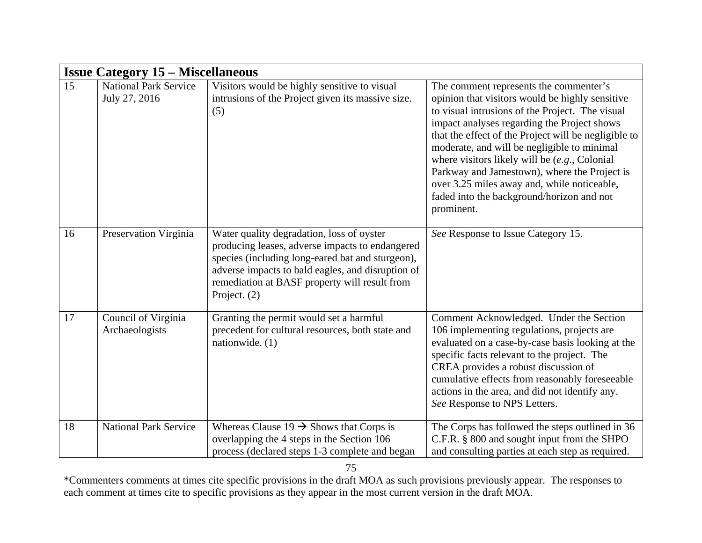| <b>Issue Category 15 – Miscellaneous</b> |                                               |                                                                                                                                                                                                                                                                          |                                                                                                                                                                                                                                                                                                                                                                                                                                                                                                                 |  |  |
|------------------------------------------|-----------------------------------------------|--------------------------------------------------------------------------------------------------------------------------------------------------------------------------------------------------------------------------------------------------------------------------|-----------------------------------------------------------------------------------------------------------------------------------------------------------------------------------------------------------------------------------------------------------------------------------------------------------------------------------------------------------------------------------------------------------------------------------------------------------------------------------------------------------------|--|--|
| 15                                       | <b>National Park Service</b><br>July 27, 2016 | Visitors would be highly sensitive to visual<br>intrusions of the Project given its massive size.<br>(5)                                                                                                                                                                 | The comment represents the commenter's<br>opinion that visitors would be highly sensitive<br>to visual intrusions of the Project. The visual<br>impact analyses regarding the Project shows<br>that the effect of the Project will be negligible to<br>moderate, and will be negligible to minimal<br>where visitors likely will be $(e.g.,$ Colonial<br>Parkway and Jamestown), where the Project is<br>over 3.25 miles away and, while noticeable,<br>faded into the background/horizon and not<br>prominent. |  |  |
| 16                                       | Preservation Virginia                         | Water quality degradation, loss of oyster<br>producing leases, adverse impacts to endangered<br>species (including long-eared bat and sturgeon),<br>adverse impacts to bald eagles, and disruption of<br>remediation at BASF property will result from<br>Project. $(2)$ | See Response to Issue Category 15.                                                                                                                                                                                                                                                                                                                                                                                                                                                                              |  |  |
| 17                                       | Council of Virginia<br>Archaeologists         | Granting the permit would set a harmful<br>precedent for cultural resources, both state and<br>nationwide. (1)                                                                                                                                                           | Comment Acknowledged. Under the Section<br>106 implementing regulations, projects are<br>evaluated on a case-by-case basis looking at the<br>specific facts relevant to the project. The<br>CREA provides a robust discussion of<br>cumulative effects from reasonably foreseeable<br>actions in the area, and did not identify any.<br>See Response to NPS Letters.                                                                                                                                            |  |  |
| 18                                       | <b>National Park Service</b>                  | Whereas Clause $19 \rightarrow$ Shows that Corps is<br>overlapping the 4 steps in the Section 106<br>process (declared steps 1-3 complete and began                                                                                                                      | The Corps has followed the steps outlined in 36<br>C.F.R. § 800 and sought input from the SHPO<br>and consulting parties at each step as required.                                                                                                                                                                                                                                                                                                                                                              |  |  |

\*Commenters comments at times cite specific provisions in the draft MOA as such provisions previously appear. The responses to each comment at times cite to specific provisions as they appear in the most current version in the draft MOA.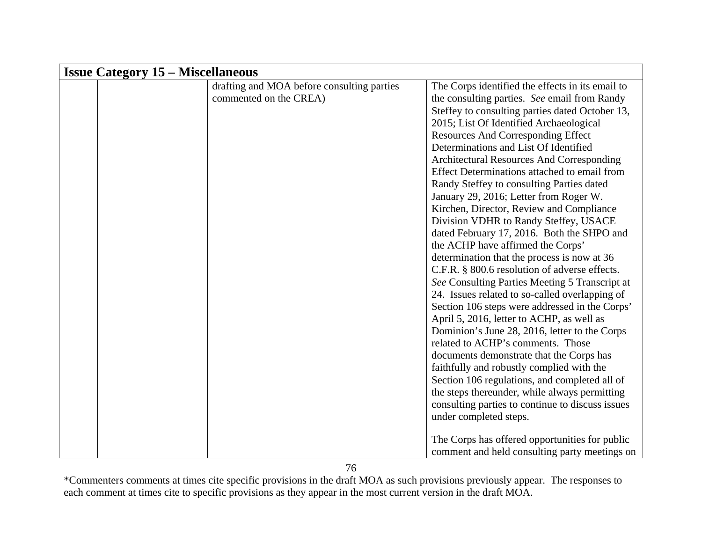| <b>Issue Category 15 – Miscellaneous</b> |                                                                      |                                                                                                                                                                                                                                                                                                                                                                                                                                                                                                                                                                                                                                                                                                                                                                                                                                                                                                                                                                                                                                                                                                                                                                                                                                                                                                                                                                                                                       |  |  |
|------------------------------------------|----------------------------------------------------------------------|-----------------------------------------------------------------------------------------------------------------------------------------------------------------------------------------------------------------------------------------------------------------------------------------------------------------------------------------------------------------------------------------------------------------------------------------------------------------------------------------------------------------------------------------------------------------------------------------------------------------------------------------------------------------------------------------------------------------------------------------------------------------------------------------------------------------------------------------------------------------------------------------------------------------------------------------------------------------------------------------------------------------------------------------------------------------------------------------------------------------------------------------------------------------------------------------------------------------------------------------------------------------------------------------------------------------------------------------------------------------------------------------------------------------------|--|--|
|                                          | drafting and MOA before consulting parties<br>commented on the CREA) | The Corps identified the effects in its email to<br>the consulting parties. See email from Randy<br>Steffey to consulting parties dated October 13,<br>2015; List Of Identified Archaeological<br><b>Resources And Corresponding Effect</b><br>Determinations and List Of Identified<br>Architectural Resources And Corresponding<br>Effect Determinations attached to email from<br>Randy Steffey to consulting Parties dated<br>January 29, 2016; Letter from Roger W.<br>Kirchen, Director, Review and Compliance<br>Division VDHR to Randy Steffey, USACE<br>dated February 17, 2016. Both the SHPO and<br>the ACHP have affirmed the Corps'<br>determination that the process is now at 36<br>C.F.R. § 800.6 resolution of adverse effects.<br>See Consulting Parties Meeting 5 Transcript at<br>24. Issues related to so-called overlapping of<br>Section 106 steps were addressed in the Corps'<br>April 5, 2016, letter to ACHP, as well as<br>Dominion's June 28, 2016, letter to the Corps<br>related to ACHP's comments. Those<br>documents demonstrate that the Corps has<br>faithfully and robustly complied with the<br>Section 106 regulations, and completed all of<br>the steps thereunder, while always permitting<br>consulting parties to continue to discuss issues<br>under completed steps.<br>The Corps has offered opportunities for public<br>comment and held consulting party meetings on |  |  |

<sup>\*</sup>Commenters comments at times cite specific provisions in the draft MOA as such provisions previously appear. The responses to each comment at times cite to specific provisions as they appear in the most current version in the draft MOA.